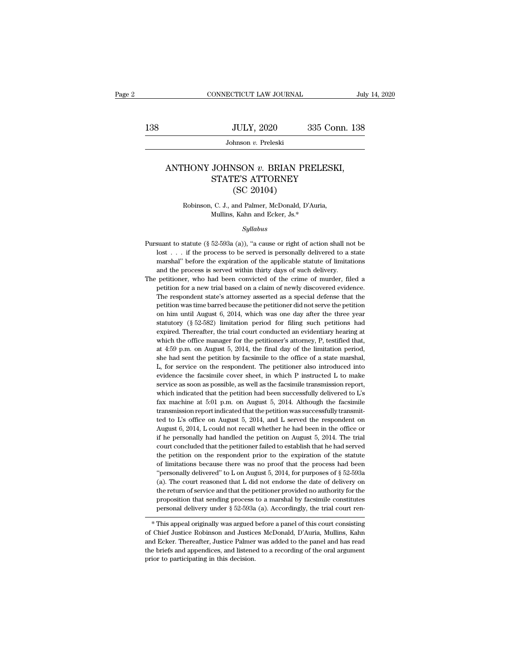## JULY, 2020 335 Conn. 138<br>Johnson *v.* Preleski<br>ANTHONY JOHNSON *v.* BRIAN PRELESKI,<br>STATE'S ATTORNEY  $\begin{tabular}{ c c c} \multicolumn{1}{c}{} \multicolumn{1}{c}{} \multicolumn{1}{c}{} \multicolumn{1}{c}{} \multicolumn{1}{c}{} \multicolumn{1}{c}{} \multicolumn{1}{c}{} \multicolumn{1}{c}{} \multicolumn{1}{c}{} \multicolumn{1}{c}{} \multicolumn{1}{c}{} \multicolumn{1}{c}{} \multicolumn{1}{c}{} \multicolumn{1}{c}{} \multicolumn{1}{c}{} \multicolumn{1}{c}{} \multicolumn{1}{c}{} \multicolumn{1}{c}{} \multicolumn{1}{c}{} \multicolumn{1}{c}{} \multicolumn{1}{c}{}$ JULY, 2020<br>
hnson v. Preleski<br>
NSON v. BRIAN PR<br>
E'S ATTORNEY<br>
(SC 20104)<br>
and Palmer, McDonald, D' FRONT JOHNSON v. BRIAN PRELESKI<br>STATE'S ATTORNEY<br>(SC 20104)<br>Robinson, C. J., and Palmer, McDonald, D'Auria,<br>Mullins, Kahn and Ecker, Js.\* JOHNSON v. BRIAN PRELE<br>
STATE'S ATTORNEY<br>
(SC 20104)<br>
, C. J., and Palmer, McDonald, D'Auria<br>
Mullins, Kahn and Ecker, Js.\*<br>
Sullabus

### *Syllabus*

- Robinson, C. J., and Palmer, McDonald, D'Auria,<br>Mullins, Kahn and Ecker, Js.\*<br>Syllabus<br>Pursuant to statute (§ 52-593a (a)), "a cause or right of action shall not be<br>lost . . . if the process to be served is personally del Robinson, C. J., and Palmer, McDonald, D'Auria,<br>Mullins, Kahn and Ecker, Js.\*<br>Syllabus<br>suant to statute (§ 52-593a (a)), "a cause or right of action shall not be<br>lost . . . if the process to be served is personally delive Mullins, Kahn and Ecker, Js.\*<br>Syllabus<br>Suant to statute (§ 52-593a (a)), "a cause or right of action shall not be<br>lost . . . if the process to be served is personally delivered to a state<br>marshal" before the expiration of Pursuant to statute (§ 52-593a (a)), "a cause or right of action shall not be lost  $\ldots$  if the process to be served is personally delivered to a state marshal" before the expiration of the applicable statute of limitatio Syltabus<br>
Pursuant to statute (§ 52-593a (a)), "a cause or right of action shall not be<br>
lost . . . if the process to be served is personally delivered to a state<br>
marshal" before the expiration of the applicable statute o suant to statute (§ 52-593a (a)), "a cause or right of action shall not be lost . . . if the process to be served is personally delivered to a state marshal" before the expiration of the applicable statute of limitations
- lost . . . if the process to be served is personally delivered to a state marshal" before the expiration of the applicable statute of limitations and the process is served within thirty days of such delivery.<br>petitioner, w marshal" before the expiration of the applicable statute of limitations and the process is served within thirty days of such delivery.<br>petitioner, who had been convicted of the crime of murder, filed a petition for a new t and the process is served within thirty days of such delivery.<br>
petitioner, who had been convicted of the crime of murder, filed a<br>
petition for a new trial based on a claim of newly discovered evidence.<br>
The respondent s petitioner, who had been convicted of the crime of murder, filed a petition for a new trial based on a claim of newly discovered evidence. The respondent state's attorney asserted as a special defense that the petition was petition for a new trial based on a claim of newly discovered evidence.<br>The respondent state's attorney asserted as a special defense that the<br>petition was time barred because the petitioner did not serve the petition<br>on h The respondent state's attorney asserted as a special defense that the petition was time barred because the petitioner did not serve the petition on him until August 6, 2014, which was one day after the three year statuto petition was time barred because the petitioner did not serve the petition<br>on him until August 6, 2014, which was one day after the three year<br>statutory (§ 52-582) limitation period for filing such petitions had<br>expired. on him until August 6, 2014, which was one day after the three year statutory (§ 52-582) limitation period for filing such petitions had expired. Thereafter, the trial court conducted an evidentiary hearing at which the o Extractory (§ 52-582) limitation period for filing such petitions had expired. Thereafter, the trial court conducted an evidentiary hearing at which the office manager for the petitioner's attorney, P, testified that, at expired. Thereafter, the trial court conducted an evidentiary hearing at which the office manager for the petitioner's attorney, P, testified that, at 4:59 p.m. on August 5, 2014, the final day of the limitation period, s expired. Thereafter, the trial court conducted an evidentiary hearing at which the office manager for the petitioner's attorney, P, testified that, at 4:59 p.m. on August 5, 2014, the final day of the limitation period, s at 4:59 p.m. on August 5, 2014, the final day of the limitation period, she had sent the petition by facsimile to the office of a state marshal,  $L$ , for service on the respondent. The petitioner also introduced into evid she had sent the petition by facsimile to the office of a state marshal, L, for service on the respondent. The petitioner also introduced into evidence the facsimile cover sheet, in which P instructed L to make service as fax machine at 5:01 p.m. on August 5, 2014. Although the facsimile transmission report indicated that the petition was successfully transmitted to L's office on August 5, 2014, and L served the respondent on August 6, 201 evidence the facsimile cover sheet, in which P instructed L to make<br>service as soon as possible, as well as the facsimile transmission report,<br>which indicated that the petition had been successfully delivered to L's<br>fax m service as soon as possible, as well as the facsimile transmission report,<br>which indicated that the petition had been successfully delivered to L's<br>fax machine at 5:01 p.m. on August 5, 2014. Although the facsimile<br>transmi which indicated that the petition had been successfully delivered to  $L$ 's fax machine at 5:01 p.m. on August 5, 2014. Although the facsimile transmission report indicated that the petition was successfully transmitted to fax machine at 5:01 p.m. on August 5, 2014. Although the facsimile transmission report indicated that the petition was successfully transmitted to L's office on August 5, 2014, and L served the respondent on August 6, 201 transmission report indicated that the petition was successfully transmitted to L's office on August 5, 2014, and L served the respondent on August 6, 2014, L could not recall whether he had been in the office or if the pe ted to L's office on August 5, 2014, and L served the respondent on August 6, 2014, L could not recall whether he had been in the office or if he personally had handled the petition on August 5, 2014. The trial court conc August 6, 2014, L could not recall whether he had been in the office or<br>
if he personally had handled the petition on August 5, 2014. The trial<br>
court concluded that the petitioner failed to establish that he had served<br> if he personally had handled the petition on August 5, 2014. The trial<br>court concluded that the petitioner failed to establish that he had served<br>the petition on the respondent prior to the expiration of the statute<br>of li court concluded that the petitioner failed to establish that he had served<br>the petition on the respondent prior to the expiration of the statute<br>of limitations because there was no proof that the process had been<br>"persona court concluded that the petitioner failed to establish that he had served<br>the petition on the respondent prior to the expiration of the statute<br>of limitations because there was no proof that the process had been<br>"persona % of limitations because there was no proof that the process had been<br>"personally delivered" to L on August 5, 2014, for purposes of § 52-593a<br>(a). The court reasoned that L did not endorse the date of delivery on<br>the ret (a). The court reasoned that L dud not entorse the date of denvery on<br>the return of service and that the petitioner provided no authority for the<br>proposition that sending process to a marshal by facsimile constitutes<br>perso

and Ecker. Thereafter, Justice Palmer was added to the panel and has read the briefs and appendices, and listene Palmer was added to the panel and has read the briefs and appendices, and listened to a recording of the ourt proposition that senting process to a marshal by accsinue constitutes<br>personal delivery under § 52-593a (a). Accordingly, the trial court ren-<br>\* This appeal originally was argued before a panel of this court consisting<br>of personal denvery under  $\frac{1}{3}$  oz-booster<br>
\* This appeal originally was argued lof Chief Justice Robinson and Justice<br>
and Ecker. Thereafter, Justice Palmer<br>
the briefs and appendices, and listene<br>
prior to participating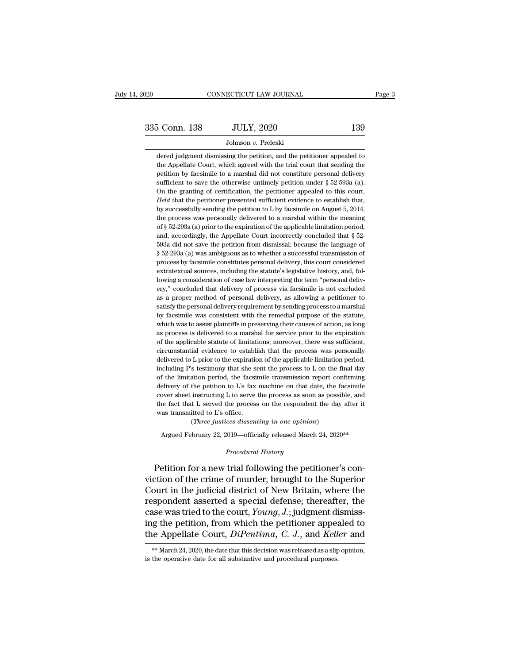dered judgment dismissing the petition, and the petitioner appealed to the Appellate Court, which agreed with the trial court that sending the petitioner appealed to the Appellate Court, which agreed with the trial court t  $\frac{5 \text{ Conn. } 139}{5 \text{ Johnson } v. }$  Preleski<br>Johnson  $v.$  Preleski<br>dered judgment dismissing the petition, and the petitioner appealed to<br>the Appellate Court, which agreed with the trial court that sending the<br>petition by facsimil 5 Conn. 138 JULY, 2020 139<br>Johnson v. Preleski<br>dered judgment dismissing the petition, and the petitioner appealed to<br>the Appellate Court, which agreed with the trial court that sending the<br>petition by facsimile to a mars Johnson v. Preleski<br>dered judgment dismissing the petition, and the petitioner appealed to<br>the Appellate Court, which agreed with the trial court that sending the<br>petition by facsimile to a marshal did not constitute perso Johnson  $v$ . Preleski<br>dered judgment dismissing the petition, and the petitioner appealed to<br>the Appellate Court, which agreed with the trial court that sending the<br>petition by facsimile to a marshal did not constitute pe dered judgment dismissing the petition, and the petitioner appealed to<br>the Appellate Court, which agreed with the trial court that sending the<br>petition by facsimile to a marshal did not constitute personal delivery<br>suffici the Appellate Court, which agreed with the trial court that sending the petition by facsimile to a marshal did not constitute personal delivery sufficient to save the otherwise untimely petition under  $\S$  52-593a (a). On petition by facsimile to a marshal did not constitute personal delivery sufficient to save the otherwise untimely petition under  $\S$  52-593a (a). On the granting of certification, the petitioner appealed to this court. *H* sufficient to save the otherwise untimely petition under  $\S$  52-593a (a).<br>On the granting of certification, the petitioner appealed to this court.<br>Held that the petitioner presented sufficient evidence to establish that,<br> On the granting of certification, the petitioner appealed to this court.<br>Held that the petitioner presented sufficient evidence to establish that,<br>by successfully sending the petition to L by facsimile on August 5, 2014,<br> *Held* that the petitioner presented sufficient evidence to establish that, by successfully sending the petition to L by facsimile on August 5, 2014, the process was personally delivered to a marshal within the meaning of by successfully sending the petition to L by facsimile on August 5, 2014, the process was personally delivered to a marshal within the meaning of § 52-293a (a) prior to the expiration of the applicable limitation period, the process was personally delivered to a marshal within the meaning<br>of § 52-293a (a) prior to the expiration of the applicable limitation period,<br>and, accordingly, the Appellate Court incorrectly concluded that § 52-<br>593a of § 52-293a (a) prior to the expiration of the applicable limitation period, and, accordingly, the Appellate Court incorrectly concluded that § 52-593a did not save the petition from dismissal: because the language of § and, accordingly, the Appellate Court incorrectly concluded that  $\S$  52-593a did not save the petition from dismissal: because the language of  $\S$  52-293a (a) was ambiguous as to whether a successful transmission of proce 593a did not save the petition from dismissal: because the language of  $\S$  52-293a (a) was ambiguous as to whether a successful transmission of process by facsimile constitutes personal delivery, this court considered ext § 52-293a (a) was ambiguous as to whether a successful transmission of process by facsimile constitutes personal delivery, this court considered extratextual sources, including the statute's legislative history, and, follo process by facsimile constitutes personal delivery, this court considered extratextual sources, including the statute's legislative history, and, following a consideration of case law interpreting the term "personal delive extratextual sources, including the statute's legislative history, and, following a consideration of case law interpreting the term "personal delivery," concluded that delivery of process via facsimile is not excluded as a lowing a consideration of case law interpreting the term "personal delivery," concluded that delivery of process via facsimile is not excluded as a proper method of personal delivery, as allowing a petitioner to satisfy th ery," concluded that delivery of process via facsimile is not excluded as a proper method of personal delivery, as allowing a petitioner to satisfy the personal delivery requirement by sending process to a marshal by facsi as a proper method of personal delivery, as allowing a petitioner to satisfy the personal delivery requirement by sending process to a marshal by facsimile was consistent with the remedial purpose of the statute, which was satisfy the personal delivery requirement by sending process to a marshal<br>by facsimile was consistent with the remedial purpose of the statute,<br>which was to assist plaintiffs in preserving their causes of action, as long<br>a by facsimile was consistent with the remedial purpose of the statute, which was to assist plaintiffs in preserving their causes of action, as long as process is delivered to a marshal for service prior to the expiration of which was to assist plaintiffs in preserving their causes of action, as long<br>as process is delivered to a marshal for service prior to the expiration<br>of the applicable statute of limitations; moreover, there was sufficient as process is delivered to a marshal for service prior to the expiration of the applicable statute of limitations; moreover, there was sufficient, circumstantial evidence to establish that the process was personally deliv of the applicable statute of limitations; moreover, there was sufficient, circumstantial evidence to establish that the process was personally delivered to L prior to the expiration of the applicable limitation period, in circumstantial evidence to establish that the process was personally delivered to L prior to the expiration of the applicable limitation period, including P's testimony that she sent the process to L on the final day of t delivered to L prior to the expiration of the applicable limitation period, including P's testimony that she sent the process to L on the final day of the limitation period, the facsimile transmission report confirming del delivered to L prior to the expiration of the applicable limitation period, including P's testimony that she sent the process to L on the final day of the limitation period, the facsimile transmission report confirming de % of the limitation period, the facsimile transmission report confirming delivery of the petition to L's fax machine on that date, the facsimile cover sheet instructing L to serve the process as soon as possible, and the elivery of the petition to L's fax machine on that date, the facsimile<br>over sheet instructing L to serve the process as soon as possible, and<br>he fact that L served the process on the respondent the day after it<br>as transmit

Three justices dissenting in one opinion)<br>Argued February 22, 2019—officially released March 24, 2020<sup>\*\*</sup><br>*Procedural History*<br>Petition for a new trial following the petitioner's conthe fact that L served the process on the respondent the day after it<br>was transmitted to L's office.<br>(*Three justices dissenting in one opinion*)<br>Argued February 22, 2019—officially released March 24, 2020<sup>\*\*</sup><br>*Procedural* was transmitted to L's office.<br>
(*Three justices dissenting in one opinion*)<br>
Argued February 22, 2019—officially released March 24, 2020<sup>\*\*</sup><br> *Procedural History*<br> **Petition for a new trial following the petitioner's con-**(Three justices dissenting in one opinion)<br>Argued February 22, 2019—officially released March 24, 2020<sup>\*\*</sup><br>Procedural History<br>Petition for a new trial following the petitioner's con-<br>viction of the crime of murder, brough Argued February 22, 2019—officially released March 24, 2020<sup>\*\*</sup><br> *Procedural History*<br>
Petition for a new trial following the petitioner's conviction of the crime of murder, brought to the Superior<br>
Court in the judicial d *Procedural History*<br>Petition for a new trial following the petitioner's conviction of the crime of murder, brought to the Superior<br>Court in the judicial district of New Britain, where the<br>respondent asserted a special def Potatra Haloy<br>proceduring the petitioner's conviction of the crime of murder, brought to the Superior<br>Court in the judicial district of New Britain, where the<br>respondent asserted a special defense; thereafter, the<br>case wa Petition for a new trial following the petitioner's conviction of the crime of murder, brought to the Superior Court in the judicial district of New Britain, where the respondent asserted a special defense; thereafter, the respondent asserted a special defense; thereafter, the case was tried to the court, *Young*, *J*.; judgment dismissing the petition, from which the petitioner appealed to the Appellate Court, *DiPentima*, *C. J.*, and *Ke* the Appellate Court, DiPentima, C. J., and Keller and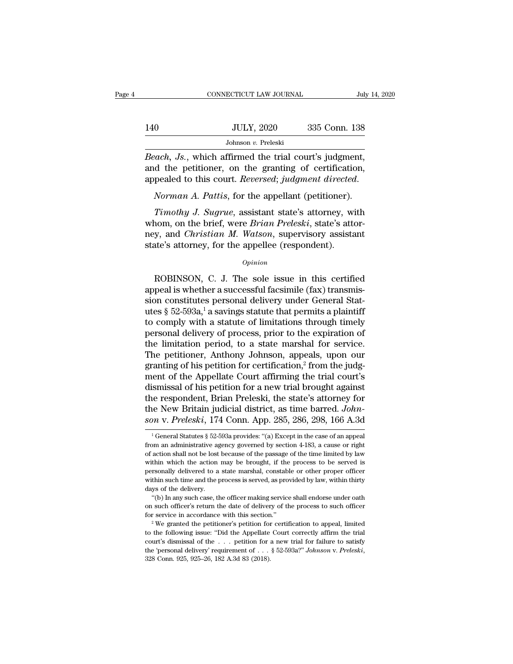|     | CONNECTICUT LAW JOURNAL                                                                                                                                                                                 | July 14, 2020 |
|-----|---------------------------------------------------------------------------------------------------------------------------------------------------------------------------------------------------------|---------------|
| 140 | <b>JULY, 2020</b>                                                                                                                                                                                       | 335 Conn. 138 |
|     | Johnson $v$ . Preleski                                                                                                                                                                                  |               |
|     | <i>Beach</i> , <i>Js.</i> , which affirmed the trial court's judgment,<br>and the petitioner, on the granting of certification,<br>approached to this court, <i>Deversed</i> , <i>judament directed</i> |               |

140 JULY, 2020 335 Conn. 138<br>Johnson v. Preleski<br>Beach, Js., which affirmed the trial court's judgment,<br>and the petitioner, on the granting of certification,<br>appealed to this court. Reversed; judgment directed. appealed to this court. *Reversed*; *judgment*, *Reach, Js.*, which affirmed the trial court's judgment, and the petitioner, on the granting of certification, appealed to this court. *Reversed*; *judgment directed. Norma Timothy, Js.*, which affirmed the trial court's judgment,<br>
d the petitioner, on the granting of certification,<br>
pealed to this court. *Reversed*; *judgment directed.*<br> *Norman A. Pattis*, for the appellant (petitioner).<br>

Beach, Js., which affirmed the trial court's judgment,<br>and the petitioner, on the granting of certification,<br>appealed to this court. Reversed; judgment directed.<br>Norman A. Pattis, for the appellant (petitioner).<br>Timothy J. and the petitioner, on the granting of certification,<br>appealed to this court. *Reversed*; *judgment directed.*<br>Norman A. Pattis, for the appellant (petitioner).<br>Timothy J. Sugrue, assistant state's attorney, with<br>whom, on appealed to this court. *Reversed*; *judgment directed*<br>Norman A. Pattis, for the appellant (petitioner).<br>Timothy J. Sugrue, assistant state's attorney, wi<br>whom, on the brief, were *Brian Preleski*, state's attorney, and Timothy J. Sugrue, assistant state's attorney, with<br>nom, on the brief, were *Brian Preleski*, state's attor-<br>y, and *Christian M. Watson*, supervisory assistant<br>ate's attorney, for the appellee (respondent).<br> $o_{pinion}$ <br>ROBINS

### *Opinion*

appeal is whether a successful facsimile (fax) transmission constitutes attorney, for the appellee (respondent).<br>
state's attorney, for the appellee (respondent).<br>  $\frac{Opinion}{P}$ <br>
ROBINSON, C. J. The sole issue in this certified<br>
appeal is whether a successful facsimile (fax) tr state's attorney, for the appellee (respondent).<br>
opinion<br>
ROBINSON, C. J. The sole issue in this certified<br>
appeal is whether a successful facsimile (fax) transmis-<br>
sion constitutes personal delivery under General Stat-<br> opinion<br>
complete of the sole issue in this certified<br>
appeal is whether a successful facsimile (fax) transmis-<br>
sion constitutes personal delivery under General Stat-<br>
utes § 52-593a,<sup>1</sup> a savings statute that permits a personal delivery in this certified<br>appeal is whether a successful facsimile (fax) transmis-<br>sion constitutes personal delivery under General Stat-<br>utes  $\S 52-593a$ , a savings statute that permits a plaintiff<br>to comply wi ROBINSON, C. J. The sole issue in this certified<br>appeal is whether a successful facsimile (fax) transmis-<br>sion constitutes personal delivery under General Stat-<br>utes § 52-593a,<sup>1</sup> a savings statute that permits a plaintif appeal is whether a successful facsimile (fax) transmission constitutes personal delivery under General Statutes  $\S 52-593a$ ,<sup>1</sup> a savings statute that permits a plaintiff to comply with a statute of limitations through t sion constitutes personal delivery under General Statutes  $\S$  52-593a,<sup>1</sup> a savings statute that permits a plaintiff to comply with a statute of limitations through timely personal delivery of process, prior to the expira utes § 52-593a,<sup>1</sup> a savings statute that permits a plaintiff<br>to comply with a statute of limitations through timely<br>personal delivery of process, prior to the expiration of<br>the limitation period, to a state marshal for se to comply with a statute of limitations through timely<br>personal delivery of process, prior to the expiration of<br>the limitation period, to a state marshal for service.<br>The petitioner, Anthony Johnson, appeals, upon our<br>gran personal delivery of process, prior to the expiration of<br>the limitation period, to a state marshal for service.<br>The petitioner, Anthony Johnson, appeals, upon our<br>granting of his petition for certification,<sup>2</sup> from the jud the limitation period, to a state marshal for service.<br>The petitioner, Anthony Johnson, appeals, upon our<br>granting of his petition for certification,<sup>2</sup> from the judg-<br>ment of the Appellate Court affirming the trial court' The petitioner, Anthony Johnson, appeals, upon our<br>granting of his petition for certification,<sup>2</sup> from the judg-<br>ment of the Appellate Court affirming the trial court's<br>dismissal of his petition for a new trial brought aga 1 General Statutes § 52-593a provides: "(a) Except in the case of an appear and administrative agency governed by section 4-183, a cause or right and administrative agency governed by section 4-183, a cause or right the respondent, Brian Preleski, the state's attorney for<br>the New Britain judicial district, as time barred. John-<br>son v. Preleski, 174 Conn. App. 285, 286, 298, 166 A.3d<br><sup>1</sup> General Statutes § 52-593a provides: "(a) Excep

the New Britain judicial district, as time barred. *Johnson v. Preleski*, 174 Conn. App. 285, 286, 298, 166 A.3d<br>
<sup>1</sup>General Statutes § 52-593a provides: "(a) Except in the case of an appeal<br>
from an administrative agency son v. Preleski, 174 Conn. App. 285, 286, 298, 166 A.3d<br>
<sup>1</sup> General Statutes § 52-593a provides: "(a) Except in the case of an appeal<br>
from an administrative agency governed by section 4-183, a cause or right<br>
of action bersonally delivered to a state marshal, constable or other proper officer within such time and the process is served, as provides to a state marshal, constable or other proper officer within such time and the process is <sup>1</sup> General Statutes § 52-593a provides: "(a) Except in the case of an appeal from an administrative agency governed by section 4-183, a cause or right of action shall not be lost because of the passage of the time limite from an administrative age<br>of action shall not be lost<br>within which the action<br>personally delivered to a<br>within such time and the p<br>days of the delivery.<br>"(b) In any such case, the action shall not be lost because of the passage of the time limited by law<br>thin which the action may be brought, if the process to be served is<br>rsonally delivered to a state marshal, constable or other proper officer<br>thin within which the action may be brought, if the process to be served is<br>personally delivered to a state marshal, constable or other proper officer<br>within such time and the process is served, as provided by law, within thirt for service in accordance with this section.'' 2 We granted the performance with this section.''<br>
"(b) In any such case, the officer making service shall endorse under oath on such officer's return the date of delivery of

days of the delivery.<br>
"(b) In any such case, the officer making service shall endorse under oath<br>
on such officer's return the date of delivery of the process to such officer<br>
for service in accordance with this section. "(b) In any such case, the officer making service shall endorse under oath<br>on such officer's return the date of delivery of the process to such officer<br>for service in accordance with this section."<br><sup>2</sup> We granted the peti on submit officer's return the date of delivery of the process to such officer<br>for service in accordance with this section."<br><sup>2</sup> We granted the petitioner's petition for certification to appeal, limited<br>to the following is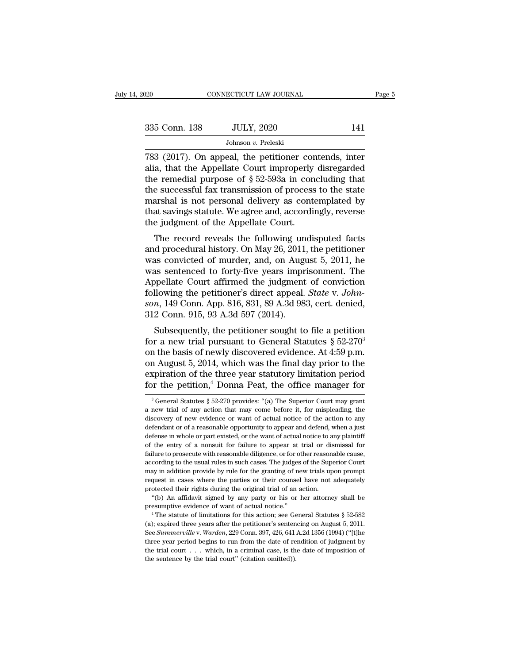| 2020          | CONNECTICUT LAW JOURNAL                                                                                                                                                | Page 5 |
|---------------|------------------------------------------------------------------------------------------------------------------------------------------------------------------------|--------|
|               |                                                                                                                                                                        |        |
| 335 Conn. 138 | <b>JULY, 2020</b>                                                                                                                                                      | 141    |
|               | Johnson v. Preleski                                                                                                                                                    |        |
|               | 783 (2017). On appeal, the petitioner contends, inter<br>alia, that the Appellate Court improperly disregarded<br>the remedial number of $8.59.502$ in concluding that |        |

335 Conn. 138 JULY, 2020 141<br>Johnson v. Preleski<br>783 (2017). On appeal, the petitioner contends, inter<br>alia, that the Appellate Court improperly disregarded<br>the remedial purpose of  $\S 52-593a$  in concluding that<br>the succe 335 Conn. 138 JULY, 2020 141<br>Johnson v. Preleski<br>783 (2017). On appeal, the petitioner contends, inter<br>alia, that the Appellate Court improperly disregarded<br>the remedial purpose of § 52-593a in concluding that<br>the success 335 Conn. 138 JULY, 2020 141<br>Johnson v. Preleski<br>783 (2017). On appeal, the petitioner contends, inter<br>alia, that the Appellate Court improperly disregarded<br>the remedial purpose of § 52-593a in concluding that<br>the success Johnson v. Preleski<br>
783 (2017). On appeal, the petitioner contends, inter<br>
alia, that the Appellate Court improperly disregarded<br>
the remedial purpose of § 52-593a in concluding that<br>
the successful fax transmission of p Johnson v. Preleski<br>
783 (2017). On appeal, the petitioner contends, inter<br>
alia, that the Appellate Court improperly disregarded<br>
the remedial purpose of § 52-593a in concluding that<br>
the successful fax transmission of p 783 (2017). On appeal, the petitioner coralia, that the Appellate Court improperly the remedial purpose of  $\S$  52-593a in con the successful fax transmission of process marshal is not personal delivery as contentiat savin a, that the Appenate Court improperly distegarded<br>
e remedial purpose of § 52-593a in concluding that<br>
e successful fax transmission of process to the state<br>
arshal is not personal delivery as contemplated by<br>
at savings the remedial purpose or y 32-535a in concluding that<br>the successful fax transmission of process to the state<br>marshal is not personal delivery as contemplated by<br>that savings statute. We agree and, accordingly, reverse<br>the

the successiu hax transmission of process to the state<br>marshal is not personal delivery as contemplated by<br>that savings statute. We agree and, accordingly, reverse<br>the judgment of the Appellate Court.<br>The record reveals th marshar is not personal denvery as contemplated by<br>that savings statute. We agree and, accordingly, reverse<br>the judgment of the Appellate Court.<br>The record reveals the following undisputed facts<br>and procedural history. On The record reveals the following undisputed facts<br>the judgment of the Appellate Court.<br>The record reveals the following undisputed facts<br>and procedural history. On May 26, 2011, the petitioner<br>was convicted of murder, and The record reveals the following undisputed facts<br>and procedural history. On May 26, 2011, the petitioner<br>was convicted of murder, and, on August 5, 2011, he<br>was sentenced to forty-five years imprisonment. The<br>Appellate Co The record reveals the following undisputed facts<br>and procedural history. On May 26, 2011, the petitioner<br>was convicted of murder, and, on August 5, 2011, he<br>was sentenced to forty-five years imprisonment. The<br>Appellate Co and procedural history. On May 26, 2011<br>was convicted of murder, and, on Augu<br>was sentenced to forty-five years impr<br>Appellate Court affirmed the judgment<br>following the petitioner's direct appeal.<br>son, 149 Conn. App. 816, as convicted of inducer, and, of August 5, 2011, he<br>as sentenced to forty-five years imprisonment. The<br>ppellate Court affirmed the judgment of conviction<br>llowing the petitioner's direct appeal. *State* v. John-<br>*n*, 149 C was sentenced to forty-five years imprisonment. The<br>Appellate Court affirmed the judgment of conviction<br>following the petitioner's direct appeal. *State v. John-*<br>son, 149 Conn. App. 816, 831, 89 A.3d 983, cert. denied,<br>3

refluxion following the petitioner's direct appeal. *State v. Johnson*, 149 Conn. App. 816, 831, 89 A.3d 983, cert. denied, 312 Conn. 915, 93 A.3d 597 (2014).<br>
Subsequently, the petitioner sought to file a petition for a From August 5, 2014, which was the final day prior to the expiration of the pertitioner sought to file a petition<br>of a new trial pursuant to General Statutes § 52-270<sup>3</sup><br>on the basis of newly discovered evidence. At 4:59 son, 149 Colin. App. 310, 39 A.3d 369, Cert. defined,<br>312 Conn. 915, 93 A.3d 597 (2014).<br>Subsequently, the petitioner sought to file a petition<br>for a new trial pursuant to General Statutes § 52-270<sup>3</sup><br>on the basis of newl Subsequently, the petitioner sought to file a petition<br>for a new trial pursuant to General Statutes § 52-270<sup>3</sup><br>on the basis of newly discovered evidence. At 4:59 p.m.<br>on August 5, 2014, which was the final day prior to t on the basis of newly discovered evidence. At 4:59 p.m.<br>
on August 5, 2014, which was the final day prior to the<br>
expiration of the three year statutory limitation period<br>
for the petition,<sup>4</sup> Donna Peat, the office manag on August 5, 2014, which was the final day prior to the expiration of the three year statutory limitation period for the petition,<sup>4</sup> Donna Peat, the office manager for  $\frac{3}{8}$  General Statutes § 52-270 provides: "(a) T

expiration of the three year statutory limitation period<br>for the petition,<sup>4</sup> Donna Peat, the office manager for<br> $\frac{3}{10}$  General Statutes  $\frac{52-270}{10}$  provides: "(a) The Superior Court may grant<br>a new trial of any a for the petition,<sup>4</sup> Donna Peat, the office manager for<br>
<sup>3</sup> General Statutes § 52-270 provides: "(a) The Superior Court may grant<br>
a new trial of any action that may come before it, for mispleading, the<br>
discovery of new <sup>3</sup> General Statutes § 52-270 provides: "(a) The Superior Court may grant a new trial of any action that may come before it, for mispleading, the discovery of new evidence or want of actual notice of the action to any def <sup>3</sup> General Statutes § 52-270 provides: "(a) The Superior Court may grant a new trial of any action that may come before it, for mispleading, the discovery of new evidence or want of actual notice of the action to any def a new trial of any action that may come before it, for mispleading, the discovery of new evidence or want of actual notice of the action to any defendant or of a reasonable opportunity to appear and defend, when a just def according to the widence or want of actual notice of the action to any defendant or of a reasonable opportunity to appear and defend, when a just defense in whole or part existed, or the want of actual notice to any plaint defendant or of a reasonable opportunity to appear and defend, when a just<br>defendant or of a reasonable opportunity to appear and defend, when a just<br>defense in whole or part existed, or the want of actual notice to any pl defense in whole or part existed, or the want of actual notice to any plaintiff of the entry of a nonsuit for failure to appear at trial or dismissal for failure to prosecute with reasonable diligence, or for other reasona For the entry of a possuit for failure to appear at trial or disfailure to prosecute with reasonable diligence, or for other reasonal according to the usual rules in such cases. The judges of the Supermay in addition provi The universe of the usual rules in such cases. The judges of the Superior Court<br>cording to the usual rules in such cases. The judges of the Superior Court<br>ay in addition provide by rule for the granting of new trials upon according to the usual rules in such cases. The judges of the Superior Court<br>may in addition provide by rule for the granting of new trials upon prompt<br>request in cases where the parties or their counsel have not adequate

<sup>(</sup>a); expired their rights during the original trial of an action.<br>
"(b) An affidavit signed by any party or his or her attorney shall be<br>
presumptive evidence of want of actual notice."<br>
"The statute of limitations for th protected their rights during the original trial of an action.<br>
"(b) An affidavit signed by any party or his or her attorney shall be<br>
presumptive evidence of want of actual notice."<br>
"The statute of limitations for this a "(b) An affidavit signed by any party or his or her attorney shall be<br>presumptive evidence of want of actual notice."<br>
"The statute of limitations for this action; see General Statutes § 52-582<br>
(a); expired three years a presumptive evidence of want of actual notice."<br>
<sup>4</sup> The statute of limitations for this action; see General Statutes § 52-582<br>
(a); expired three years after the petitioner's sentencing on August 5, 2011.<br>
See Summervill presumptive evidence of want of actual notice."<br>
<sup>4</sup> The statute of limitations for this action; see General Statutes § 52-582 (a); expired three years after the petitioner's sentencing on August 5, 2011.<br>
See Summerville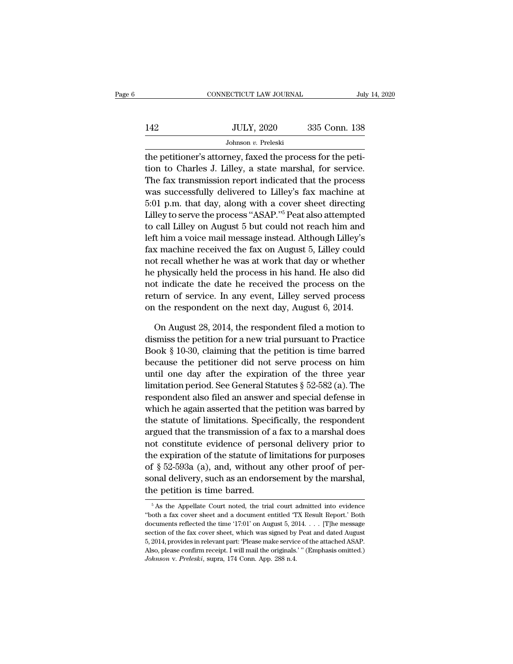|     | CONNECTICUT LAW JOURNAL | July 14, 2020 |
|-----|-------------------------|---------------|
|     |                         |               |
| 142 | <b>JULY, 2020</b>       | 335 Conn. 138 |
|     | Johnson v. Preleski     |               |

CONNECTICUT LAW JOURNAL<br>142 JULY, 2020 335 Conn. 138<br>10 Johnson v. Preleski<br>10 Johnson v. Preleski<br>10 The petition to Charles J. Lilley, a state marshal, for service. 142 JULY, 2020 335 Conn. 138<br>Johnson v. Preleski<br>the petitioner's attorney, faxed the process for the petition<br>to Charles J. Lilley, a state marshal, for service.<br>The fax transmission report indicated that the process  $\frac{JULY, 2020}{Johnson \, v. \,\text{Preleski}}$ <br>the petitioner's attorney, faxed the process for the petition to Charles J. Lilley, a state marshal, for service.<br>The fax transmission report indicated that the process was successfully deli JULY, 2020 335 Conn. 138<br>Johnson v. Preleski<br>the petitioner's attorney, faxed the process for the petition<br>to Charles J. Lilley, a state marshal, for service.<br>The fax transmission report indicated that the process<br>was succ Johnson v. Preleski<br>the petitioner's attorney, faxed the process for the peti-<br>tion to Charles J. Lilley, a state marshal, for service.<br>The fax transmission report indicated that the process<br>was successfully delivered to The petitioner's attorney, faxed the process for the petition to Charles J. Lilley, a state marshal, for service.<br>The fax transmission report indicated that the process<br>was successfully delivered to Lilley's fax machine at the petitioner's attorney, raxed the process for the petition to Charles J. Lilley, a state marshal, for service.<br>The fax transmission report indicated that the process<br>was successfully delivered to Lilley's fax machine at left him a voice mail message instead. Although Lilley's fax machine at 5:01 p.m. that day, along with a cover sheet directing Lilley to serve the process "ASAP."<sup>5</sup> Peat also attempted to call Lilley on August 5 but could The fax transmission report indicated that the process<br>was successfully delivered to Lilley's fax machine at<br>5:01 p.m. that day, along with a cover sheet directing<br>Lilley to serve the process "ASAP."<sup>5</sup> Peat also attempted was successiuny denvered to Liney's fax machine at 5:01 p.m. that day, along with a cover sheet directing Lilley to serve the process "ASAP."<sup>5</sup> Peat also attempted to call Lilley on August 5 but could not reach him and le bit p.m. that day, along with a cover sheet directing<br>Lilley to serve the process "ASAP."<sup>5</sup> Peat also attempted<br>to call Lilley on August 5 but could not reach him and<br>left him a voice mail message instead. Although Lilley Lilley to serve the process ASAP. The ratio attempted<br>to call Lilley on August 5 but could not reach him and<br>left him a voice mail message instead. Although Lilley's<br>fax machine received the fax on August 5, Lilley could<br>n to can Liney on August 5 but could not reach film and left him a voice mail message instead. Although Lilley's fax machine received the fax on August 5, Lilley could not recall whether he was at work that day or whether he Fax machine received the fax on August 5, Lilley could<br>not recall whether he was at work that day or whether<br>he physically held the process in his hand. He also did<br>not indicate the date he received the process on the<br>retu t recall whether he was at work that day or whether<br>
physically held the process in his hand. He also did<br>
t indicate the date he received the process on the<br>
turn of service. In any event, Lilley served process<br>
the respo he physically held the process in his hand. He also did<br>not indicate the date he received the process on the<br>return of service. In any event, Lilley served process<br>on the respondent on the next day, August 6, 2014.<br>On Augu

not indicate the date he received the process on the<br>return of service. In any event, Lilley served process<br>on the respondent on the next day, August 6, 2014.<br>On August 28, 2014, the respondent filed a motion to<br>dismiss th return of service. In any event, Lilley served process<br>on the respondent on the next day, August 6, 2014.<br>On August 28, 2014, the respondent filed a motion to<br>dismiss the petition for a new trial pursuant to Practice<br>Book on the respondent on the next day, August 6, 2014.<br>
On August 28, 2014, the respondent filed a motion to<br>
dismiss the petition for a new trial pursuant to Practice<br>
Book § 10-30, claiming that the petition is time barred<br> On August 28, 2014, the respondent filed a motion to<br>dismiss the petition for a new trial pursuant to Practice<br>Book § 10-30, claiming that the petition is time barred<br>because the petitioner did not serve process on him<br>un on August 28, 2014, the respondent med a motion to<br>dismiss the petition for a new trial pursuant to Practice<br>Book § 10-30, claiming that the petition is time barred<br>because the petitioner did not serve process on him<br>unti Book § 10-30, claiming that the petition is time barred<br>because the petitioner did not serve process on him<br>until one day after the expiration of the three year<br>limitation period. See General Statutes § 52-582 (a). The<br>re because the petitioner did not serve process on him<br>until one day after the expiration of the three year<br>limitation period. See General Statutes  $\S$  52-582 (a). The<br>respondent also filed an answer and special defense in<br>w because the pethtoner did not serve process on him<br>until one day after the expiration of the three year<br>limitation period. See General Statutes § 52-582 (a). The<br>respondent also filed an answer and special defense in<br>which limitation period. See General Statutes  $\S$  52-582 (a). The<br>respondent also filed an answer and special defense in<br>which he again asserted that the petition was barred by<br>the statute of limitations. Specifically, the resp minization period. See General Statutes  $\frac{1}{8}$  52-562 (a). The<br>respondent also filed an answer and special defense in<br>which he again asserted that the petition was barred by<br>the statute of limitations. Specifically, th respondent also lifed an allower and special defense in<br>which he again asserted that the petition was barred by<br>the statute of limitations. Specifically, the respondent<br>argued that the transmission of a fax to a marshal do which he again asserted that the petition was barred by<br>the statute of limitations. Specifically, the respondent<br>argued that the transmission of a fax to a marshal does<br>not constitute evidence of personal delivery prior t the statute of infinitions. Specificary<br>argued that the transmission of a<br>not constitute evidence of pers<br>the expiration of the statute of lift<br>of § 52-593a (a), and, without a<br>sonal delivery, such as an endors<br>the petiti E expiration of the statute of initiations for purposes<br>  $\frac{1}{2}$   $\frac{1}{2}$   $\frac{1}{2}$   $\frac{1}{2}$   $\frac{1}{2}$   $\frac{1}{2}$   $\frac{1}{2}$   $\frac{1}{2}$   $\frac{1}{2}$   $\frac{1}{2}$   $\frac{1}{2}$   $\frac{1}{2}$   $\frac{1}{2}$   $\frac{1}{2}$   $\frac{1}{2}$   $\frac{1}{2}$   $\frac{$ of § 52-593a (a), and, without any other proof of personal delivery, such as an endorsement by the marshal,<br>the petition is time barred.<br> $\frac{5}{6}$ As the Appellate Court noted, the trial court admitted into evidence<br>"both

sonal delivery, such as an endorsement by the marshal,<br>the petition is time barred.<br> $\frac{1}{100}$ <br> $\frac{1}{100}$ <br> $\frac{1}{100}$  a fax cover sheet and a document entitled 'TX Result Report.' Both<br>documents reflected the time '17:0 the petition is time barred.<br>  $\frac{1}{100}$  is time barred.<br>  $\frac{1}{100}$  is the Appellate Court noted, the trial court admitted into evidence<br>
"both a fax cover sheet and a document entitled "TX Result Report.' Both<br>
docume <sup>5</sup> As the Appellate Court noted, the trial court admitted into evidence<br><sup>5</sup> As the Appellate Court noted, the trial court admitted into evidence<br>"both a fax cover sheet and a document entitled 'TX Result Report.' Both<br>doc <sup>5</sup> As the Appellate Court noted, the trial court admitted into evidence "both a fax cover sheet and a document entitled 'TX Result Report.' Both documents reflected the time '17:01' on August 5, 2014. . . . [T]he message "both a fax cover sheet and a document entitled 'TX Result Report." Both documents reflected the time '17:01' on August 5, 2014. . . . [T]he message section of the fax cover sheet, which was signed by Peat and dated August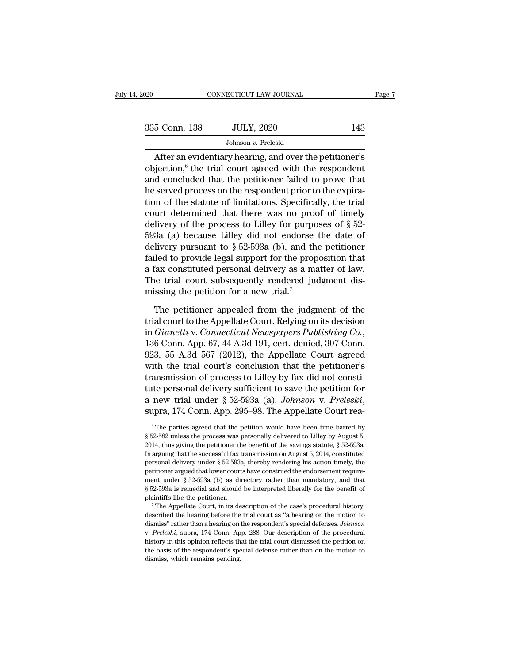| 2020          | CONNECTICUT LAW JOURNAL                                                                                              |     | Page 7 |
|---------------|----------------------------------------------------------------------------------------------------------------------|-----|--------|
|               |                                                                                                                      |     |        |
| 335 Conn. 138 | <b>JULY, 2020</b>                                                                                                    | 143 |        |
|               | Johnson v. Preleski                                                                                                  |     |        |
|               | After an evidentiary hearing, and over the petitioner's<br>objection, $6$ the trial court agreed with the respondent |     |        |
|               | and concluded that the potitionar failed to prove that                                                               |     |        |

335 Conn. 138 JULY, 2020 143<br>Johnson v. Preleski<br>After an evidentiary hearing, and over the petitioner's<br>objection,  $\binom{6}{1}$  the trial court agreed with the respondent<br>and concluded that the petitioner failed to prove t 335 Conn. 138 JULY, 2020 143<br>Johnson v. Preleski<br>After an evidentiary hearing, and over the petitioner's<br>objection,  $\binom{6}{1}$  the trial court agreed with the respondent<br>and concluded that the petitioner failed to prove t 335 Conn. 138 JULY, 2020 143<br>Johnson v. Preleski<br>After an evidentiary hearing, and over the petitioner's<br>objection,<sup>6</sup> the trial court agreed with the respondent<br>and concluded that the petitioner failed to prove that<br>he s Johnson v. Preleski<br>
After an evidentiary hearing, and over the petitioner's<br>
objection,  $6$  the trial court agreed with the respondent<br>
and concluded that the petitioner failed to prove that<br>
he served process on the res Somson v. Freesar<br>
objection,<sup>6</sup> the trial court agreed with the respondent<br>
and concluded that the petitioner failed to prove that<br>
he served process on the respondent prior to the expira-<br>
tion of the statute of limitat After an evidentiary hearing, and over the petitioner's<br>objection,<sup>6</sup> the trial court agreed with the respondent<br>and concluded that the petitioner failed to prove that<br>he served process on the respondent prior to the expi objection,<sup>6</sup> the trial court agreed with the respondent<br>and concluded that the petitioner failed to prove that<br>he served process on the respondent prior to the expira-<br>tion of the statute of limitations. Specifically, th and concluded that the petitioner failed to prove that<br>he served process on the respondent prior to the expira-<br>tion of the statute of limitations. Specifically, the trial<br>court determined that there was no proof of timel he served process on the respondent prior to the expiration of the statute of limitations. Specifically, the trial court determined that there was no proof of timely delivery of the process to Lilley for purposes of  $\S$  5 tion of the statute of limitations. Specifically, the trial<br>court determined that there was no proof of timely<br>delivery of the process to Lilley for purposes of  $\S$  52-<br>593a (a) because Lilley did not endorse the date of<br> court determined that there was no proof of timely<br>delivery of the process to Lilley for purposes of  $\S$  52-<br>593a (a) because Lilley did not endorse the date of<br>delivery pursuant to  $\S$  52-593a (b), and the petitioner<br>fai delivery of the process to Lilley for purpc 593a (a) because Lilley did not endorse delivery pursuant to  $\S 52-593a$  (b), and th failed to provide legal support for the prop a fax constituted personal delivery as a ma The livery pursuant to  $\S$  52-593a (b), and the petitioner<br>iled to provide legal support for the proposition that<br>fax constituted personal delivery as a matter of law.<br>ne trial court subsequently rendered judgment dis-<br>issing failed to provide legal support for the proposition that<br>a fax constituted personal delivery as a matter of law.<br>The trial court subsequently rendered judgment dis-<br>missing the petition for a new trial.<sup>7</sup><br>The petitioner a

in a fax constituted personal delivery as a matter of law.<br>The trial court subsequently rendered judgment dismissing the petition for a new trial.<sup>7</sup><br>The petitioner appealed from the judgment of the<br>trial court to the Appe missing the petition for a new trial.<sup>7</sup><br>The petitioner appealed from the judgment of the<br>trial court to the Appellate Court. Relying on its decision<br>in *Gianetti* v. *Connecticut Newspapers Publishing Co.*,<br>136 Conn. App. The petitioner appealed from the judgment of the<br>trial court to the Appellate Court. Relying on its decision<br>in *Gianetti* v. *Connecticut Newspapers Publishing Co.*,<br>136 Conn. App. 67, 44 A.3d 191, cert. denied, 307 Conn. The petitioner appealed from the judgment of the<br>trial court to the Appellate Court. Relying on its decision<br>in *Gianetti* v. *Connecticut Newspapers Publishing Co.*,<br>136 Conn. App. 67, 44 A.3d 191, cert. denied, 307 Conn trial court to the Appellate Court. Relying on its decision<br>in *Gianetti* v. *Connecticut Newspapers Publishing Co.*,<br>136 Conn. App. 67, 44 A.3d 191, cert. denied, 307 Conn.<br>923, 55 A.3d 567 (2012), the Appellate Court ag in *Gianetti* v. *Connecticut Newspapers Publishing Co.*, 136 Conn. App. 67, 44 A.3d 191, cert. denied, 307 Conn. 923, 55 A.3d 567 (2012), the Appellate Court agreed with the trial court's conclusion that the petitioner's transmission of process to Lilley by fax did not constitute personal delivery sufficient to save the petition for a new trial under § 52-593a (a). *Johnson v. Preleski*, supra, 174 Conn. App. 295–98. The Appellate Court r tute personal delivery sufficient to save the petition for<br>a new trial under § 52-593a (a). *Johnson* v. Preleski,<br>supra, 174 Conn. App. 295–98. The Appellate Court rea-<br><sup>6</sup>The parties agreed that the petition would have

a new trial under § 52-593a (a). *Johnson* v. *Preleski*, supra, 174 Conn. App. 295–98. The Appellate Court rea-<br>
<sup>6</sup> The parties agreed that the petition would have been time barred by § 52-582 unless the process was per **In arguing that the successful fax transmission on August 5, 2014, constituted** personal delivery under § 52-582 and the successful fax transmission on August 5, 2014, constituted personal delivery under § 52-593a, there supra, 174 COIIII. App. 230–30. The Appendic COUIT Fea-<br>
<sup>6</sup> The parties agreed that the petition would have been time barred by<br>
§ 52-582 unless the process was personally delivered to Lilley by August 5,<br>
2014, thus giv <sup>6</sup> The parties agreed that the petition would have been time barred by  $\S$  52-582 unless the process was personally delivered to Lilley by August 5, 2014, thus giving the petitioner the benefit of the savings statute,  $\S$ § 52-582 unless the process was personally delivered to Lilley by August 5, 2014, thus giving the petitioner the benefit of the savings statute, § 52-593a. In arguing that the successful fax transmission on August 5, 2014 3014, thus giving the petitioner the benefit of the savings statute,  $\S$  52-593a.<br>In arguing that the successful fax transmission on August 5, 2014, constituted<br>personal delivery under  $\S$  52-593a, thereby rendering his a In arguing that the successful fax transmission on August 5, 2014, constituted personal delivery under § 52-593a, thereby rendering his action timely, the petitioner argued that lower courts have construed the endorsement petitioner argued that lower courts have construed the endorsement requirement under § 52-593a (b) as directory rather than mandatory, and that § 52-593a is remedial and should be interpreted liberally for the benefit of

peart under § 52-593a (b) as directory rather than mandatory, and that § 52-593a is remedial and should be interpreted liberally for the benefit of plaintiffs like the petitioner.<br><sup>7</sup> The Appellate Court, in its descriptio § 52-593a is remedial and should be interpreted liberally for the benefit of plaintiffs like the petitioner.<br><sup>7</sup> The Appellate Court, in its description of the case's procedural history, described the hearing before the tr plaintiffs like the petitioner.<br>
<sup>7</sup> The Appellate Court, in its description of the case's procedural history,<br>
described the hearing before the trial court as "a hearing on the motion to<br>
dismiss" rather than a hearing on The Appellate Court, in its description of the case's procedural history, described the hearing before the trial court as "a hearing on the motion to dismiss" rather than a hearing on the respondent's special defenses. *J* described the hearing before the trial court as "a hearing on the motion to dismiss" rather than a hearing on the respondent's special defenses. *Johnson* v. *Preleski*, supra, 174 Conn. App. 288. Our description of the p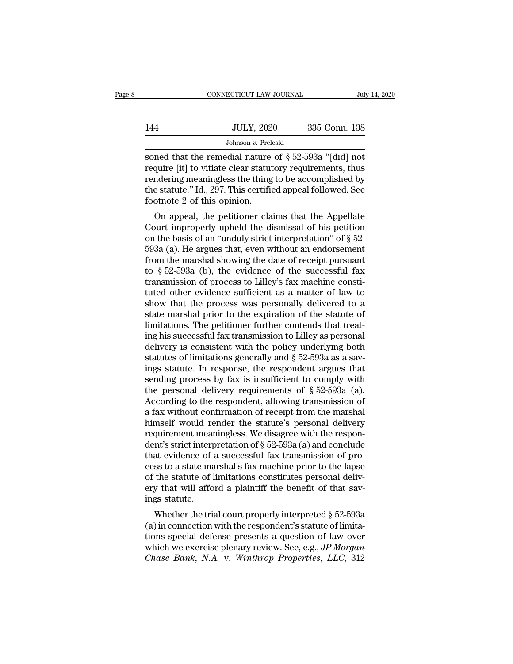|     | CONNECTICUT LAW JOURNAL | July 14, 2020 |
|-----|-------------------------|---------------|
| 144 | <b>JULY, 2020</b>       | 335 Conn. 138 |
|     | Johnson v. Preleski     |               |

CONNECTICUT LAW JOURNAL July 14, 2020<br>144 JULY, 2020 335 Conn. 138<br>10 Johnson v. Preleski<br>19 Soned that the remedial nature of § 52-593a "[did] not<br>19 require [it] to vitiate clear statutory requirements, thus<br>19 rendering 144 JULY, 2020 335 Conn. 138<br>Johnson v. Preleski<br>Soned that the remedial nature of  $\S 52-593a$  "[did] not<br>require [it] to vitiate clear statutory requirements, thus<br>rendering meaningless the thing to be accomplished by<br>th 144 JULY, 2020 335 Conn. 138<br>Johnson v. Preleski<br>soned that the remedial nature of  $\S 52-593a$  "[did] not<br>require [it] to vitiate clear statutory requirements, thus<br>rendering meaningless the thing to be accomplished by<br>th 144 JULY, 2020 335 Conn. 138<br>Johnson v. Preleski<br>soned that the remedial nature of § 52-593a "[did] not<br>require [it] to vitiate clear statutory requirements, thus<br>rendering meaningless the thing to be accomplished by<br>the soned that the remedial nature of  $\S$  52-593a "[did] not<br>require [it] to vitiate clear statutory requirements, thus<br>rendering meaningless the thing to be accomplished by<br>the statute." Id., 297. This certified appeal follo ned that the remedial nature of  $\S$  52-593a "[did] not<br>quire [it] to vitiate clear statutory requirements, thus<br>ndering meaningless the thing to be accomplished by<br>e statute." Id., 297. This certified appeal followed. See solied that the refliedant nature of  $\S$  32-3334 [did] flot<br>require [it] to vitiate clear statutory requirements, thus<br>rendering meaningless the thing to be accomplished by<br>the statute." Id., 297. This certified appeal fo

require [it] to viriate clear statutory requirements, thus<br>rendering meaningless the thing to be accomplished by<br>the statute." Id., 297. This certified appeal followed. See<br>footnote 2 of this opinion.<br>On appeal, the petit Fendering meaningless the thing to be accomplished by<br>the statute." Id., 297. This certified appeal followed. See<br>footnote 2 of this opinion.<br>On appeal, the petitioner claims that the Appellate<br>Court improperly upheld the from the statute. Id., 257. This certified appear followed. See<br>footnote 2 of this opinion.<br>On appeal, the petitioner claims that the Appellate<br>Court improperly upheld the dismissal of his petition<br>on the basis of an "und froothote 2 of this opinion.<br>
On appeal, the petitioner claims that the Appellate<br>
Court improperly upheld the dismissal of his petition<br>
on the basis of an "unduly strict interpretation" of § 52-<br>
593a (a). He argues tha On appeal, the petitioner claims that the Appellate<br>Court improperly upheld the dismissal of his petition<br>on the basis of an "unduly strict interpretation" of  $\S$  52-<br>593a (a). He argues that, even without an endorsement<br> Court improperly upheld the dismissal of his petition<br>on the basis of an "unduly strict interpretation" of  $\S$  52-<br>593a (a). He argues that, even without an endorsement<br>from the marshal showing the date of receipt pursuan on the basis of an "unduly strict interpretation" of  $\S$  52-593a (a). He argues that, even without an endorsement<br>from the marshal showing the date of receipt pursuant<br>to  $\S$  52-593a (b), the evidence of the successful fa 593a (a). He argues that, even without an endorsement<br>from the marshal showing the date of receipt pursuant<br>to  $\S$  52-593a (b), the evidence of the successful fax<br>transmission of process to Lilley's fax machine consti-<br>tu from the marshal showing the date of receipt pursuant<br>to  $\S$  52-593a (b), the evidence of the successful fax<br>transmission of process to Lilley's fax machine consti-<br>tuted other evidence sufficient as a matter of law to<br>sh to  $\S 52-593a$  (b), the evidence of the successful fax<br>transmission of process to Lilley's fax machine consti-<br>tuted other evidence sufficient as a matter of law to<br>show that the process was personally delivered to a<br>stat transmission of process to Lilley's fax machine constituted other evidence sufficient as a matter of law to show that the process was personally delivered to a state marshal prior to the expiration of the statute of limita tuted other evidence sufficient as a matter of law to<br>show that the process was personally delivered to a<br>state marshal prior to the expiration of the statute of<br>limitations. The petitioner further contends that treat-<br>ing show that the process was personally delivered to a<br>state marshal prior to the expiration of the statute of<br>limitations. The petitioner further contends that treat-<br>ing his successful fax transmission to Lilley as persona state marshal prior to the expiration of the statute of<br>limitations. The petitioner further contends that treat-<br>ing his successful fax transmission to Lilley as personal<br>delivery is consistent with the policy underlying limitations. The petitioner further contends that treating his successful fax transmission to Lilley as personal delivery is consistent with the policy underlying both statutes of limitations generally and  $\S 52-593a$  as ing his successful fax transmission to Lilley as personal<br>delivery is consistent with the policy underlying both<br>statutes of limitations generally and  $\S 52-593a$  as a sav-<br>ings statute. In response, the respondent argues delivery is consistent with the policy underlying both<br>statutes of limitations generally and  $\S$  52-593a as a sav-<br>ings statute. In response, the respondent argues that<br>sending process by fax is insufficient to comply wit statutes of limitations generally and  $\S$  52-593a as a savings statute. In response, the respondent argues that<br>sending process by fax is insufficient to comply with<br>the personal delivery requirements of  $\S$  52-593a (a).<br> ings statute. In response, the respondent argues that<br>sending process by fax is insufficient to comply with<br>the personal delivery requirements of  $\S 52-593a$  (a).<br>According to the respondent, allowing transmission of<br>a fa sending process by fax is insufficient to comply with<br>the personal delivery requirements of § 52-593a (a).<br>According to the respondent, allowing transmission of<br>a fax without confirmation of receipt from the marshal<br>himse the personal delivery requirements of  $\S$  52-593a (a).<br>According to the respondent, allowing transmission of<br>a fax without confirmation of receipt from the marshal<br>himself would render the statute's personal delivery<br>requ According to the respondent, allowing transmission of<br>a fax without confirmation of receipt from the marshal<br>himself would render the statute's personal delivery<br>requirement meaningless. We disagree with the respon-<br>dent' a fax without confirmation of receipt from the marshal<br>himself would render the statute's personal delivery<br>requirement meaningless. We disagree with the respon-<br>dent's strict interpretation of § 52-593a (a) and conclude<br>t himself would render the statute's personal delivery<br>requirement meaningless. We disagree with the respon-<br>dent's strict interpretation of  $\S$  52-593a (a) and conclude<br>that evidence of a successful fax transmission of pro requirement mean<br>dent's strict interp<br>that evidence of :<br>cess to a state ma<br>of the statute of l<br>ery that will affo<br>ings statute.<br>Whether the tri: In such the trial concrete of a successful fax transmission of pross to a state marshal's fax machine prior to the lapse<br>the statute of limitations constitutes personal deliv-<br>y that will afford a plaintiff the benefit of that evidence of a successium ax transmission of process to a state marshal's fax machine prior to the lapse<br>of the statute of limitations constitutes personal deliv-<br>ery that will afford a plaintiff the benefit of that s

the statute of limitations constitutes personal delivery that will afford a plaintiff the benefit of that savings statute.<br>
Whether the trial court properly interpreted § 52-593a<br>
(a) in connection with the respondent's s or the statute of influations constitutes personal denv-<br>ery that will afford a plaintiff the benefit of that sav-<br>ings statute.<br>Whether the trial court properly interpreted § 52-593a<br>(a) in connection with the respondent' Fry that will allord a plaintiff the benefit of that savings statute.<br>
Whether the trial court properly interpreted § 52-593a<br>
(a) in connection with the respondent's statute of limita-<br>
tions special defense presents a qu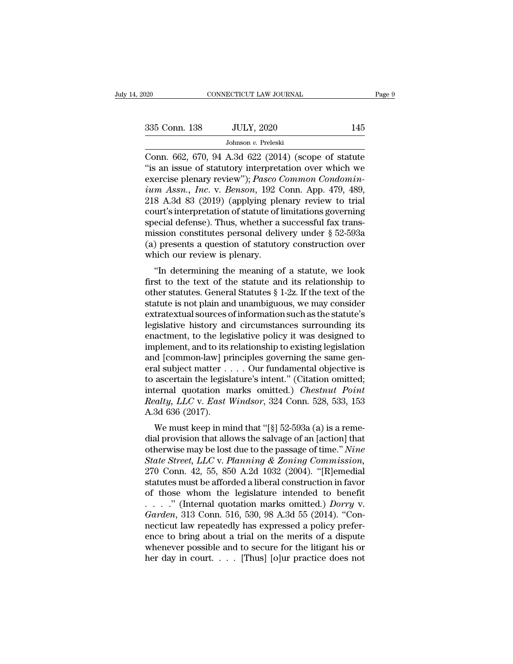| 2020          | CONNECTICUT LAW JOURNAL                                                                                                                                            | Page 9 |
|---------------|--------------------------------------------------------------------------------------------------------------------------------------------------------------------|--------|
|               |                                                                                                                                                                    |        |
| 335 Conn. 138 | <b>JULY, 2020</b>                                                                                                                                                  | 145    |
|               | Johnson v. Preleski                                                                                                                                                |        |
|               | Conn. 662, 670, 94 A.3d 622 (2014) (scope of statute<br>"is an issue of statutory interpretation over which we<br>exercise planary review"). Dasse Common Condemin |        |

<sup>335</sup> Conn. 138 JULY, 2020 145<br>
Johnson v. Preleski<br>
Conn. 662, 670, 94 A.3d 622 (2014) (scope of statute<br>
"is an issue of statutory interpretation over which we<br>
exercise plenary review"); *Pasco Common Condomin-*<br>
ium A exercise plenary review''); *Pasco Common Condomin-*<br> *Johnson v. Preleski*<br>
Conn. 662, 670, 94 A.3d 622 (2014) (scope of statute<br>
"is an issue of statutory interpretation over which we<br>
exercise plenary review"); *Pasco C JULY, 2020* 145<br> *Johnson v. Preleski*<br>
Conn. 662, 670, 94 A.3d 622 (2014) (scope of statute<br>
"is an issue of statutory interpretation over which we<br>
exercise plenary review"); *Pasco Common Condomin-*<br> *ium Assn., Inc.* Johnson v. Preleski<br>
Conn. 662, 670, 94 A.3d 622 (2014) (scope of statute<br>
"is an issue of statutory interpretation over which we<br>
exercise plenary review"); *Pasco Common Condomin-*<br> *ium Assn., Inc.* v. *Benson,* 192 Co Johnson v. Preleski<br>Conn. 662, 670, 94 A.3d 622 (2014) (scope of statute<br>"is an issue of statutory interpretation over which we<br>exercise plenary review"); *Pasco Common Condomin-*<br>ium Assn., Inc. v. Benson, 192 Conn. App. Conn. 662, 670, 94 A.3d 622 (2014) (scope of statute "is an issue of statutory interpretation over which we exercise plenary review"); *Pasco Common Condominium Assn., Inc.* v. *Benson*, 192 Conn. App. 479, 489, 218 A.3d "is an issue of statutory interpretation over which we<br>exercise plenary review"); *Pasco Common Condomin-*<br>*ium Assn., Inc.* v. *Benson,* 192 Conn. App. 479, 489,<br>218 A.3d 83 (2019) (applying plenary review to trial<br>court exercise plenary review"); *Pasco Common Condomin-*<br> *ium Assn.*, *Inc.* v. *Benson*, 192 Conn. App. 479, 489,<br>
218 A.3d 83 (2019) (applying plenary review to trial<br>
court's interpretation of statute of limitations governi ium Assn., Inc. v. Benson, 192 C<br>218 A.3d 83 (2019) (applying ple<br>court's interpretation of statute of l<br>special defense). Thus, whether a<br>mission constitutes personal deliv<br>(a) presents a question of statuto<br>which our rev o A.5d o5 (2019) (applying pienary review to that<br>
urt's interpretation of statute of limitations governing<br>
ecial defense). Thus, whether a successful fax trans-<br>
ission constitutes personal delivery under  $\S 52-593a$ <br>
) first to the text of the statute of initiations governing<br>special defense). Thus, whether a successful fax trans-<br>mission constitutes personal delivery under  $\S$  52-593a<br>(a) presents a question of statutory construction o

special defense). Thus, whether a succession fax transmission constitutes personal delivery under § 52-593a<br>(a) presents a question of statutory construction over<br>which our review is plenary.<br>"In determining the meaning of Filission constructes personal denvery under  $\S$  52-555a<br>
(a) presents a question of statutory construction over<br>
which our review is plenary.<br>
"In determining the meaning of a statute, we look<br>
first to the text of the s (a) presents a question of statutory construction over<br>which our review is plenary.<br>"In determining the meaning of a statute, we look<br>first to the text of the statute and its relationship to<br>other statutes. General Statut which our review is pienary.<br>
"In determining the meaning of a statute, we look<br>
first to the text of the statute and its relationship to<br>
other statutes. General Statutes  $\S 1-2z$ . If the text of the<br>
statute is not plai "In determining the meaning of a statute, we look<br>first to the text of the statute and its relationship to<br>other statutes. General Statutes  $\S 1-2z$ . If the text of the<br>statute is not plain and unambiguous, we may conside first to the text of the statute and its relationship to<br>other statutes. General Statutes § 1-2z. If the text of the<br>statute is not plain and unambiguous, we may consider<br>extratextual sources of information such as the sta other statutes. General Statutes § 1-2z. If the text of the statute is not plain and unambiguous, we may consider extratextual sources of information such as the statute's legislative history and circumstances surrounding statute is not plain and unambiguous, we may consider<br>extratextual sources of information such as the statute's<br>legislative history and circumstances surrounding its<br>enactment, to the legislative policy it was designed to<br> extratextual sources of information such as the statute's<br>legislative history and circumstances surrounding its<br>enactment, to the legislative policy it was designed to<br>implement, and to its relationship to existing legisl legislative history and circumstances surrounding its<br>enactment, to the legislative policy it was designed to<br>implement, and to its relationship to existing legislation<br>and [common-law] principles governing the same gen-<br>e enactment, to the legislative policy it was designed to<br>implement, and to its relationship to existing legislation<br>and [common-law] principles governing the same gen-<br>eral subject matter . . . . Our fundamental objective i implement, and to its i<br>and [common-law] pr<br>eral subject matter .<br>to ascertain the legisl<br>internal quotation m<br>Realty, LLC v. East I<br>A.3d 636 (2017).<br>We must keep in mi Meantled Schematical subject matter  $\dots$  Our fundamental objective is<br>ascertain the legislature's intent." (Citation omitted;<br>ternal quotation marks omitted.) *Chestnut Point*<br>alty, LLC v. East Windsor, 324 Conn. 528, 533 Frame Subject matter  $\cdot \cdot \cdot \cdot$  Our fundamental objective is<br>to ascertain the legislature's intent." (Citation omitted;<br>internal quotation marks omitted.) *Chestnut Point*<br>Realty, LLC v. East Windsor, 324 Conn. 528, 533,

to ascertain the regislature's intent. (Chation onlitted,<br>internal quotation marks omitted.) *Chestnut Point*<br>Realty, LLC v. East Windsor, 324 Conn. 528, 533, 153<br>A.3d 636 (2017).<br>We must keep in mind that "[§] 52-593a (a) *Realty, LLC* v. *East Windsor*, 324 Conn. 528, 533, 153<br>
A.3d 636 (2017).<br>
We must keep in mind that "[§] 52-593a (a) is a remedial provision that allows the salvage of an [action] that<br>
otherwise may be lost due to the p Realty, *LLC* v. *East windsor*, 524 Conn. 528, 555, 155<br>A.3d 636 (2017).<br>We must keep in mind that "[§] 52-593a (a) is a reme-<br>dial provision that allows the salvage of an [action] that<br>otherwise may be lost due to the p Statutes must keep in mind that "[§] 52-593a (a) is a remedial provision that allows the salvage of an [action] that otherwise may be lost due to the passage of time." *Nine State Street, LLC* v. *Planning & Zoning Commis* We must keep in mind that "[§] 52-593a (a) is a remedial provision that allows the salvage of an [action] that otherwise may be lost due to the passage of time." *Nine* State Street, LLC v. Planning & Zoning Commission, 2 dial provision that allows the salvage of an [action] that<br>
otherwise may be lost due to the passage of time." *Nine*<br> *State Street, LLC* v. *Planning & Zoning Commission*,<br>
270 Conn. 42, 55, 850 A.2d 1032 (2004). "[R]eme otherwise may be lost due to the passage of time." *Nine*<br>*State Street, LLC v. Planning & Zoning Commission,*<br>270 Conn. 42, 55, 850 A.2d 1032 (2004). "[R]emedial<br>statutes must be afforded a liberal construction in favor<br>o State Street, LLC v. Planning & Zoning Commission,<br>270 Conn. 42, 55, 850 A.2d 1032 (2004). "[R]emedial<br>statutes must be afforded a liberal construction in favor<br>of those whom the legislature intended to benefit<br> $\ldots$  ." ( 270 Conn. 42, 55, 850 A.2d 1032 (2004). "[R]emedial<br>statutes must be afforded a liberal construction in favor<br>of those whom the legislature intended to benefit<br> $\ldots$ ." (Internal quotation marks omitted.) *Dorry* v.<br>*Garde* statutes must be afforded a liberal construction in favor<br>of those whom the legislature intended to benefit<br>...." (Internal quotation marks omitted.) *Dorry* v.<br>Garden, 313 Conn. 516, 530, 98 A.3d 55 (2014). "Con-<br>necticu of those whom the legislature intended to benefit<br>...." (Internal quotation marks omitted.) *Dorry* v.<br>Garden, 313 Conn. 516, 530, 98 A.3d 55 (2014). "Con-<br>necticut law repeatedly has expressed a policy prefer-<br>ence to br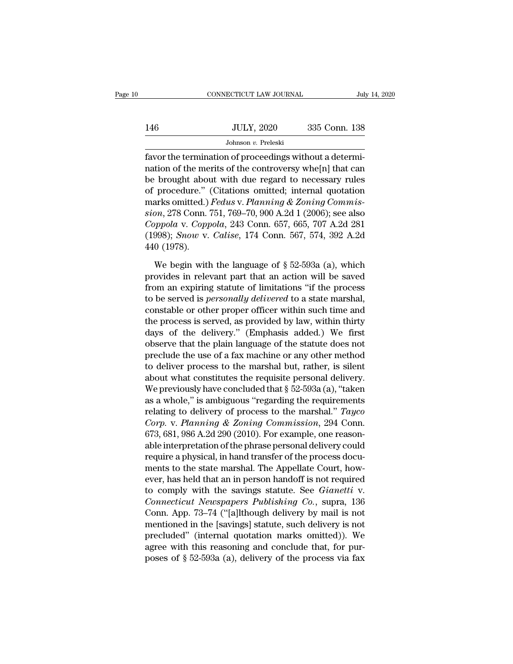|     | CONNECTICUT LAW JOURNAL | July 14, 2020 |
|-----|-------------------------|---------------|
|     |                         |               |
| 146 | <b>JULY, 2020</b>       | 335 Conn. 138 |
|     | Johnson v. Preleski     |               |

Fax CONNECTICUT LAW JOURNAL<br>
Favor the termination of proceedings without a determination of the merits of the controversy whe $[n]$  that can<br>
the have the termination of the controversy whe $[n]$  that can<br>
the have the termi  $146$  JULY, 2020 335 Conn. 138<br>Johnson v. Preleski<br>favor the termination of proceedings without a determination of the merits of the controversy whe[n] that can<br>be brought about with due regard to necessary rules<br>of proce 146 JULY, 2020 335 Conn. 138<br>
Johnson v. Preleski<br>
favor the termination of proceedings without a determination of the merits of the controversy whe[n] that can<br>
be brought about with due regard to necessary rules<br>
of pro 146 JULY, 2020 335 Conn. 138<br>Johnson v. Preleski<br>favor the termination of proceedings without a determination of the merits of the controversy whe[n] that can<br>be brought about with due regard to necessary rules<br>of procedu Johnson *v*. Preleski<br>
favor the termination of proceedings without a determi-<br>
nation of the merits of the controversy whe[n] that can<br>
be brought about with due regard to necessary rules<br>
of procedure." (Citations omitte **Franchison** *v*. Freeskingtheory of the termination of the merits of the controversy whe[n] that can be brought about with due regard to necessary rules of procedure." (Citations omitted; internal quotation marks omitted. favor the termination of proceedings without a determination of the merits of the controversy whe[n] that can<br>be brought about with due regard to necessary rules<br>of procedure." (Citations omitted; internal quotation<br>marks nation of the merits of the controversy whe[n] that can<br>be brought about with due regard to necessary rules<br>of procedure." (Citations omitted; internal quotation<br>marks omitted.) *Fedus* v. *Planning & Zoning Commis-<br>sion*, be brought about<br>of procedure."<br>marks omitted.)<br>sion, 278 Conn.<br>*Coppola v. Copp*<br>(1998); *Snow v*.<br>440 (1978).<br>We begin with arks omitted.) *Fedus* v. *Planning & Zoning Commis-*<br>  $on, 278$  Conn. 751, 769–70, 900 A.2d 1 (2006); see also<br>  $pp pola$  v. *Coppola*, 243 Conn. 657, 665, 707 A.2d 281<br>  $998$ ); *Snow* v. *Calise*, 174 Conn. 567, 574, 392 A.2 sion, 278 Conn. 751, 769–70, 900 A.2d 1 (2006); see also<br> *Coppola* v. *Coppola*, 243 Conn. 657, 665, 707 A.2d 281<br>
(1998); *Snow* v. *Calise*, 174 Conn. 567, 574, 392 A.2d<br>
440 (1978).<br>
We begin with the language of  $\S$ 

Coppola v. Coppola, 243 Conn. 657, 665, 707 A.2d 281<br>(1998); *Snow v. Calise*, 174 Conn. 567, 574, 392 A.2d<br>440 (1978).<br>We begin with the language of  $\S$  52-593a (a), which<br>provides in relevant part that an action will be (1998); *Snow v. Calise*, 174 Conn. 567, 574, 392 A.2d<br>440 (1978).<br>We begin with the language of  $\S$  52-593a (a), which<br>provides in relevant part that an action will be saved<br>from an expiring statute of limitations "if th 440 (1978).<br>We begin with the language of  $\S$  52-593a (a), which<br>provides in relevant part that an action will be saved<br>from an expiring statute of limitations "if the process<br>to be served is *personally delivered* to a s We begin with the language of  $\S$  52-593a (a), which<br>provides in relevant part that an action will be saved<br>from an expiring statute of limitations "if the process<br>to be served is *personally delivered* to a state marshal We begin with the language of  $\S$  52-593a (a), which<br>provides in relevant part that an action will be saved<br>from an expiring statute of limitations "if the process<br>to be served is *personally delivered* to a state marshal provides in relevant part that an action will be saved<br>from an expiring statute of limitations "if the process<br>to be served is *personally delivered* to a state marshal,<br>constable or other proper officer within such time a from an expiring statute of limitations "if the process<br>to be served is *personally delivered* to a state marshal,<br>constable or other proper officer within such time and<br>the process is served, as provided by law, within th to be served is *personally delivered* to a state marshal,<br>constable or other proper officer within such time and<br>the process is served, as provided by law, within thirty<br>days of the delivery." (Emphasis added.) We first<br> constable or other proper officer within such time and<br>the process is served, as provided by law, within thirty<br>days of the delivery." (Emphasis added.) We first<br>observe that the plain language of the statute does not<br>pre the process is served, as provided by law, within thirty<br>days of the delivery." (Emphasis added.) We first<br>observe that the plain language of the statute does not<br>preclude the use of a fax machine or any other method<br>to d days of the delivery." (Emphasis added.) We first<br>observe that the plain language of the statute does not<br>preclude the use of a fax machine or any other method<br>to deliver process to the marshal but, rather, is silent<br>abou observe that the plain language of the statute does not<br>preclude the use of a fax machine or any other method<br>to deliver process to the marshal but, rather, is silent<br>about what constitutes the requisite personal delivery. preclude the use of a fax machine or any other method<br>to deliver process to the marshal but, rather, is silent<br>about what constitutes the requisite personal delivery.<br>We previously have concluded that § 52-593a (a), "taken to deliver process to the marshal but, rather, is silent<br>about what constitutes the requisite personal delivery.<br>We previously have concluded that § 52-593a (a), "taken<br>as a whole," is ambiguous "regarding the requirement about what constitutes the requisite personal delivery.<br>We previously have concluded that  $\S$  52-593a (a), "taken<br>as a whole," is ambiguous "regarding the requirements<br>relating to delivery of process to the marshal." *Tay* We previously have concluded that  $\S$  52-593a (a), "taken<br>as a whole," is ambiguous "regarding the requirements<br>relating to delivery of process to the marshal." *Tayco*<br>*Corp.* v. *Planning & Zoning Commission*, 294 Conn. as a whole," is ambiguous "regarding the requirements<br>relating to delivery of process to the marshal." Tayco<br>*Corp.* v. Planning & Zoning Commission, 294 Conn.<br>673, 681, 986 A.2d 290 (2010). For example, one reason-<br>able relating to delivery of process to the marshal." Tayco Corp. v. Planning & Zoning Commission, 294 Conn.<br>673, 681, 986 A.2d 290 (2010). For example, one reasonable interpretation of the phrase personal delivery could<br>requi Corp. v. Planning & Zoning Commission, 294 Conn.<br>673, 681, 986 A.2d 290 (2010). For example, one reason-<br>able interpretation of the phrase personal delivery could<br>require a physical, in hand transfer of the process docu-<br>m 673, 681, 986 A.2d 290 (2010). For example, one reasonable interpretation of the phrase personal delivery could require a physical, in hand transfer of the process documents to the state marshal. The Appellate Court, howev able interpretation of the phrase personal delivery could<br>require a physical, in hand transfer of the process docu-<br>ments to the state marshal. The Appellate Court, how-<br>ever, has held that an in person handoff is not requ require a physical, in hand transfer of the process documents to the state marshal. The Appellate Court, however, has held that an in person handoff is not required to comply with the savings statute. See *Gianetti* v. *Co* ments to the state marshal. The Appellate Court, how-<br>ever, has held that an in person handoff is not required<br>to comply with the savings statute. See *Gianetti* v.<br>*Connecticut Newspapers Publishing Co.*, supra, 136<br>Conn. ever, has held that an in person handoff is not required<br>to comply with the savings statute. See *Gianetti* v.<br>*Connecticut Newspapers Publishing Co.*, supra, 136<br>Conn. App. 73–74 ("[a]|though delivery by mail is not<br>ment to comply with the savings statute. See *Gianetti* v.<br>Connecticut Newspapers Publishing Co., supra, 136<br>Conn. App. 73–74 ("[a]lthough delivery by mail is not<br>mentioned in the [savings] statute, such delivery is not<br>preclu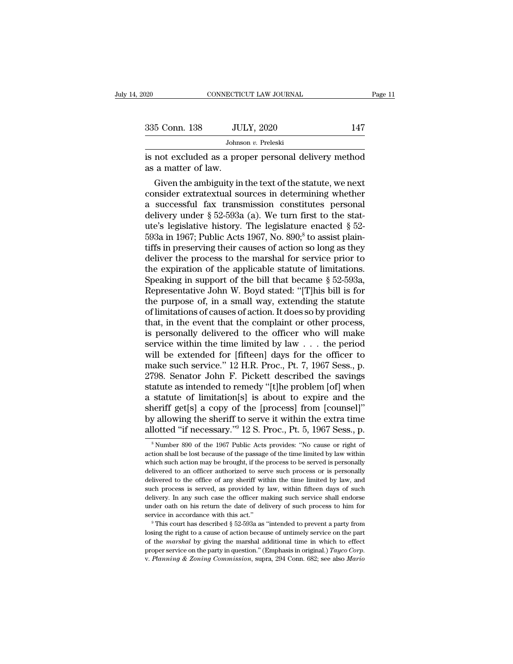| 2020                | CONNECTICUT LAW JOURNAL                                                                                                                                               | Page 11 |
|---------------------|-----------------------------------------------------------------------------------------------------------------------------------------------------------------------|---------|
|                     |                                                                                                                                                                       |         |
| 335 Conn. 138       | <b>JULY, 2020</b>                                                                                                                                                     | 147     |
|                     | Johnson v. Preleski                                                                                                                                                   |         |
| as a matter of law. | is not excluded as a proper personal delivery method                                                                                                                  |         |
|                     | Given the ambiguity in the text of the statute, we next<br>consider extratextual sources in determining whether<br>e successful fay transmission constitutes personal |         |

335 Conn. 138 JULY, 2020 147<br>Johnson v. Preleski<br>is not excluded as a proper personal delivery method<br>as a matter of law.<br>Given the ambiguity in the text of the statute, we next<br>consider extratextual sources in determinin Johnson v. Preleski<br>
is not excluded as a proper personal delivery method<br>
as a matter of law.<br>
Given the ambiguity in the text of the statute, we next<br>
consider extratextual sources in determining whether<br>
a successful f is not excluded as a proper personal delivery method<br>as a matter of law.<br>Given the ambiguity in the text of the statute, we next<br>consider extratextual sources in determining whether<br>a successful fax transmission constitut us not excluded as a proper personal delivery method<br>as a matter of law.<br>Given the ambiguity in the text of the statute, we next<br>consider extratextual sources in determining whether<br>a successful fax transmission constitut as a matter of law.<br>
Given the ambiguity in the text of the statute, we next<br>
consider extratextual sources in determining whether<br>
a successful fax transmission constitutes personal<br>
delivery under § 52-593a (a). We turn Given the ambiguity in the text of the statute, we next<br>consider extratextual sources in determining whether<br>a successful fax transmission constitutes personal<br>delivery under § 52-593a (a). We turn first to the stat-<br>ute' consider extratextual sources in determining whether<br>a successful fax transmission constitutes personal<br>delivery under  $\S 52-593a$  (a). We turn first to the stat-<br>ute's legislative history. The legislature enacted  $\S 52-5$ a successful fax transmission constitutes personal<br>delivery under § 52-593a (a). We turn first to the stat-<br>ute's legislative history. The legislature enacted § 52-<br>593a in 1967; Public Acts 1967, No. 890;<sup>8</sup> to assist pl delivery under § 52-593a (a). We turn first to the stat-<br>ute's legislative history. The legislature enacted § 52-<br>593a in 1967; Public Acts 1967, No. 890,<sup>8</sup> to assist plain-<br>tiffs in preserving their causes of action so ute's legislative history. The legislature enacted § 52-<br>593a in 1967; Public Acts 1967, No. 890;<sup>8</sup> to assist plain-<br>tiffs in preserving their causes of action so long as they<br>deliver the process to the marshal for servic 593a in 1967; Public Acts 1967, No. 890;<sup>8</sup> to assist plaintiffs in preserving their causes of action so long as they deliver the process to the marshal for service prior to the expiration of the applicable statute of lim tiffs in preserving their causes of action so long as they<br>deliver the process to the marshal for service prior to<br>the expiration of the applicable statute of limitations.<br>Speaking in support of the bill that became § 52-5 deliver the process to the marshal for service prior to<br>the expiration of the applicable statute of limitations.<br>Speaking in support of the bill that became § 52-593a,<br>Representative John W. Boyd stated: "[T]his bill is fo the expiration of the applicable statute of limitations.<br>Speaking in support of the bill that became § 52-593a,<br>Representative John W. Boyd stated: "[T]his bill is for<br>the purpose of, in a small way, extending the statute Speaking in support of the bill that became § 52-593a,<br>Representative John W. Boyd stated: "[T]his bill is for<br>the purpose of, in a small way, extending the statute<br>of limitations of causes of action. It does so by provid Representative John W. Boyd stated: "[T]his bill is for<br>the purpose of, in a small way, extending the statute<br>of limitations of causes of action. It does so by providing<br>that, in the event that the complaint or other proc the purpose of, in a small way, extending the statute<br>of limitations of causes of action. It does so by providing<br>that, in the event that the complaint or other process,<br>is personally delivered to the officer who will make of limitations of causes of action. It does so by providing<br>that, in the event that the complaint or other process,<br>is personally delivered to the officer who will make<br>service within the time limited by law . . . the peri that, in the event that the complaint or other process,<br>is personally delivered to the officer who will make<br>service within the time limited by law  $\dots$  the period<br>will be extended for [fifteen] days for the officer to<br>ma is personally delivered to the officer who will make<br>service within the time limited by law . . . the period<br>will be extended for [fifteen] days for the officer to<br>make such service."  $12$  H.R. Proc., Pt. 7, 1967 Sess., p service within the time limited by law . . . the period<br>will be extended for [fifteen] days for the officer to<br>make such service." 12 H.R. Proc., Pt. 7, 1967 Sess., p.<br>2798. Senator John F. Pickett described the savings<br>s will be extended for [fifteen] days for the officer to<br>make such service." 12 H.R. Proc., Pt. 7, 1967 Sess., p.<br>2798. Senator John F. Pickett described the savings<br>statute as intended to remedy "[t]he problem [of] when<br>a s make such service." 12 H.R. Proc., Pt. 7, 1967 Sess., p.<br>2798. Senator John F. Pickett described the savings<br>statute as intended to remedy "[t]he problem [of] when<br>a statute of limitation[s] is about to expire and the<br>sher statute of limitation[s] is about to expire and the neriff get[s] a copy of the [process] from [counsel]" y allowing the sheriff to serve it within the extra time lotted "if necessary."<sup>9</sup> 12 S. Proc., Pt. 5, 1967 Sess., sheriff get[s] a copy of the [process] from [counsel]"<br>by allowing the sheriff to serve it within the extra time<br>allotted "if necessary."<sup>9</sup> 12 S. Proc., Pt. 5, 1967 Sess., p.<br><sup>8</sup> Number 890 of the 1967 Public Acts provide

by allowing the sheriff to serve it within the extra time<br>allotted "if necessary."<sup>9</sup> 12 S. Proc., Pt. 5, 1967 Sess., p.<br><sup>8</sup> Number 890 of the 1967 Public Acts provides: "No cause or right of<br>action shall be lost because o allotted "if necessary."<sup>9</sup> 12 S. Proc., Pt. 5, 1967 Sess., p.<br><sup>8</sup>Number 890 of the 1967 Public Acts provides: "No cause or right of action shall be lost because of the passage of the time limited by law within which such Munted True Cessary. T2 S. Proc., Pt. 3, 1907 Sess., p.<br>
<sup>8</sup> Number 890 of the 1967 Public Acts provides: "No cause or right of<br>
action shall be lost because of the passage of the time limited by law within<br>
which such ac s Number 890 of the 1967 Public Acts provides: "No cause or right of action shall be lost because of the passage of the time limited by law within which such action may be brought, if the process to be served is personall action shall be lost because of the passage of the time limited by law within which such action may be brought, if the process to be served is personally delivered to an officer authorized to serve such process or is perso delivered to the office of any sheriff within the time limited by law, and such process is served, as provided by law, within fifteen days of such delivery. In any such case the officer making such service shall endorse u service in accordance with this act.'' are expressed to serve such process or is personally delivered to the office of any sheriff within the time limited by law, and such process is served, as provided by law, within fift such process is served, as provided by law, within fifteen days of such delivery. In any such case the officer making such service shall endorse under oath on his return the date of delivery of such process to him for ser

delivery. In any such case the officer making such service shall endorse under oath on his return the date of delivery of such process to him for service in accordance with this act."<br>
<sup>9</sup> This court has described § 52-59 proper service on this seture of delivery of such process to him for service in accordance with this act."<br>
<sup>9</sup> This court has described § 52-593a as "intended to prevent a party from losing the right to a cause of action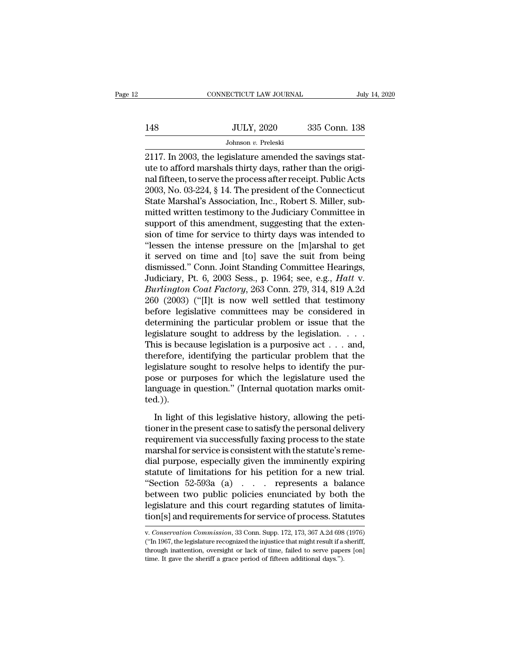|     | CONNECTICUT LAW JOURNAL | July 14, 2020 |
|-----|-------------------------|---------------|
|     |                         |               |
| 148 | <b>JULY, 2020</b>       | 335 Conn. 138 |
|     | Johnson v. Preleski     |               |

CONNECTICUT LAW JOURNAL<br>
2148 JULY, 2020 335 Conn. 138<br>
2117. In 2003, the legislature amended the savings stat-<br>
2117. In 2003, the legislature amended the savings stat-<br>
2117. In 2003, the legislature amended the savings UULY, 2020 335 Conn. 138<br>
JULY, 2020 335 Conn. 138<br>
Johnson v. Preleski<br>
2117. In 2003, the legislature amended the savings stat-<br>
ute to afford marshals thirty days, rather than the origi-<br>
nal fifteen, to serve the proce 148 JULY, 2020 335 Conn. 138<br>Johnson v. Preleski<br>2117. In 2003, the legislature amended the savings stat-<br>ute to afford marshals thirty days, rather than the original<br>fifteen, to serve the process after receipt. Public Act JULY, 2020 335 Conn. 138<br>Johnson v. Preleski<br>2117. In 2003, the legislature amended the savings stat-<br>ute to afford marshals thirty days, rather than the original<br>fifteen, to serve the process after receipt. Public Acts<br>20 Johnson v. Preleski<br>
2117. In 2003, the legislature amended the savings stat-<br>
ute to afford marshals thirty days, rather than the original<br>
fifteen, to serve the process after receipt. Public Acts<br>
2003, No. 03-224, § 14 Johnson *v*. Preleski<br>
2117. In 2003, the legislature amended the savings stat-<br>
ute to afford marshals thirty days, rather than the original<br>
fifteen, to serve the process after receipt. Public Acts<br>
2003, No. 03-224, § 2117. In 2003, the legislature amended the savings stat-<br>ute to afford marshals thirty days, rather than the origi-<br>nal fifteen, to serve the process after receipt. Public Acts<br>2003, No. 03-224, § 14. The president of the ute to afford marshals thirty days, rather than the original fifteen, to serve the process after receipt. Public Acts 2003, No. 03-224, § 14. The president of the Connecticut State Marshal's Association, Inc., Robert S. Mi nal fifteen, to serve the process after receipt. Public Acts<br>2003, No. 03-224, § 14. The president of the Connecticut<br>State Marshal's Association, Inc., Robert S. Miller, sub-<br>mitted written testimony to the Judiciary Comm 2003, No. 03-224, § 14. The president of the Connecticut<br>State Marshal's Association, Inc., Robert S. Miller, sub-<br>mitted written testimony to the Judiciary Committee in<br>support of this amendment, suggesting that the exte State Marshal's Association, Inc., Robert S. Miller, sub-<br>mitted written testimony to the Judiciary Committee in<br>support of this amendment, suggesting that the exten-<br>sion of time for service to thirty days was intended to mitted written testimony to the Judiciary Committee in<br>support of this amendment, suggesting that the exten-<br>sion of time for service to thirty days was intended to<br>"lessen the intense pressure on the [m]arshal to get<br>it s support of this amendment, suggesting that the extension of time for service to thirty days was intended to "lessen the intense pressure on the [m]arshal to get it served on time and [to] save the suit from being dismissed sion of time for service to thirty days was intended to<br>
"lessen the intense pressure on the [m]arshal to get<br>
it served on time and [to] save the suit from being<br>
dismissed." Conn. Joint Standing Committee Hearings,<br>
Judi "lessen the intense pressure on the [m]arshal to get<br>it served on time and [to] save the suit from being<br>dismissed." Conn. Joint Standing Committee Hearings,<br>Judiciary, Pt. 6, 2003 Sess., p. 1964; see, e.g., *Hatt v.<br>Burl* it served on time and [to] save the suit from being<br>dismissed." Conn. Joint Standing Committee Hearings,<br>Judiciary, Pt. 6, 2003 Sess., p. 1964; see, e.g., *Hatt* v.<br>*Burlington Coat Factory*, 263 Conn. 279, 314, 819 A.2d<br>2 dismissed." Conn. Joint Standing Committee Hearings,<br>Judiciary, Pt. 6, 2003 Sess., p. 1964; see, e.g., *Hatt* v.<br>Burlington Coat Factory, 263 Conn. 279, 314, 819 A.2d<br>260 (2003) ("[I]t is now well settled that testimony<br>be Judiciary, Pt. 6, 2003 Sess., p. 1964; see, e.g., *Hatt* v.<br> *Burlington Coat Factory*, 263 Conn. 279, 314, 819 A.2d<br>
260 (2003) ("[I]t is now well settled that testimony<br>
before legislative committees may be considered i Burlington Coat Factory, 263 Conn. 279, 314, 819 A.2d<br>260 (2003) ("[I]t is now well settled that testimony<br>before legislative committees may be considered in<br>determining the particular problem or issue that the<br>legislature 260 (2003) ("[I]t is now well settled that testimony<br>before legislative committees may be considered in<br>determining the particular problem or issue that the<br>legislature sought to address by the legislation. . . . .<br>This i before legislative committees may be considered in<br>determining the particular problem or issue that the<br>legislature sought to address by the legislation. . . .<br>This is because legislation is a purposive act . . . and,<br>the determining the particular problem or issue that the legislature sought to address by the legislation.....<br>This is because legislation is a purposive act ... and, therefore, identifying the particular problem that the legi ted.)). In a security regards in a purposition of the  $\alpha$  it is a perfective from that the gislature sought to resolve helps to identify the purse or purposes for which the legislature used the nguage in question." (Internal quo the parameters is a considerably to resolve helps to identify the purpose or purposes for which the legislature used the language in question." (Internal quotation marks omitted.)).<br>In light of this legislative history, al

registratic seagare to research mapple of racinary are particle poses or purposes for which the legislature used the language in question." (Internal quotation marks omitted.)).<br>In light of this legislative history, allowi marked in question." (Internal quotation marks omitted.)).<br>
In light of this legislative history, allowing the peti-<br>
tioner in the present case to satisfy the personal delivery<br>
requirement via successfully faxing process In light of this legislative history, allowing the petitioner in the present case to satisfy the personal delivery<br>requirement via successfully faxing process to the state<br>marshal for service is consistent with the statut In light of this legislative history, allowing the petitioner in the present case to satisfy the personal delivery requirement via successfully faxing process to the state marshal for service is consistent with the statut In light of this legislative history, allowing the petitioner in the present case to satisfy the personal delivery<br>requirement via successfully faxing process to the state<br>marshal for service is consistent with the statut tioner in the present case to satisfy the personal delivery<br>requirement via successfully faxing process to the state<br>marshal for service is consistent with the statute's reme-<br>dial purpose, especially given the imminently requirement via successfully faxing process to the state<br>marshal for service is consistent with the statute's reme-<br>dial purpose, especially given the imminently expiring<br>statute of limitations for his petition for a new marshal for service is consistent with the statute's reme-<br>dial purpose, especially given the imminently expiring<br>statute of limitations for his petition for a new trial.<br>"Section 52-593a (a) . . . represents a balance<br>bet "Section 52-593a (a) . . . . represents a balance<br>between two public policies enunciated by both the<br>legislature and this court regarding statutes of limita-<br>tion[s] and requirements for service of process. Statutes<br>w. *Co* between two public policies enunciated by both the legislature and this court regarding statutes of limitation[s] and requirements for service of process. Statutes were conservation Commission, 33 Conn. Supp. 172, 173, 367

legislature and this court regarding statutes of limitation[s] and requirements for service of process. Statutes w.<br>Conservation Commission, 33 Conn. Supp. 172, 173, 367 A.2d 698 (1976)<br>("In 1967, the legislature recognize tion[s] and requirements for service of process. Statutes<br>  $\overline{v}$ . Conservation Commission, 33 Conn. Supp. 172, 173, 367 A.2d 698 (1976)<br>
("In 1967, the legislature recognized the injustice that might result if a sherif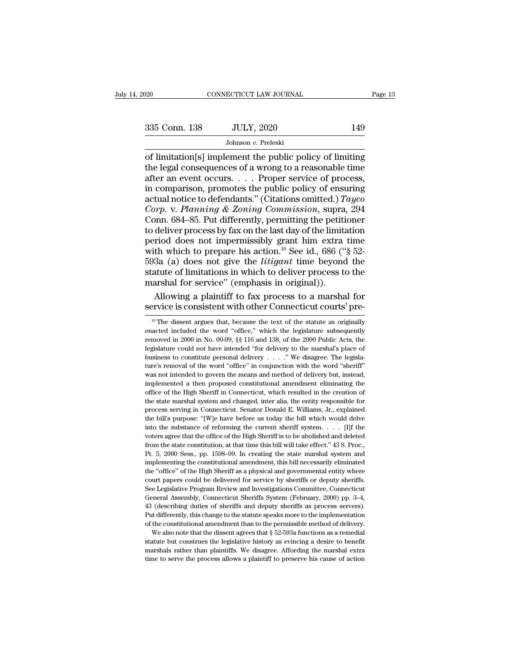$\begin{array}{ccc}\n 0.20 & \text{COMNETICUT LAW JOURNAL} & \text{Page 13}\n \hline\n 335 & \text{Conn. } 138 & \text{JULY, } 2020 & \text{149}\n \hline\n \end{array}$ <br>
Johnson v. Preleski<br>
of limitation[s] implement the public policy of limiting<br>
the legal consequences of a wrong to a reasonable 335 Conn. 138 JULY, 2020 149<br>Johnson v. Preleski<br>of limitation[s] implement the public policy of limiting<br>the legal consequences of a wrong to a reasonable time<br>after an event occurs. . . . Proper service of process,<br>in c 335 Conn. 138 JULY, 2020 149<br>
Johnson v. Preleski<br>
of limitation[s] implement the public policy of limiting<br>
the legal consequences of a wrong to a reasonable time<br>
after an event occurs. . . . Proper service of process,<br> 335 Conn. 138 JULY, 2020 149<br>
Johnson v. Preleski<br>
of limitation[s] implement the public policy of limiting<br>
the legal consequences of a wrong to a reasonable time<br>
after an event occurs.... Proper service of process,<br>
in Johnson v. Preleski<br>Johnson v. Preleski<br>of limitation[s] implement the public policy of limiting<br>the legal consequences of a wrong to a reasonable time<br>after an event occurs.... Proper service of process,<br>in comparison, p Johnson *v*. Preleski<br>
of limitation[s] implement the public policy of limiting<br>
the legal consequences of a wrong to a reasonable time<br>
after an event occurs. . . . . Proper service of process,<br>
in comparison, promotes th of limitation[s] implement the public policy of limiting<br>the legal consequences of a wrong to a reasonable time<br>after an event occurs. . . . . Proper service of process,<br>in comparison, promotes the public policy of ensuri the legal consequences of a wrong to a reasonable time<br>after an event occurs.... Proper service of process,<br>in comparison, promotes the public policy of ensuring<br>actual notice to defendants." (Citations omitted.) *Tayco*<br> after an event occurs. . . . . Proper service of process,<br>in comparison, promotes the public policy of ensuring<br>actual notice to defendants." (Citations omitted.) Tayco<br>Corp. v. Planning & Zoning Commission, supra, 294<br>Co in comparison, promotes the public policy of ensuring<br>actual notice to defendants." (Citations omitted.) Tayco<br>Corp. v. Planning & Zoning Commission, supra, 294<br>Conn. 684–85. Put differently, permitting the petitioner<br>to actual notice to defendants." (Citations omitted.) *Tayco*<br>Corp. v. Planning & Zoning Commission, supra, 294<br>Conn. 684–85. Put differently, permitting the petitioner<br>to deliver process by fax on the last day of the limitat Corp. v. Planning & Zoning Commission, supra, 294<br>Conn. 684–85. Put differently, permitting the petitioner<br>to deliver process by fax on the last day of the limitation<br>period does not impermissibly grant him extra time<br>wit Conn. 684–85. Put differently, permitting the petititio deliver process by fax on the last day of the limitar period does not impermissibly grant him extra with which to prepare his action.<sup>10</sup> See id., 686 ("593a (a) doe deliver process by fax on the last day of the limitation<br>riod does not impermissibly grant him extra time<br>th which to prepare his action.<sup>10</sup> See id., 686 ("§ 52-<br>3a (a) does not give the *litigant* time beyond the<br>atute period does not impermissibly grant him extra time<br>with which to prepare his action.<sup>10</sup> See id., 686 ("§ 52-<br>593a (a) does not give the *litigant* time beyond the<br>statute of limitations in which to deliver process to the

43 (describing duties of sheriffs and deputy sheriffs as process servers).<br>Put differently, this change to the statute speaks more to the implementation<br>of the constitutional amendment than to the permissible method of de

atute of initiations in which to deliver process to the arshal for service" (emphasis in original)).<br>Allowing a plaintiff to fax process to a marshal for<br>prvice is consistent with other Connecticut courts' pre-<br><sup>10</sup> The di marshal for service" (emphasis in original)).<br>Allowing a plaintiff to fax process to a marshal for<br>service is consistent with other Connecticut courts' pre-<br> $\frac{10}{10}$  The dissent argues that, because the text of the sta Allowing a plaintiff to fax process to a marshal for service is consistent with other Connecticut courts' pre-<br><sup>10</sup> The dissent argues that, because the text of the statute as originally enacted included the word "office, Service is consistent with other Connecticut courts' pre-<br>
<sup>10</sup> The dissent argues that, because the text of the statute as originally<br>
enacted included the word "office," which the legislature subsequently<br>
removed in 20 Service is consistent with other Connecticut courts pre-<br>
<sup>10</sup> The dissent argues that, because the text of the statute as originally<br>
enacted included the word "office," which the legislature subsequently<br>
removed in 200 <sup>10</sup> The dissent argues that, because the text of the statute as originally enacted included the word "office," which the legislature subsequently removed in 2000 in No. 00-99, §§ 116 and 138, of the 2000 Public Acts, the enacted included the word "office," which the legislature subsequently<br>removed in 2000 in No. 00-99, §§ 116 and 138, of the 2000 Public Acts, the<br>legislature could not have intended "for delivery to the marshal's place of removed in 2000 in No. 00-99, §§ 116 and 138, of the 2000 Public Acts, the legislature could not have intended "for delivery to the marshal's place of business to constitute personal delivery  $\ldots$ ." We disagree. The legi begislature could not have intended "for delivery to the marshal's place of business to constitute personal delivery  $\ldots$ ." We disagree. The legislature's removal of the word "office" in conjunction with the word "sherif business to constitute personal delivery  $\ldots$ ." We disagree. The legislature's removal of the word "office" in conjunction with the word "sheriff" was not intended to govern the means and method of delivery but, instead, ture's removal of the word "office" in conjunction with the word "sheriff"<br>was not intended to govern the means and method of delivery but, instead,<br>implemented a then proposed constitutional amendment eliminating the<br>offi was not intended to govern the means and method of delivery but, instead, implemented a then proposed constitutional amendment eliminating the office of the High Sheriff in Connecticut, which resulted in the creation of t implemented a then proposed constitutional amendment eliminating the office of the High Sheriff in Connecticut, which resulted in the creation of the state marshal system and changed, inter alia, the entity responsible fo frice of the High Sheriff in Connecticut, which resulted in the creation of the state marshal system and changed, inter alia, the entity responsible for process serving in Connecticut. Senator Donald E. Williams, Jr., exp the state marshal system and changed, inter alia, the entity responsible for process serving in Connecticut. Senator Donald E. Williams, Jr., explained the bill's purpose: "[W]e have before us today the bill which would de process serving in Connecticut. Senator Donald E. Williams, Jr., explained<br>the bill's purpose: "[W]e have before us today the bill which would delve<br>into the substance of reforming the current sheriff system. . . . . [I]f Free bill's purpose: "[W]e have before us today the bill which would deve<br>into the substance of reforming the current sheriff system. . . . . [I]f the<br>voters agree that the office of the High Sheriff is to be abolished an Into the substance of reforming the current sheriff system. The voters agree that the office of the High Sheriff is to be abolished and deleted from the state constitution, at that time this bill will take effect." 43 S. P rowters agree that the office of the High Sheriff is to be abolished and deleted from the state constitution, at that time this bill will take effect." 43 S. Proc., Pt. 5, 2000 Sess., pp. 1598–99. In creating the state mar From the state constitution, at that time this bill will take effect." 43 S. Proc., Pt. 5, 2000 Sess., pp. 1598–99. In creating the state marshal system and implementing the constitutional amendment, this bill necessarily Pt. 5, 2000 Sess., pp. 1598–99. In creating the state marshal system and implementing the constitutional amendment, this bill necessarily eliminated the "office" of the High Sheriff as a physical and governmental entity wh implementing the constitutional amendment, this bill necessarily eliminated the "office" of the High Sheriff as a physical and governmental entity where court papers could be delivered for service by sheriffs or deputy she met "office" of the High Sheriff as a physical and governmental entity where<br>court papers could be delivered for service by sheriffs or deputy sheriffs.<br>See Legislative Program Review and Investigations Committee, Connecti court papers could be delivered for service by sheriffs or deputy sheriffs.<br>See Legislative Program Review and Investigations Committee, Connecticut<br>General Assembly, Connecticut Sheriffs System (February, 2000) pp. 3–4,<br> See Legislative Program Review and Investigations Committee, Connecticut General Assembly, Connecticut Sheriffs System (February, 2000) pp. 3–4, 43 (describing duties of sheriffs and deputy sheriffs as process servers). P General Assembly, Connecticut Sheriffs System (February, 2000) pp. 3–4, 43 (describing duties of sheriffs and deputy sheriffs as process servers). Put differently, this change to the statute speaks more to the implementat Put differently, this change to the statute speaks more to the implementation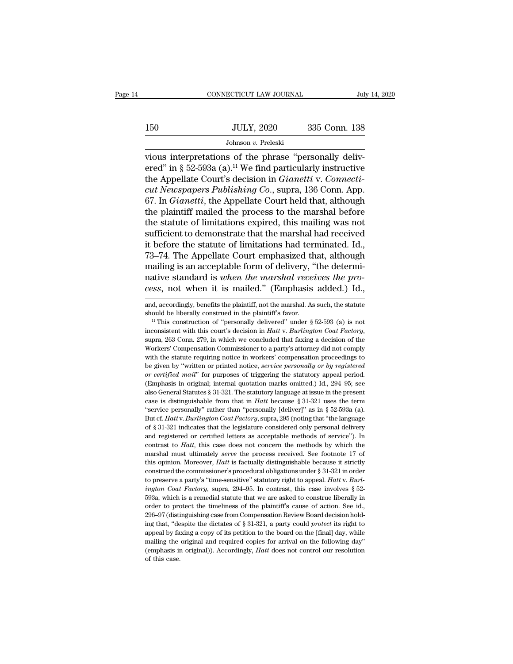|     | CONNECTICUT LAW JOURNAL | July 14, 2020 |  |
|-----|-------------------------|---------------|--|
|     |                         |               |  |
| 150 | <b>JULY, 2020</b>       | 335 Conn. 138 |  |
|     | Johnson v. Preleski     |               |  |

CONNECTICUT LAW JOURNAL<br>
Jul 150 JULY, 2020 335 Conn. 138<br>
Johnson v. Preleski<br>
vious interpretations of the phrase "personally deliv-<br>
ered" in § 52-593a (a).<sup>11</sup> We find particularly instructive<br>
the Annollate Court's d 150 JULY, 2020 335 Conn. 138<br>Johnson v. Preleski<br>vious interpretations of the phrase "personally delivered" in § 52-593a (a).<sup>11</sup> We find particularly instructive<br>the Appellate Court's decision in *Gianetti* v. *Connecti-*150 JULY, 2020 335 Conn. 138<br>
Johnson *v.* Preleski<br>
vious interpretations of the phrase "personally deliv-<br>
ered" in § 52-593a (a).<sup>11</sup> We find particularly instructive<br>
the Appellate Court's decision in *Gianetti* v. *Co Cut Teleski*<br> *Cut Newspapers Publishing Co., supraffly delivered"* in § 52-593a (a).<sup>11</sup> We find particularly instructive the Appellate Court's decision in *Gianetti* v. *Connecticut Newspapers Publishing Co.*, supra, 13 Johnson v. Preleski<br>Johnson v. Preleski<br>vious interpretations of the phrase "personally deliv-<br>ered" in § 52-593a (a).<sup>11</sup> We find particularly instructive<br>the Appellate Court's decision in *Gianetti* v. *Connecti-*<br>cut Ne Johnson v. Preleski<br>
vious interpretations of the phrase "personally deliv-<br>
ered" in § 52-593a (a).<sup>11</sup> We find particularly instructive<br>
the Appellate Court's decision in *Gianetti* v. *Connecti-*<br> *cut Newspapers Publi* vious interpretations of the phrase "personally delivered" in § 52-593a (a).<sup>11</sup> We find particularly instructive the Appellate Court's decision in *Gianetti* v. *Connecticult Newspapers Publishing Co.*, supra, 136 Conn. A ered" in § 52-593a (a).<sup>11</sup> We find particularly instructive<br>the Appellate Court's decision in *Gianetti* v. *Connecti-*<br>*cut Newspapers Publishing Co.*, supra, 136 Conn. App.<br>67. In *Gianetti*, the Appellate Court held t the Appellate Court's decision in *Gianetti* v. *Connecticut Newspapers Publishing Co.*, supra, 136 Conn. App.<br>67. In *Gianetti*, the Appellate Court held that, although<br>the plaintiff mailed the process to the marshal befo cut Newspapers Publishing Co., supra, 136 Conn. App.<br>67. In *Gianetti*, the Appellate Court held that, although<br>the plaintiff mailed the process to the marshal before<br>the statute of limitations expired, this mailing was no 67. In *Gianetti*, the Appellate Court held that, although the plaintiff mailed the process to the marshal before the statute of limitations expired, this mailing was not sufficient to demonstrate that the marshal had rec the plaintiff mailed the process to the marshal before<br>the statute of limitations expired, this mailing was not<br>sufficient to demonstrate that the marshal had received<br>it before the statute of limitations had terminated. I the statute of limitations expired, this mailing was not sufficient to demonstrate that the marshal had received it before the statute of limitations had terminated. Id., 73–74. The Appellate Court emphasized that, althoug 73–74. The Appellate Court emphasized that, although mailing is an acceptable form of delivery, "the determinative standard is *when the marshal receives the process*, not when it is mailed." (Emphasis added.) Id., and, a mailing is an acceptable form of delivery, "the determi-<br>native standard is *when the marshal receives the process*, not when it is mailed." (Emphasis added.) Id.,<br>and, accordingly, benefits the plaintiff, not the marshal

reactive statistical in its is mailed." (Emphasis added.) Id.,<br>
and, accordingly, benefits the plaintiff, not the marshal. As such, the statute<br>
should be liberally constructed in the plaintiff's favor.<br>
<sup>11</sup> This construc and, accordingly, benefits the plaintiff, not the marshal. As such, the statute should be liberally construction of "personally delivered" under  $\S$  52-593 (a) is not inconsistent with this court's decision in *Hatt* v. should be liberally construct in the plaintiff's favor.<br>
<sup>11</sup> This construction of "personally delivered" under § 52-593 (a) is not inconsistent with this court's decision in *Hatt* v. *Burlington Coat Factory*, supra, 26 <sup>11</sup> This construction of "personally delivered" under § 52-593 (a) is not inconsistent with this court's decision in *Hatt* v. *Burlington Coat Factory*, supra, 263 Conn. 279, in which we concluded that faxing a decision *or certified mail''* for purposes of triggering the statutor of the Workers' Compensation Court's decision in *Hatt* v. *Burlington Coat Factory*, supra, 263 Conn. 279, in which we concluded that faxing a decision of the supra, 263 Conn. 279, in which we concluded that faxing a decision of the Workers' Compensation Commissioner to a party's attorney did not comply with the statute requiring notice in workers' compensation proceedings to b Experience Sompensation Commissioner to a party's attorney did not comply<br>with the statute requiring notice in workers' compensation proceedings to<br>be given by "written or printed notice, *service personally or by registe* with the statute requiring notice in workers' compensation proceedings to<br>be given by "written or printed notice, *service personally or by registered*<br>or *certified mail*" for purposes of triggering the statutory appeal be given by "written or printed notice, *service personally or by registered* or certified mail" for purposes of triggering the statutory appeal period. (Emphasis in original; internal quotation marks omitted.) Id., 294–9 or certified mail" for purposes of triggering the statutory appeal period.<br>(Emphasis in original; internal quotation marks omitted.) Id., 294–95; see<br>also General Statutes § 31-321. The statutory language at issue in the p (Emphasis in original; internal quotation marks omitted.) Id., 294–95; see also General Statutes § 31-321. The statutory language at issue in the present case is distinguishable from that in *Hatt* because § 31-321 uses t can also General Statutes § 31-321. The statutory language at issue in the present case is distinguishable from that in *Hatt* because § 31-321 uses the term "service personally" rather than "personally [deliver]" as in § case is distinguishable from that in *Hatt* because § 31-321 uses the term<br>
"service personally" rather than "personally [deliver]" as in § 52-593a (a).<br>
But cf. *Hatt* v. *Burlington Coat Factory*, supra, 295 (noting that "service personally" rather than "personally [deliver]" as in § 52-593a (a).<br>But cf. *Hatt* v. *Burlington Coat Factory*, supra, 295 (noting that "the language<br>of § 31-321 indicates that the legislature considered only per But cf. *Hatt* v. *Burlington Coat Factory*, supra, 295 (noting that "the language of § 31-321 indicates that the legislature considered only personal delivery and registered or certified letters as acceptable methods of s of § 31-321 indicates that the legislature considered only personal delivery<br>and registered or certified letters as acceptable methods of service"). In<br>contrast to *Hatt*, this case does not concern the methods by which t and registered or certified letters as acceptable methods of service"). In contrast to *Hatt*, this case does not concern the methods by which the marshal must ultimately *serve* the process received. See footnote 17 of th and register of Factory, this case does not concern the methods by which the marshal must ultimately *serve* the process received. See footnote 17 of this opinion. Moreover, *Hatt* is factually distinguishable because it s marshal must ultimately *serve* the process received. See footnote 17 of this opinion. Moreover, *Hatt* is factually distinguishable because it strictly construed the commissioner's procedural obligations under  $\S$  31-321 this opinion. Moreover, *Hatt* is factually distinguishable because it strictly construed the commissioner's procedural obligations under  $\S 31-321$  in order to preserve a party's "time-sensitive" statutory right to appea construed the commissioner's procedural obligations under § 31-321 in construed the commissioner's procedural obligations under § 31-321 in  $Burtion$  Coat Factory, supra, 294–95. In contrast, this case involves § 52-593a, whi to preserve a party's "time-sensitive" statutory right to appeal. *Hatt* v. *Burlington Coat Factory*, supra, 294–95. In contrast, this case involves § 52-593a, which is a remedial statute that we are asked to construe lib *ington Coat Factory*, supra, 294–95. In contrast, this case involves § 52-<br>593a, which is a remedial statute that we are asked to construe liberally in<br>order to protect the timeliness of the plaintiff's cause of action. *ington Coat Factory*, supra, 294–95. In contrast, this case involves § 52-593a, which is a remedial statute that we are asked to construe liberally in order to protect the timeliness of the plaintiff's cause of action. S order to protect the timeliness of the plaintiff's cause of action. See id., 296–97 (distinguishing case from Compensation Review Board decision holding that, "despite the dictates of § 31-321, a party could *protect* its 296-97 (distinguishing case from Compensation Review Board decision hold-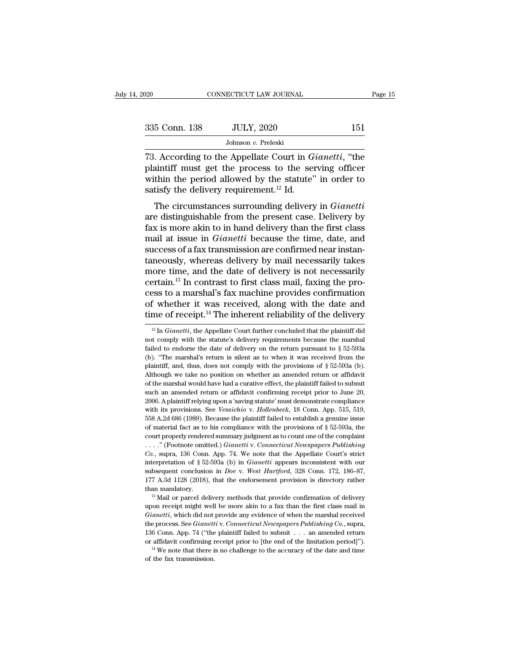| 2020          | CONNECTICUT LAW JOURNAL                                                                                                                                                          | Page 15 |
|---------------|----------------------------------------------------------------------------------------------------------------------------------------------------------------------------------|---------|
| 335 Conn. 138 | <b>JULY, 2020</b>                                                                                                                                                                | 151     |
|               | Johnson v. Preleski                                                                                                                                                              |         |
|               | 73. According to the Appellate Court in <i>Gianetti</i> , "the<br>plaintiff must get the process to the serving officer<br>within the period allowed by the statute" in order to |         |

335 Conn. 138 JULY, 2020 151<br>Johnson v. Preleski<br>73. According to the Appellate Court in *Gianetti*, "the<br>plaintiff must get the process to the serving officer<br>within the period allowed by the statute" in order to<br>satisfy 335 Conn. 138 JULY, 2020 151<br>Johnson v. Preleski<br>73. According to the Appellate Court in *Gianetti*, "the<br>plaintiff must get the process to the serving officer<br>within the period allowed by the statute" in order to<br>satisfy 335 Conn. 138 JULY, 2020<br>Johnson v. Preleski<br>73. According to the Appellate Court in G<br>plaintiff must get the process to the ser<br>within the period allowed by the statute"<br>satisfy the delivery requirement.<sup>12</sup> Id.<br>The circ Johnson *v*. Preleski<br>
. According to the Appellate Court in *Gianetti*, "the<br>
aintiff must get the process to the serving officer<br>
thin the period allowed by the statute" in order to<br>
tisfy the delivery requirement.<sup>12</sup> 73. According to the Appellate Court in *Gianetti*, "the plaintiff must get the process to the serving officer within the period allowed by the statute" in order to satisfy the delivery requirement.<sup>12</sup> Id.<br>The circumstan

For according to the Appendic Court in Gametri, the plaintiff must get the process to the serving officer within the period allowed by the statute" in order to satisfy the delivery requirement.<sup>12</sup> Id.<br>The circumstances s plantificant must get the process to the serving officer<br>within the period allowed by the statute" in order to<br>satisfy the delivery requirement.<sup>12</sup> Id.<br>The circumstances surrounding delivery in *Gianetti*<br>are distinguisha success of a fax transmission are confirmed near in order to satisfy the delivery requirement.<sup>12</sup> Id.<br>The circumstances surrounding delivery in *Gianetti* are distinguishable from the present case. Delivery by fax is mor The circumstances surrounding delivery in *Gianetti*<br>are distinguishable from the present case. Delivery by<br>fax is more akin to in hand delivery than the first class<br>mail at issue in *Gianetti* because the time, date, and The circumstances surrounding delivery in *Gianetti*<br>are distinguishable from the present case. Delivery by<br>fax is more akin to in hand delivery than the first class<br>mail at issue in *Gianetti* because the time, date, and<br> are distinguishable from the present case. Delivery by<br>fax is more akin to in hand delivery than the first class<br>mail at issue in *Gianetti* because the time, date, and<br>success of a fax transmission are confirmed near inst fax is more akin to in hand delivery than the first class<br>mail at issue in *Gianetti* because the time, date, and<br>success of a fax transmission are confirmed near instan-<br>taneously, whereas delivery by mail necessarily ta mail at issue in *Gianetti* because the time, date, and<br>success of a fax transmission are confirmed near instan-<br>taneously, whereas delivery by mail necessarily takes<br>more time, and the date of delivery is not necessarily<br> success of a fax transmission are confirmed near instan-<br>taneously, whereas delivery by mail necessarily takes<br>more time, and the date of delivery is not necessarily<br>certain.<sup>13</sup> In contrast to first class mail, faxing th extrain.<sup>13</sup> In contrast to first class mail, faxing the pro-<br>ess to a marshal's fax machine provides confirmation<br>f whether it was received, along with the date and<br>me of receipt.<sup>14</sup> The inherent reliability of the deliv cess to a marshal's fax machine provides confirmation<br>of whether it was received, along with the date and<br>time of receipt.<sup>14</sup> The inherent reliability of the delivery<br> $\frac{12 \text{ In } Gianetti, \text{ the Appellate Court further concluded that the plaintiff did not comply with the statute's delivery requirements because the marshal failed to endorse the date of delivery on the return$ 

*Gianetti* conclusion in *Doe* v. *West Hartford*, 328 Conn. 172, 186–87, 177 A.3d 1128 (2018), that the endorsement provision is directory rather than mandatory.<br><sup>13</sup> Mail or parcel delivery methods that provide confirmat 177 A.3d 1128 (2018), that the endorsement provision is directory rather than mandatory.<br><sup>13</sup> Mail or parcel delivery methods that provide confirmation of delivery upon receipt might well be more akin to a fax than the fir <sup>13</sup> Mail or parel delivery methods that provide confirmation of delivery<br><sup>13</sup> Mail or parel delivery methods that provide confirmation of delivery<br>upon receipt might well be more akin to a fax than the first class mail i <sup>13</sup> Mail or parcel delivery methods that provide confirmation of delivery<br>upon receipt might well be more akin to a fax than the first class mail in<br>*Gianetti*, which did not provide any evidence of when the marshal rece *Gianetti*, which did not<br>the process. See *Gianett*<br>136 Conn. App. 74 ("the<br>or affidavit confirming i<br><sup>14</sup> We note that there i<br>of the fax transmission.

of whether it was received, along with the date and<br>time of receipt.<sup>14</sup> The inherent reliability of the delivery<br> $\frac{12 \text{ In } Gianetti, \text{ the Appellate Court further concluded that the plaintiff did not comply with the statue's delivery requirements because the marshal failed to endorse the date of delivery on the return pursuit to § 52-593a (b). "The marshal's return is silent as to when it was received from the$ time of receipt.<sup>14</sup> The inherent reliability of the delivery<br>
<sup>12</sup> In *Gianetti*, the Appellate Court further concluded that the plaintiff did<br>
not comply with the statute's delivery requirements because the marshal<br>
fai <sup>12</sup> In *Gianetti*, the Appellate Court further concluded that the plaintiff did not comply with the statute's delivery requirements because the marshal failed to endorse the date of delivery on the return pursuant to § 5 <sup>12</sup> In *Gianetti*, the Appellate Court further concluded that the plaintiff did not comply with the statute's delivery requirements because the marshal failed to endorse the date of delivery on the return pursuant to § 5 of the marshal would have had a curative effect, the plaintiff failed to endorse the date of delivery on the return pursuant to  $\S 52-593a$  (b). "The marshal's return is silent as to when it was received from the plaintif Failed to endorse the date of delivery on the return pursuant to § 52-593a<br>(b). "The marshal's return is silent as to when it was received from the<br>plaintiff, and, thus, does not comply with the provisions of § 52-593a (b 2006. A plaintiff relying upon a 'saving statute' must be emit was received from the plaintiff, and, thus, does not comply with the provisions of  $\S$  52-593a (b). Although we take no position on whether an amended return plaintiff, and, thus, does not comply with the provisions of § 52-593a (b).<br>Although we take no position on whether an amended return or affidavit<br>of the marshal would have had a curative effect, the plaintiff failed to su Although we take no position on whether an amended return or affidavit of the marshal would have had a curative effect, the plaintiff failed to submit such an amended return or affidavit confirming receipt prior to June 2 of the marshal would have had a curative effect, the plaintiff failed to submit<br>such an amended return or affidavit confirming receipt prior to June 20,<br>2006. A plaintiff relying upon a 'saving statute' must demonstrate c such an amended return or affidavit confirming receipt prior to June 20, 2006. A plaintiff relying upon a 'saving statute' must demonstrate compliance with its provisions. See *Vessichio* v. *Hollenbeck*, 18 Conn. App. 51 2006. A plaintiff relying upon a 'saving statute' must demonstrate compliance with its provisions. See *Vessichio* v. *Hollenbeck*, 18 Conn. App. 515, 519, 558 A.2d 686 (1989). Because the plaintiff failed to establish a g **Example 10.** Superioristy and the Provisions. See *Vessichio* v. *Hollenbeck*, 18 Conn. App. 515, 519, 558 A.2d 686 (1989). Because the plaintiff failed to establish a genuine issue of material fact as to his compliance <sup>558</sup> A.2d 686 (1989). Because the plaintiff failed to establish a genuine issue of material fact as to his compliance with the provisions of § 52-593a, the court properly rendered summary judgment as to count one of the subsequent fact as to his compliance with the provisions of § 52-593a, the court properly rendered summary judgment as to count one of the complaint . . . ." (Footnote omitted.) *Gianetti* v. *Connecticut Newspapers Publis* court properly rendered summary judgment as to count one of the complaint ...." (Footnote omitted.) *Gianetti* v. *Connecticut Newspapers Publishing Co.*, supra, 136 Conn. App. 74. We note that the Appellate Court's str ....." (Footnote omitted.) *Gianetti* v. *Connecticut Newspapers Publishing* Co., supra, 136 Conn. App. 74. We note that the Appellate Court's strict interpretation of § 52-593a (b) in *Gianetti* appears inconsistent with interpretation of § 52-593a (b) in *Gianetti* appears inconsistent with our subsequent conclusion in *Doe* v. *West Hartford*, 328 Conn. 172, 186–87, 177 A.3d 1128 (2018), that the endorsement provision is directory rathe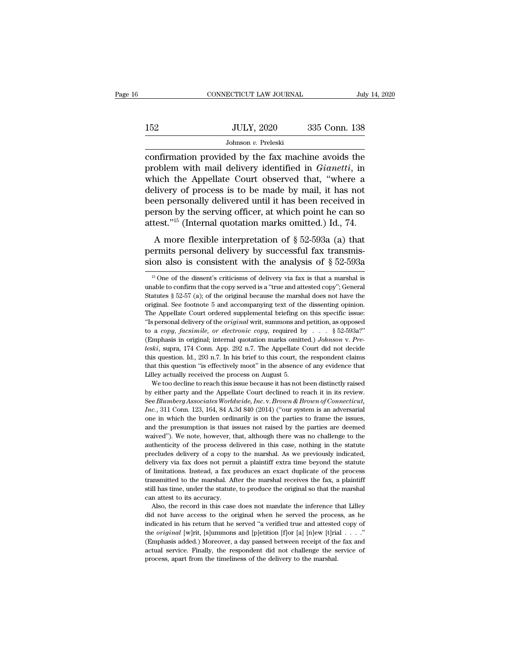|     | CONNECTICUT LAW JOURNAL | July 14, 2020 |
|-----|-------------------------|---------------|
|     |                         |               |
| 152 | <b>JULY, 2020</b>       | 335 Conn. 138 |
|     | Johnson v. Preleski     |               |

CONNECTICUT LAW JOURNAL July 14, 2020<br>
JULY, 2020 335 Conn. 138<br>
Johnson v. Preleski<br>
Confirmation provided by the fax machine avoids the<br>
problem with mail delivery identified in *Gianetti*, in<br>
which the Appellate Court problem with mail delivery identified in *Gianetti*, in which the Appellate Court observed that, "where a delivery of process is to be made by mail it has not  $335$  Conn. 138<br>
Sohnson v. Preleski<br>
Confirmation provided by the fax machine avoids the<br>
problem with mail delivery identified in *Gianetti*, in<br>
which the Appellate Court observed that, "where a<br>
delivery of process is  $\frac{JULY, 2020}{Johnson v. Preleski}$ <br>
confirmation provided by the fax machine avoids the<br>
problem with mail delivery identified in *Gianetti*, in<br>
which the Appellate Court observed that, "where a<br>
delivery of process is to be made between personally delivered until it has been received in  $\frac{1}{2}$  and  $\frac{1}{2}$  delivery of process is to be made by mail, it has not been personally delivered until it has been received in person by the serving office bohnson *v*. Preleski<br>confirmation provided by the fax machine avoids the<br>problem with mail delivery identified in *Gianetti*, in<br>which the Appellate Court observed that, "where a<br>delivery of process is to be made by mail confirmation provided by the fax machine avoids the<br>problem with mail delivery identified in *Gianetti*, in<br>which the Appellate Court observed that, "where a<br>delivery of process is to be made by mail, it has not<br>been pers Mark man actively accounted in dividend, the divery of process is to be made by mail, it has not<br>een personally delivered until it has been received in<br>rson by the serving officer, at which point he can so<br>test."<sup>15</sup> (Int delivery of process is to be made by mail, it has not<br>delivery of process is to be made by mail, it has not<br>been personally delivered until it has been received in<br>person by the serving officer, at which point he can so<br>a shows the also is consistent with the analysis of § 52-593a (a) that permits personally delivered until it has been received in person by the serving officer, at which point he can so attest."<sup>15</sup> (Internal quotation mark

A more flexible interpretation of  $\S$  52-593a (a) that<br>permits personal delivery by successful fax transmis-<br>sion also is consistent with the analysis of  $\S$  52-593a<br> $\frac{15 \text{ One of the dissent's criticism of delivery via fax is that a marshal is}$ <br>suable to confirm that the A more flexible interpretation of § 52-593a (a) that<br>permits personal delivery by successful fax transmis-<br>sion also is consistent with the analysis of § 52-593a<br><sup>15</sup> One of the dissent's criticisms of delivery via fax is

See *Blumberg Associates Worldwide, Inc. v. Brown & Brown of Connection*, 311 Conn. 123, 164, 84 A.3d 840 (2014) ("our system is an adversarial *Inc.*, 311 Conn. 123, 164, 84 A.3d 840 (2014) ("our system is an adversarial *Inc.*, 311 Conn. 123, 164, 84 A.3d 840 (2014) ("our system is an adversarial one in which the burden orderation is an adversarial by either party and the Appellate Court declined to reach it in its review. See *Blumberg A* Lilley actually received the process on August 5.<br>We too decline to reach this issue because it has not been distinctly raised<br>by either party and the Appellate Court declined to reach it in its review.<br>See *Blumberg Asso* We too decline to reach this issue because it has not been distinctly raised<br>by either party and the Appellate Court declined to reach it in its review.<br>See *Blumberg Associates Worldwide, Inc.* v. *Brown & Brown of Conne* by either party and the Appellate Court declined to reach it in its review.<br>See Blumberg Associates Worldwide, Inc. v. Brown & Brown of Connecticut,<br>Inc., 311 Conn. 123, 164, 84 A.3d 840 (2014) ("our system is an adversari as Gee Blumberg Associates Worldwide, Inc. v. Brown & Brown of Connecticut, Inc., 311 Conn. 123, 164, 84 A.3d 840 (2014) ("our system is an adversarial one in which the burden ordinarily is on the parties to frame the iss *Fnc.*, 311 Conn. 123, 164, 84 A.3d 840 (2014) ("our system is an adversarial one in which the burden ordinarily is on the parties to frame the issues, and the presumption is that issues not raised by the parties are deem not in which the burden ordinarily is on the parties to frame the issues, and the presumption is that issues not raised by the parties are deemed waived"). We note, however, that, although there was no challenge to the aut and the presumption is that issues not raised by the parties are desenved waived"). We note, however, that, although there was no challenge to the authenticity of the process delivered in this case, nothing in the statute waived"). We note, however, that, although there was no challenge to the authenticity of the process delivered in this case, nothing in the statute precludes delivery of a copy to the marshal. As we previously indicated, d still has time, we can consider the process delivered in this case, nothing in the statute precludes delivery of a copy to the marshal. As we previously indicated, delivery via fax does not permit a plaintiff extra time be precludes delivery of a copy to<br>delivery via fax does not perm<br>of limitations. Instead, a fax p<br>transmitted to the marshal. Af<br>still has time, under the statute<br>can attest to its accuracy.<br>Also, the record in this case livery via fax does not permit a plaintiff extra time beyond the statute limitations. Instead, a fax produces an exact duplicate of the process ansmitted to the marshal. After the marshal receives the fax, a plaintiff Il h actively that also interest of the process of limitations. Instead, a fax produces an exact duplicate of the process transmitted to the marshal. After the marshal receives the fax, a plaintiff still has time, under the sta

In the served the marshal. After the marshal receives the fax, a plaintiff still has time, under the statute, to produce the original so that the marshal can attest to its accuracy.<br>Also, the record in this case does not still has time, under the statute, to produce the original so that the marshal<br>can attest to its accuracy.<br>Also, the record in this case does not mandate the inference that Lilley<br>did not have access to the original when can attest to its accuracy.<br>
Also, the record in this case does not mandate the inference that Lilley<br>
did not have access to the original when he served the process, as he<br>
indicated in his return that he served "a verif Also, the record in this case does not mandate the inference that Lilley<br>did not have access to the original when he served the process, as he<br>indicated in his return that he served "a verified true and attested copy of<br>t did not have access to the original when he served the proces<br>indicated in his return that he served "a verified true and attested<br>the *original* [w]rit, [s]ummons and [p]etition [f]or [a] [n]ew [t]ria<br>(Emphasis added.) Mo

permits personal delivery by successful fax transmission also is consistent with the analysis of  $\S 52-593a$ <br><sup>15</sup> One of the dissent's criticisms of delivery via fax is that a marshal is unable to confirm that the copy se **sion also is consistent with the analysis of § 52-593a**<br>
<sup>15</sup> One of the dissent's criticisms of delivery via fax is that a marshal is unable to confirm that the copy served is a "true and attested copy"; General Statute The Appellate Court ordered supplemental briefing on this specific issue.<br>The Appellate Confirm that the copy served is a "true and attested copy"; General Statutes § 52-57 (a); of the original because the marshal does no <sup>15</sup> One of the dissent's criticisms of delivery via fax is that a marshal is unable to confirm that the copy served is a "true and attested copy"; General Statutes § 52-57 (a); of the original because the marshal does no unable to confirm that the copy served is a "true and attested copy"; General Statutes § 52-57 (a); of the original because the marshal does not have the original. See footnote 5 and accompanying text of the dissenting op Statutes § 52-57 (a); of the original because the marshal does not have the original. See footnote 5 and accompanying text of the dissenting opinion. The Appellate Court ordered supplemental briefing on this specific issue *derived* and accompanying text of the dissenting opinion.<br>The Appellate Court ordered supplemental briefing on this specific issue:<br>"Is personal delivery of the *original* writ, summons and petition, as opposed<br>to a *copy* The Appellate Court ordered supplemental briefing on this specific issue:<br>
"Is personal delivery of the *original* writ, summons and petition, as opposed<br>
to a *copy, facsimile, or electronic copy,* required by  $\ldots$  § 52 "Is personal delivery of the *original* writ, summons and petition, as opposed to a *copy*, *facsimile*, *or electronic copy*, required by . . . § 52-593a?" (Emphasis in original; internal quotation marks omitted.) Johnso to a *copy, facsimile, or electronic copy,* required by . . . . § 52-593a?" (Emphasis in original; internal quotation marks omitted.) *Johnson v. Preleski*, supra, 174 Conn. App. 292 n.7. The Appellate Court did not decid we too decline to reach this issue because it has not been distinctly raised.<br>
We this is in original; internal quotation marks omitted.) Johnson v. Pre-<br>  $kki$ , supra, 174 Conn. App. 292 n.7. The Appellate Court did not d *leski*, supra, 174 Conn. App. 292 n.7. The Appellate Court did not decide this question. Id., 293 n.7. In his brief to this court, the respondent claims that this question "is effectively moot" in the absence of any evide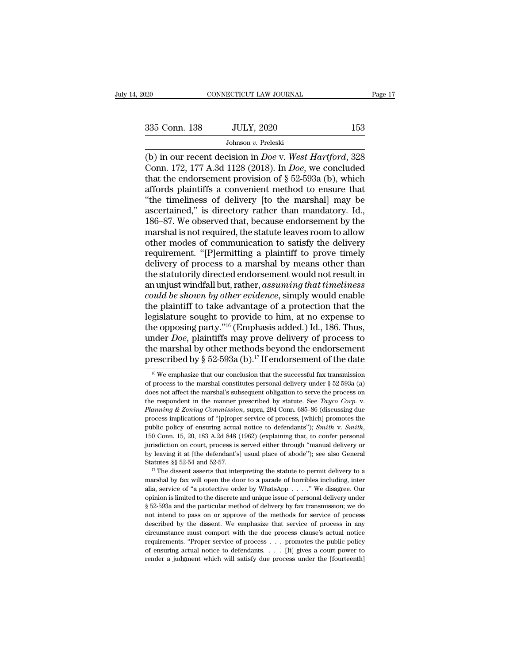(b) in our recent decision in *Doe* v. *West Hartford*, 328<br>
(b) in our recent decision in *Doe* v. *West Hartford*, 328<br>
(c) in our recent decision in *Doe* v. *West Hartford*, 328<br>
Conn. 172, 177 A.3d 1128 (2018). In *Do* 335 Conn. 138 JULY, 2020 153<br>
Johnson v. Preleski<br>
(b) in our recent decision in *Doe* v. West Hartford, 328<br>
Conn. 172, 177 A.3d 1128 (2018). In *Doe*, we concluded<br>
that the endorsement provision of § 52-593a (b), which<br> 335 Conn. 138 JULY, 2020 153<br>Johnson v. Preleski<br>(b) in our recent decision in *Doe* v. West Hartford, 328<br>Conn. 172, 177 A.3d 1128 (2018). In *Doe*, we concluded<br>that the endorsement provision of § 52-593a (b), which<br>aff 335 Conn. 138 JULY, 2020 153<br>Johnson v. Preleski<br>(b) in our recent decision in *Doe* v. West Hartford, 328<br>Conn. 172, 177 A.3d 1128 (2018). In *Doe*, we concluded<br>that the endorsement provision of § 52-593a (b), which<br>aff Johnson v. Preleski<br>
(b) in our recent decision in *Doe* v. West Hartford, 328<br>
Conn. 172, 177 A.3d 1128 (2018). In *Doe*, we concluded<br>
that the endorsement provision of § 52-593a (b), which<br>
affords plaintiffs a conveni Johnson v. Preleski<br>
(b) in our recent decision in *Doe* v. West Hartford, 328<br>
Conn. 172, 177 A.3d 1128 (2018). In *Doe*, we concluded<br>
that the endorsement provision of § 52-593a (b), which<br>
affords plaintiffs a conveni (b) in our recent decision in *Doe* v. West Hartford, 328<br>Conn. 172, 177 A.3d 1128 (2018). In *Doe*, we concluded<br>that the endorsement provision of  $\S$  52-593a (b), which<br>affords plaintiffs a convenient method to ensure t Conn. 172, 177 A.3d 1128 (2018). In *Doe*, we concluded<br>that the endorsement provision of § 52-593a (b), which<br>affords plaintiffs a convenient method to ensure that<br>"the timeliness of delivery [to the marshal] may be<br>asce that the endorsement provision of  $\S$  52-593a (b), which<br>affords plaintiffs a convenient method to ensure that<br>"the timeliness of delivery [to the marshal] may be<br>ascertained," is directory rather than mandatory. Id.,<br>186 affords plaintiffs a convenient method to ensure that<br>"the timeliness of delivery [to the marshal] may be<br>ascertained," is directory rather than mandatory. Id.,<br>186–87. We observed that, because endorsement by the<br>marshal "the timeliness of delivery [to the marshal] may be<br>ascertained," is directory rather than mandatory. Id.,<br>186–87. We observed that, because endorsement by the<br>marshal is not required, the statute leaves room to allow<br>othe ascertained," is directory rather than mandatory. Id.,<br>186–87. We observed that, because endorsement by the<br>marshal is not required, the statute leaves room to allow<br>other modes of communication to satisfy the delivery<br>req 186–87. We observed that, because endorsement by the marshal is not required, the statute leaves room to allow other modes of communication to satisfy the delivery requirement. "[P]ermitting a plaintiff to prove timely del marshal is not required, the statute leaves room to allow<br>
other modes of communication to satisfy the delivery<br>
requirement. "[P]ermitting a plaintiff to prove timely<br>
delivery of process to a marshal by means other than<br> other modes of communication to satisfy the delivery<br>requirement. "[P]ermitting a plaintiff to prove timely<br>delivery of process to a marshal by means other than<br>the statutorily directed endorsement would not result in<br>an u requirement. "[P]ermitting a plaintiff to prove timely<br>delivery of process to a marshal by means other than<br>the statutorily directed endorsement would not result in<br>an unjust windfall but, rather, *assuming that timeliness* delivery of process to a marshal by means other than<br>the statutorily directed endorsement would not result in<br>an unjust windfall but, rather, *assuming that timeliness*<br>*could be shown by other evidence*, simply would enab the statutorily directed endorsement would not result in<br>an unjust windfall but, rather, *assuming that timeliness*<br>*could be shown by other evidence*, simply would enable<br>the plaintiff to take advantage of a protection th an unjust windfall but, rather, assuming that timeliness<br>could be shown by other evidence, simply would enable<br>the plaintiff to take advantage of a protection that the<br>legislature sought to provide to him, at no expense t could be shown by other evidence, simply would enable<br>the plaintiff to take advantage of a protection that the<br>legislature sought to provide to him, at no expense to<br>the opposing party."<sup>16</sup> (Emphasis added.) Id., 186. Th ne opposing party."<sup>16</sup> (Emphasis added.) Id., 186. Thus,<br>nder *Doe*, plaintiffs may prove delivery of process to<br>the marshal by other methods beyond the endorsement<br>rescribed by § 52-593a (b).<sup>17</sup> If endorsement of the d under *Doe*, plaintiffs may prove delivery of process to<br>the marshal by other methods beyond the endorsement<br>prescribed by § 52-593a (b).<sup>17</sup> If endorsement of the date<br><sup>16</sup> We emphasize that our conclusion that the succe

the marshal by other methods beyond the endorsement<br>prescribed by § 52-593a (b).<sup>17</sup> If endorsement of the date<br><sup>16</sup> We emphasize that our conclusion that the successful fax transmission<br>of process to the marshal constitu the respondent by S 52-593a (b).<sup>17</sup> If endorsement of the date<br>
<sup>16</sup> We emphasize that our conclusion that the successful fax transmission<br>
of process to the marshal constitutes personal delivery under § 52-593a (a)<br>
does <sup>16</sup> We emphasize that our conclusion that the successful fax transmission of process to the marshal constitutes personal delivery under  $\S$  52-593a (a) does not affect the marshal's subsequent obligation to serve the pro public policy of ensuring actual notice to defendants' *personal delivery* under § 52-593a (a) does not affect the marshal's subsequent obligation to serve the process on the respondent in the manner prescribed by statute. the respondent in the manner prescribed by statute. See *Tayco Corp.* v. *Planning & Zoning Commission*, supra, 294 Conn. 685–86 (discussing due process implications of "[p]roper service of process, [which] promotes the p **Planning & Zoning Commission, supra, 294 Conn. 685–86 (discussing due** process implications of "[p]roper service of process, [which] promotes the public policy of ensuring actual notice to defendants"); *Smith v. Smith*, process implications of "[p]roper service of process, [which] promotes the public policy of ensuring actual notice to defendants"); *Smith* v. *Smith*, 150 Conn. 15, 20, 183 A.2d 848 (1962) (explaining that, to confer per Fax provides the door to a parade of horribles including, that will be done to a parade of abode"); see also General purisdiction on court, process is served either through "manual delivery or by leaving it at [the defend

alia, service of ''a protective order by WhatsApp ... ..." We disagree. Our opinion is limited to the discrete and unique of abode"); see also General Statutes §§ 52-54 and 52-57.<br>
<sup>17</sup> The dissent asserts that interpretin by leaving it at [the defendant's] usual place of abode"); see also General Statutes §§ 52-54 and 52-57.<br>
<sup>17</sup> The dissent asserts that interpreting the statute to permit delivery to a marshal by fax will open the door to Statutes §§ 52-54 and 52-57.<br>
<sup>17</sup> The dissent asserts that interpreting the statute to permit delivery to a marshal by fax will open the door to a parade of horribles including, inter alia, service of "a protective order <sup>17</sup> The dissent asserts that interpreting the statute to permit delivery to a marshal by fax will open the door to a parade of horribles including, inter alia, service of "a protective order by WhatsApp  $\dots$ ". We disagre marshal by fax will open the door to a parade of horribles including, inter<br>alia, service of "a protective order by WhatsApp  $\ldots$ ." We disagree. Our<br>opinion is limited to the discrete and unique issue of personal deliver characteristic must component with the due process clause's actual notice of "a protective order by WhatsApp . . . ." We disagree. Our opinion is limited to the discrete and unique issue of personal delivery under  $\S 52-5$ complision is limited to the discrete and unique issue of personal delivery under  $\S$  52-593a and the particular method of delivery by fax transmission; we do not intend to pass on or approve of the methods for service of  $\S$  52-593a and the particular method of delivery by fax transmission; we do not intend to pass on or approve of the methods for service of process described by the dissent. We emphasize that service of process in any cir § 52-593a and the particular method of delivery by fax transmission; we do not intend to pass on or approve of the methods for service of process described by the dissent. We emphasize that service of process in any circu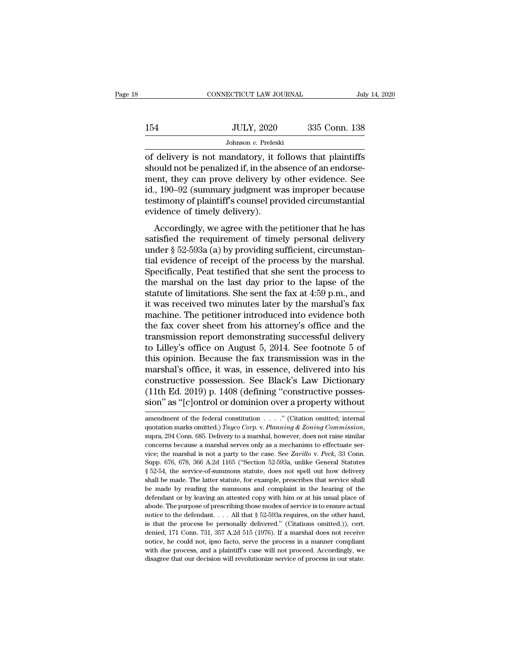|     | CONNECTICUT LAW JOURNAL | July 14, 2020 |
|-----|-------------------------|---------------|
|     |                         |               |
| 154 | <b>JULY, 2020</b>       | 335 Conn. 138 |
|     | Johnson v. Preleski     |               |

CONNECTICUT LAW JOURNAL July 14, 2020<br>
July 14, 2020<br>
Johnson v. Preleski<br>
Johnson v. Preleski<br>
of delivery is not mandatory, it follows that plaintiffs<br>
should not be penalized if, in the absence of an endorse-<br>
ment they 154 JULY, 2020 335 Conn. 138<br>Johnson v. Preleski<br>of delivery is not mandatory, it follows that plaintiffs<br>should not be penalized if, in the absence of an endorse-<br>ment, they can prove delivery by other evidence. See<br>id. 1  $\frac{JULY, 2020}{Johnson \text{ }v. \text{ Preleski}}$ <br>
of delivery is not mandatory, it follows that plaintiffs<br>
should not be penalized if, in the absence of an endorse-<br>
ment, they can prove delivery by other evidence. See<br>
id., 190–92 (summ JULY, 2020 335 Conn. 138<br>Johnson v. Preleski<br>of delivery is not mandatory, it follows that plaintiffs<br>should not be penalized if, in the absence of an endorse-<br>ment, they can prove delivery by other evidence. See<br>id., 190– Johnson *v*. Preleski<br>Johnson *v*. Preleski<br>of delivery is not mandatory, it follows that plaintiffs<br>should not be penalized if, in the absence of an endorse-<br>ment, they can prove delivery by other evidence. See<br>id., 190– Johnson  $v$ . Pretesk<br>of delivery is not mandatory, it for<br>should not be penalized if, in the alment, they can prove delivery by<br>id., 190–92 (summary judgment w.<br>testimony of plaintiff's counsel pro<br>evidence of timely deli actively is not manuatory, it follows that plantins<br>ould not be penalized if, in the absence of an endorse-<br>ent, they can prove delivery by other evidence. See<br>, 190–92 (summary judgment was improper because<br>stimony of pl should not be perialized it, in the absence of an endorse-<br>ment, they can prove delivery by other evidence. See<br>id., 190–92 (summary judgment was improper because<br>testimony of plaintiff's counsel provided circumstantial<br>ev

ment, they can prove denvery by other evidence. See<br>id., 190–92 (summary judgment was improper because<br>testimony of plaintiff's counsel provided circumstantial<br>evidence of timely delivery).<br>Accordingly, we agree with the p tal, 150–52 (summary judgment was improper because<br>testimony of plaintiff's counsel provided circumstantial<br>evidence of timely delivery).<br>Accordingly, we agree with the petitioner that he has<br>satisfied the requirement of t Essimony of plantin s courser provided encurristantial<br>evidence of timely delivery).<br>Accordingly, we agree with the petitioner that he has<br>satisfied the requirement of timely personal delivery<br>under § 52-593a (a) by provi Accordingly, we agree with the petitioner that he has<br>satisfied the requirement of timely personal delivery<br>under  $\S 52-593a$  (a) by providing sufficient, circumstan-<br>tial evidence of receipt of the process by the marshal Accordingly, we agree with the petitioner that he has<br>satisfied the requirement of timely personal delivery<br>under  $\S$  52-593a (a) by providing sufficient, circumstan-<br>tial evidence of receipt of the process by the marshal satisfied the requirement of timely personal delivery<br>under  $\S$  52-593a (a) by providing sufficient, circumstan-<br>tial evidence of receipt of the process by the marshal.<br>Specifically, Peat testified that she sent the proce under § 52-593a (a) by providing sufficient, circumstantial evidence of receipt of the process by the marshal.<br>Specifically, Peat testified that she sent the process to<br>the marshal on the last day prior to the lapse of th tial evidence of receipt of the process by the marshal.<br>Specifically, Peat testified that she sent the process to<br>the marshal on the last day prior to the lapse of the<br>statute of limitations. She sent the fax at 4:59 p.m. Specifically, Peat testified that she sent the process to<br>the marshal on the last day prior to the lapse of the<br>statute of limitations. She sent the fax at 4:59 p.m., and<br>it was received two minutes later by the marshal's the marshal on the last day prior to the lapse of the<br>statute of limitations. She sent the fax at 4:59 p.m., and<br>it was received two minutes later by the marshal's fax<br>machine. The petitioner introduced into evidence both<br> statute of limitations. She sent the fax at 4:59 p.m., and<br>it was received two minutes later by the marshal's fax<br>machine. The petitioner introduced into evidence both<br>the fax cover sheet from his attorney's office and the it was received two minutes later by the marshal's fax<br>machine. The petitioner introduced into evidence both<br>the fax cover sheet from his attorney's office and the<br>transmission report demonstrating successful delivery<br>to L machine. The petitioner introduced into evidence both<br>the fax cover sheet from his attorney's office and the<br>transmission report demonstrating successful delivery<br>to Lilley's office on August 5, 2014. See footnote 5 of<br>thi the fax cover sheet from his attorney's office and the transmission report demonstrating successful delivery to Lilley's office on August 5, 2014. See footnote 5 of this opinion. Because the fax transmission was in the mar transmission report demonstrating successful delivery<br>to Lilley's office on August 5, 2014. See footnote 5 of<br>this opinion. Because the fax transmission was in the<br>marshal's office, it was, in essence, delivered into his<br>c marshal's office, it was, in essence, delivered into his<br>constructive possession. See Black's Law Dictionary<br>(11th Ed. 2019) p. 1408 (defining "constructive posses-<br>sion" as "[c]ontrol or dominion over a property without<br>

constructive possession. See Black's Law Dictionary (11th Ed. 2019) p. 1408 (defining "constructive possession" as "[c]ontrol or dominion over a property without amendment of the federal constitution . . . . ." (Citation o sion" as "[c]ontrol or dominion over a property without<br>amendment of the federal constitution . . . . . " (Citation omitted; internal<br>quotation marks omitted.) Tayco Corp. v. Planning & Zoning Commission,<br>supra, 294 Conn. sion as [C]ontron of doffinition over a property without<br>amendment of the federal constitution . . . . " (Citation omitted; internal<br>quotation marks omitted.) Tayco Corp. v. Planning & Zoning Commission,<br>supra, 294 Conn. 6 amendment of the federal constitution . . . . . " (Citation omitted; internal quotation marks omitted.) *Tayco Corp.* v. *Planning* & *Zoning Commission*, suppra, 294 Conn. 685. Delivery to a marshal, however, does not rai quotation marks omitted.) *Tayco Corp.* v. *Planning & Zoning Commission*, supra, 294 Conn. 685. Delivery to a marshal, however, does not raise similar concerns because a marshal serves only as a mechanism to effectuate se supra, 294 Conn. 685. Delivery to a marshal, however, does not raise similar concerns because a marshal serves only as a mechanism to effectuate service; the marshal is not a party to the case. See *Zarillo* v. *Peck*, 33 becomes because a marshal serves only as a mechanism to effectuate service; the marshal is not a party to the case. See *Zarillo* v. Peck, 33 Conn. Supp. 676, 678, 366 A.2d 1165 ("Section 52-593a, unlike General Statutes vice; the marshal is not a party to the case. See *Zarillo* v. Peck, 33 Conn.<br>Supp. 676, 678, 366 A.2d 1165 ("Section 52-593a, unlike General Statutes § 52-54, the service-of-summons statute, does not spell out how delive Supp. 676, 678, 366 A.2d 1165 ("Section 52-593a, unlike General Statutes § 52-54, the service-of-summons statute, does not spell out how delivery shall be made. The latter statute, for example, prescribes that service sha  $\frac{1}{8}$  52-54, the service-of-summons statute, does not spell out how delivery shall be made. The latter statute, for example, prescribes that service shall be made by reading the summons and complaint in the hearing of shall be made. The latter statute, for example, prescribes that service shall be made by reading the summons and complaint in the hearing of the defendant or by leaving an attested copy with him or at his usual place of ab be made by reading the summons and complaint in the hearing of the defendant or by leaving an attested copy with him or at his usual place of abode. The purpose of prescribing those modes of service is to ensure actual no defendant or by leaving an attested copy with him or at his usual place of abode. The purpose of prescribing those modes of service is to ensure actual notice to the defendant. . . . All that  $\S$  52-593a requires, on the abode. The purpose of prescribing those modes of service is to ensure actual notice to the defendant. . . . All that  $\S$  52-593a requires, on the other hand, is that the process be personally delivered." (Citations omitte notice to the defendant.  $\ldots$  All that § 52-593a requires, on the other hand,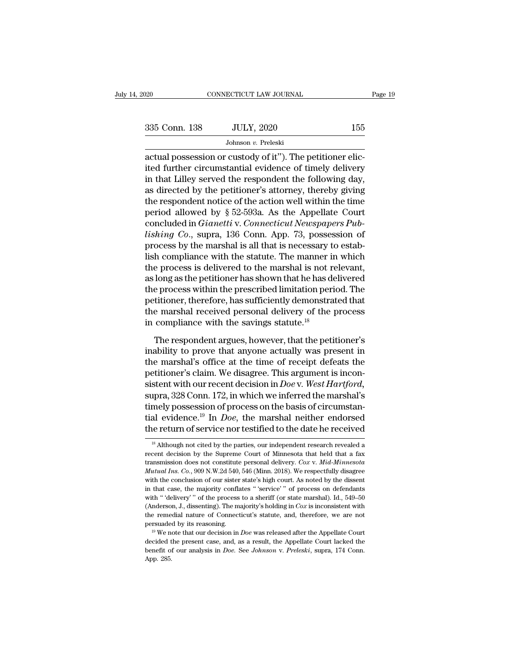| 2020          | CONNECTICUT LAW JOURNAL                                    | Page 19 |
|---------------|------------------------------------------------------------|---------|
|               |                                                            |         |
| 335 Conn. 138 | <b>JULY, 2020</b>                                          | 155     |
|               | Johnson v. Preleski                                        |         |
|               | actual possession or custody of it"). The petitioner elic- |         |
|               | ited further circumstantial evidence of timely delivery    |         |

335 Conn. 138 JULY, 2020 155<br>Johnson v. Preleski<br>actual possession or custody of it"). The petitioner elic-<br>ited further circumstantial evidence of timely delivery<br>in that Lilley served the respondent the following day,<br>a 335 Conn. 138 JULY, 2020 155<br>Johnson v. Preleski<br>actual possession or custody of it"). The petitioner elic-<br>ited further circumstantial evidence of timely delivery<br>in that Lilley served the respondent the following day,<br>a 335 Conn. 138 JULY, 2020 155<br>Johnson v. Preleski<br>actual possession or custody of it"). The petitioner elic-<br>ited further circumstantial evidence of timely delivery<br>in that Lilley served the respondent the following day,<br>a Johnson v. Preleski<br>
actual possession or custody of it"). The petitioner elic-<br>
ited further circumstantial evidence of timely delivery<br>
in that Lilley served the respondent the following day,<br>
as directed by the petitio bonson *v*. Preteski<br>actual possession or custody of it"). The petitioner elic-<br>ited further circumstantial evidence of timely delivery<br>in that Lilley served the respondent the following day,<br>as directed by the petitioner actual possession or custody of it"). The petitioner elic-<br>ited further circumstantial evidence of timely delivery<br>in that Lilley served the respondent the following day,<br>as directed by the petitioner's attorney, thereby g ited further circumstantial evidence of timely delivery<br>in that Lilley served the respondent the following day,<br>as directed by the petitioner's attorney, thereby giving<br>the respondent notice of the action well within the t in that Lilley served the respondent the following day, as directed by the petitioner's attorney, thereby giving the respondent notice of the action well within the time period allowed by § 52-593a. As the Appellate Court as directed by the petitioner's attorney, thereby giving<br>the respondent notice of the action well within the time<br>period allowed by § 52-593a. As the Appellate Court<br>concluded in *Gianetti* v. *Connecticut Newspapers Pub*the respondent notice of the action well within the time<br>period allowed by § 52-593a. As the Appellate Court<br>concluded in *Gianetti* v. *Connecticut Newspapers Pub-<br>lishing Co.*, supra, 136 Conn. App. 73, possession of<br>pr period allowed by § 52-593a. As the Appellate Court<br>concluded in *Gianetti* v. *Connecticut Newspapers Pub-<br>lishing Co.*, supra, 136 Conn. App. 73, possession of<br>process by the marshal is all that is necessary to estab-<br>li concluded in *Gianetti* v. *Connecticut Newspapers Pub-<br>lishing Co.*, supra, 136 Conn. App. 73, possession of<br>process by the marshal is all that is necessary to estab-<br>lish compliance with the statute. The manner in which<br> *lishing Co.*, supra, 136 Conn. App. 73, possession of process by the marshal is all that is necessary to establish compliance with the statute. The manner in which the process is delivered to the marshal is not relevant, process by the marshal is all that is necessary to establish compliance with the statute. The manner in which<br>the process is delivered to the marshal is not relevant,<br>as long as the petitioner has shown that he has deliver lish compliance with the statute. The manner in the process is delivered to the marshal is not r as long as the petitioner has shown that he has delive process within the prescribed limitation peripetitioner, therefore, h Iong as the petitioner has shown that he has delivered<br>e process within the prescribed limitation period. The<br>titioner, therefore, has sufficiently demonstrated that<br>e marshal received personal delivery of the process<br>comp In the process within the prescribed limitation period. The<br>petitioner, therefore, has sufficiently demonstrated that<br>the marshal received personal delivery of the process<br>in compliance with the savings statute.<sup>18</sup><br>The re

the process whall are presented inhibited person as the process means that the marshal received personal delivery of the process<br>in compliance with the savings statute.<sup>18</sup><br>The respondent argues, however, that the petition the marshal received personal delivery of the process<br>in compliance with the savings statute.<sup>18</sup><br>The respondent argues, however, that the petitioner's<br>inability to prove that anyone actually was present in<br>the marshal's in compliance with the savings statute.<sup>18</sup><br>The respondent argues, however, that the petitioner's<br>inability to prove that anyone actually was present in<br>the marshal's office at the time of receipt defeats the<br>petitioner's The respondent argues, however, that the petitioner's<br>inability to prove that anyone actually was present in<br>the marshal's office at the time of receipt defeats the<br>petitioner's claim. We disagree. This argument is incon-The respondent argues, however, that the petitioner's<br>inability to prove that anyone actually was present in<br>the marshal's office at the time of receipt defeats the<br>petitioner's claim. We disagree. This argument is inconinability to prove that anyone actually was present in<br>the marshal's office at the time of receipt defeats the<br>petitioner's claim. We disagree. This argument is incon-<br>sistent with our recent decision in *Doe* v. West Hart the marshal's office at the time of receipt defeats the<br>petitioner's claim. We disagree. This argument is incon-<br>sistent with our recent decision in *Doe* v. *West Hartford*,<br>supra, 328 Conn. 172, in which we inferred the 18 Although not cited by the parties, our independent research revealed a<br>
18 Although not cited by the parties, our independent research revealed a<br>
18 Although not cited by the parties, our independent research revealed timely possession of process on the basis of circumstantial evidence.<sup>19</sup> In *Doe*, the marshal neither endorsed the return of service nor testified to the date he received  $\frac{18}{18}$  Although not cited by the parties, o

tial evidence.<sup>19</sup> In *Doe*, the marshal neither endorsed<br>the return of service nor testified to the date he received<br><sup>18</sup> Although not cited by the parties, our independent research revealed a<br>recent decision by the Supre the return of service nor testified to the date he received<br><sup>18</sup> Although not cited by the parties, our independent research revealed a<br>recent decision by the Supreme Court of Minnesota that held that a fax<br>transmission do <sup>18</sup> Although not cited by the parties, our independent research revealed a recent decision by the Supreme Court of Minnesota that held that a fax transmission does not constitute personal delivery. *Cox v. Mid-Minnesota M* <sup>18</sup> Although not cited by the parties, our independent research revealed a recent decision by the Supreme Court of Minnesota that held that a fax transmission does not constitute personal delivery. *Cox v. Mid-Minnesota* recent decision by the Supreme Court of Minnesota that held that a fax transmission does not constitute personal delivery. *Cox v. Mid-Minnesota Mutual Ins. Co.*, 909 N.W.2d 540, 546 (Minn. 2018). We respectfully disagree transmission does not constitute personal delivery. *Cox* v. *Mid-Minnesota Mutual Ins. Co.*, 909 N.W.2d 540, 546 (Minn. 2018). We respectfully disagree with the conclusion of our sister state's high court. As noted by th *Mutual Ins. Co.*, 909 N.W.2d 540, 546 (Minn. 2018). We respectfully disagree with the conclusion of our sister state's high court. As noted by the dissent in that case, the majority conflates " 'service' " of process on with the conclusion of our sister state's high court. As noted by the dissent<br>in that case, the majority conflates " 'service' " of process on defendants<br>with " 'delivery' " of the process to a sheriff (or state marshal). with "'delivery'" of the process to a sheriff (or state marshal). Id., 549–50 (Anderson, J., dissenting). The majority's holding in *Cox* is inconsistent with the remedial nature of Connecticut's statute, and, therefore, with " 'delivery' " of the process to a sheriff (or state marshal). Id., 549–50 (Anderson, J., dissenting). The majority's holding in *Cox* is inconsistent with the remedial nature of Connecticut's statute, and, therefore the remedial nature of Connecticut's statute, and, therefore, we are not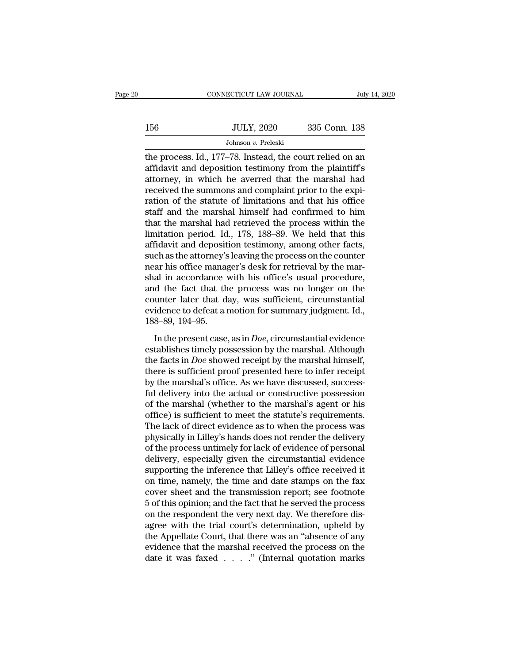|     | CONNECTICUT LAW JOURNAL                                                                                                                                                   | July 14, 2020 |
|-----|---------------------------------------------------------------------------------------------------------------------------------------------------------------------------|---------------|
| 156 | <b>JULY, 2020</b>                                                                                                                                                         | 335 Conn. 138 |
|     | Johnson $v$ . Preleski                                                                                                                                                    |               |
|     | the process. Id., 177–78. Instead, the court relied on an<br>affidavit and deposition testimony from the plaintiff's<br>ettomou in which he everyord that the marshal had |               |

156 JULY, 2020 335 Conn. 138<br>
Johnson v. Preleski<br>
the process. Id., 177–78. Instead, the court relied on an<br>
affidavit and deposition testimony from the plaintiff's<br>
attorney, in which he averred that the marshal had<br>
req 156 JULY, 2020 335 Conn. 138<br>Johnson v. Preleski<br>the process. Id., 177–78. Instead, the court relied on an<br>affidavit and deposition testimony from the plaintiff's<br>attorney, in which he averred that the marshal had<br>receive 156 JULY, 2020 335 Conn. 138<br>Johnson v. Preleski<br>the process. Id., 177–78. Instead, the court relied on an<br>affidavit and deposition testimony from the plaintiff's<br>attorney, in which he averred that the marshal had<br>receive Johnson *v*. Preleski<br>Johnson *v*. Preleski<br>the process. Id., 177–78. Instead, the court relied on an<br>affidavit and deposition testimony from the plaintiff's<br>attorney, in which he averred that the marshal had<br>received the Johnson v. Preleski<br>the process. Id., 177–78. Instead, the court relied on an<br>affidavit and deposition testimony from the plaintiff's<br>attorney, in which he averred that the marshal had<br>received the summons and complaint p the process. Id., 177–78. Instead, the court relied on an affidavit and deposition testimony from the plaintiff's attorney, in which he averred that the marshal had received the summons and complaint prior to the expiratio affidavit and deposition testimony from the plaintiff's<br>attorney, in which he averred that the marshal had<br>received the summons and complaint prior to the expi-<br>ration of the statute of limitations and that his office<br>staf attorney, in which he averred that the marshal had<br>received the summons and complaint prior to the expiration of the statute of limitations and that his office<br>staff and the marshal himself had confirmed to him<br>that the ma received the summons and complaint prior to the expiration of the statute of limitations and that his office<br>staff and the marshal himself had confirmed to him<br>that the marshal had retrieved the process within the<br>limitati ration of the statute of limitations and that his office<br>staff and the marshal himself had confirmed to him<br>that the marshal had retrieved the process within the<br>limitation period. Id., 178, 188–89. We held that this<br>affid staff and the marshal himself had confirmed to him<br>that the marshal had retrieved the process within the<br>limitation period. Id., 178, 188–89. We held that this<br>affidavit and deposition testimony, among other facts,<br>such as that the marshal had retrieved the process within the<br>limitation period. Id., 178, 188–89. We held that this<br>affidavit and deposition testimony, among other facts,<br>such as the attorney's leaving the process on the counter<br> limitation period. Id., 178, 188–89. We held that this<br>affidavit and deposition testimony, among other facts,<br>such as the attorney's leaving the process on the counter<br>near his office manager's desk for retrieval by the ma affidavit and deposition testimony, among other facts,<br>such as the attorney's leaving the process on the counter<br>near his office manager's desk for retrieval by the mar-<br>shal in accordance with his office's usual procedure such as the attorney's<br>near his office manag<br>shal in accordance<br>and the fact that th<br>counter later that devidence to defeat a 1<br>188–89, 194–95.<br>In the present case In this office manager's desk for rearctual system.<br>
In a coordance with his office's usual procedure,<br>
d the fact that the process was no longer on the<br>
unter later that day, was sufficient, circumstantial<br>
idence to defe and the fact that the process was no longer on the<br>counter later that day, was sufficient, circumstantial<br>evidence to defeat a motion for summary judgment. Id.,<br>188–89, 194–95.<br>In the present case, as in *Doe*, circumstan

the fact and the process was no longer on the<br>counter later that day, was sufficient, circumstantial<br>evidence to defeat a motion for summary judgment. Id.,<br>188–89, 194–95.<br>In the present case, as in *Doe*, circumstantial e evidence to defeat a motion for summary judgment. Id.,<br>188–89, 194–95.<br>In the present case, as in *Doe*, circumstantial evidence<br>establishes timely possession by the marshal. Although<br>the facts in *Doe* showed receipt by by the marshal's office. As in Doe, circumstantial evidence establishes timely possession by the marshal. Although the facts in Doe showed receipt by the marshal himself, there is sufficient proof presented here to infer In the present case, as in *Doe*, circumstantial evidence<br>establishes timely possession by the marshal. Although<br>the facts in *Doe* showed receipt by the marshal himself,<br>there is sufficient proof presented here to infer In the present case, as in *Doe*, circumstantial evidence<br>establishes timely possession by the marshal. Although<br>the facts in *Doe* showed receipt by the marshal himself,<br>there is sufficient proof presented here to infer establishes timely possession by the marshal. Although<br>the facts in *Doe* showed receipt by the marshal himself,<br>there is sufficient proof presented here to infer receipt<br>by the marshal's office. As we have discussed, succ the facts in *Doe* showed receipt by the marshal himself,<br>there is sufficient proof presented here to infer receipt<br>by the marshal's office. As we have discussed, success-<br>ful delivery into the actual or constructive posse there is sufficient proof presented here to infer receipt<br>by the marshal's office. As we have discussed, success-<br>ful delivery into the actual or constructive possession<br>of the marshal (whether to the marshal's agent or hi by the marshal's office. As we have discussed, success-<br>ful delivery into the actual or constructive possession<br>of the marshal (whether to the marshal's agent or his<br>office) is sufficient to meet the statute's requirements ful delivery into the actual or constructive possession<br>of the marshal (whether to the marshal's agent or his<br>office) is sufficient to meet the statute's requirements.<br>The lack of direct evidence as to when the process was of the marshal (whether to the marshal's agent or his<br>office) is sufficient to meet the statute's requirements.<br>The lack of direct evidence as to when the process was<br>physically in Lilley's hands does not render the delive office) is sufficient to meet the statute's requirements.<br>The lack of direct evidence as to when the process was<br>physically in Lilley's hands does not render the delivery<br>of the process untimely for lack of evidence of per The lack of direct evidence as to when the process was<br>physically in Lilley's hands does not render the delivery<br>of the process untimely for lack of evidence of personal<br>delivery, especially given the circumstantial eviden physically in Lilley's hands does not render the delivery<br>of the process untimely for lack of evidence of personal<br>delivery, especially given the circumstantial evidence<br>supporting the inference that Lilley's office receiv of the process untimely for lack of evidence of personal<br>delivery, especially given the circumstantial evidence<br>supporting the inference that Lilley's office received it<br>on time, namely, the time and date stamps on the fax delivery, especially given the circumstantial evidence<br>supporting the inference that Lilley's office received it<br>on time, namely, the time and date stamps on the fax<br>cover sheet and the transmission report; see footnote<br>5 supporting the inference that Lilley's office received it<br>on time, namely, the time and date stamps on the fax<br>cover sheet and the transmission report; see footnote<br>5 of this opinion; and the fact that he served the proces on time, namely, the time and date stamps on the fax<br>cover sheet and the transmission report; see footnote<br>5 of this opinion; and the fact that he served the process<br>on the respondent the very next day. We therefore dis-<br> cover sheet and the transmission report; see footnote 5 of this opinion; and the fact that he served the process on the respondent the very next day. We therefore disagree with the trial court's determination, upheld by t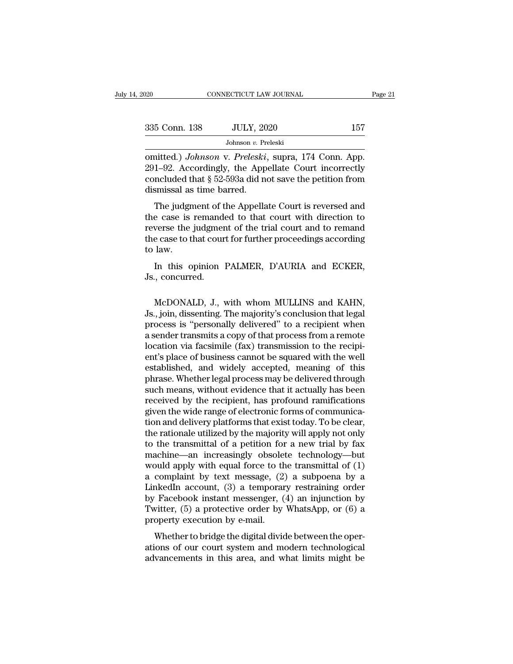| 2020          | CONNECTICUT LAW JOURNAL                                                                                                                                                          | Page 21 |
|---------------|----------------------------------------------------------------------------------------------------------------------------------------------------------------------------------|---------|
| 335 Conn. 138 | <b>JULY, 2020</b>                                                                                                                                                                | 157     |
|               | Johnson $v$ . Preleski                                                                                                                                                           |         |
|               | omitted.) <i>Johnson v. Preleski</i> , supra, 174 Conn. App.<br>291–92. Accordingly, the Appellate Court incorrectly<br>concluded that $8.59.502$ did not save the petition from |         |

335 Conn. 138 JULY, 2020 157<br>Johnson v. Preleski<br>
omitted.) Johnson v. Preleski, supra, 174 Conn. App.<br>291–92. Accordingly, the Appellate Court incorrectly<br>
concluded that § 52-593a did not save the petition from<br>
dismiss 335 Conn. 138 JULY, 2020 157<br>Johnson v. Preleski<br>
contited.) Johnson v. Preleski, supra, 174 Conn. App.<br>
291–92. Accordingly, the Appellate Court incorrectly<br>
concluded that § 52-593a did not save the petition from<br>
dismi omitted.) Johnson v. Preleski, supra, 174 Conn. App.<br>291–92. Accordingly, the Appellate Court incorrectly<br>concluded that § 52-593a did not save the petition from<br>dismissal as time barred.<br>The judgment of the Appellate Cour Johnson v. Preleski<br>
intted.) Johnson v. Preleski, supra, 174 Conn. App.<br>
1–92. Accordingly, the Appellate Court incorrectly<br>
included that § 52-593a did not save the petition from<br>
smissal as time barred.<br>
The judgment of omitted.) *Johnson* v. Preleski, supra, 174 Conn. App.<br>291–92. Accordingly, the Appellate Court incorrectly<br>concluded that  $\S 52-593a$  did not save the petition from<br>dismissal as time barred.<br>The judgment of the Appellate

conducted.) Johnson V. Treveske, supra, 174 Comt. App.<br>291–92. Accordingly, the Appellate Court incorrectly<br>concluded that  $\S 52-593a$  did not save the petition from<br>dismissal as time barred.<br>The judgment of the Appellate  $251-52$ . Accordingly, the Appenate Court filed interfectly concluded that  $\S 52-593a$  did not save the petition from dismissal as time barred.<br>The judgment of the Appellate Court is reversed and the case is remanded to t dismissal as<br>dismissal as<br>the case is<br>reverse the<br>the case to the case to the<br>to law.<br>In this of The judgment of the Appellate Court is reversed and<br>e case is remanded to that court with direction to<br>verse the judgment of the trial court and to remand<br>e case to that court for further proceedings according<br>law.<br>In this The judgment of the case is remand<br>reverse the judgment<br>the case to that cour<br>to law.<br>In this opinion<br>Js., concurred.

e case to that court for further proceedings according<br>law.<br>In this opinion PALMER, D'AURIA and ECKER,<br>., concurred.<br>McDONALD, J., with whom MULLINS and KAHN,<br>., join, dissenting. The majority's conclusion that legal<br>eages to law.<br>In this opinion PALMER, D'AURIA and ECKER,<br>Js., concurred.<br>McDONALD, J., with whom MULLINS and KAHN,<br>Js., join, dissenting. The majority's conclusion that legal<br>process is "personally delivered" to a recipient when In this opinion PALMER, D'AURIA and ECKER,<br>Js., concurred.<br>McDONALD, J., with whom MULLINS and KAHN,<br>Js., join, dissenting. The majority's conclusion that legal<br>process is "personally delivered" to a recipient when<br>a sende In this opinion PALMER, DAURIA and ECKER,<br>Js., concurred.<br>McDONALD, J., with whom MULLINS and KAHN,<br>Js., join, dissenting. The majority's conclusion that legal<br>process is "personally delivered" to a recipient when<br>a sender J.S., concurred.<br>McDONALD, J., with whom MULLINS and KAHN,<br>J.S., join, dissenting. The majority's conclusion that legal<br>process is "personally delivered" to a recipient when<br>a sender transmits a copy of that process from a McDONALD, J., with whom MULLINS and KAHN,<br>Js., join, dissenting. The majority's conclusion that legal<br>process is "personally delivered" to a recipient when<br>a sender transmits a copy of that process from a remote<br>location v McDONALD, J., with whom MULLINS and KAHN,<br>Js., join, dissenting. The majority's conclusion that legal<br>process is "personally delivered" to a recipient when<br>a sender transmits a copy of that process from a remote<br>location v Js., join, dissenting. The majority's conclusion that legal<br>process is "personally delivered" to a recipient when<br>a sender transmits a copy of that process from a remote<br>location via facsimile (fax) transmission to the rec process is "personally delivered" to a recipient when<br>a sender transmits a copy of that process from a remote<br>location via facsimile (fax) transmission to the recipi-<br>ent's place of business cannot be squared with the well a sender transmits a copy of that process from a remote<br>location via facsimile (fax) transmission to the recipi-<br>ent's place of business cannot be squared with the well<br>established, and widely accepted, meaning of this<br>phr location via facsimile (fax) transmission to the recipient's place of business cannot be squared with the well<br>established, and widely accepted, meaning of this<br>phrase. Whether legal process may be delivered through<br>such m ent's place of business cannot be squared with the well<br>established, and widely accepted, meaning of this<br>phrase. Whether legal process may be delivered through<br>such means, without evidence that it actually has been<br>receiv established, and widely accepted, meaning of this<br>phrase. Whether legal process may be delivered through<br>such means, without evidence that it actually has been<br>received by the recipient, has profound ramifications<br>given th phrase. Whether legal process may be delivered through<br>such means, without evidence that it actually has been<br>received by the recipient, has profound ramifications<br>given the wide range of electronic forms of communica-<br>tio such means, without evidence that it actually has been<br>received by the recipient, has profound ramifications<br>given the wide range of electronic forms of communica-<br>tion and delivery platforms that exist today. To be clear, received by the recipient, has profound ramifications<br>given the wide range of electronic forms of communica-<br>tion and delivery platforms that exist today. To be clear,<br>the rationale utilized by the majority will apply not given the wide range of electronic forms of communication and delivery platforms that exist today. To be clear,<br>the rationale utilized by the majority will apply not only<br>to the transmittal of a petition for a new trial by tion and delivery platforms that exist today. To be clear,<br>the rationale utilized by the majority will apply not only<br>to the transmittal of a petition for a new trial by fax<br>machine—an increasingly obsolete technology—but the rationale utilized by the majority will apply not only<br>to the transmittal of a petition for a new trial by fax<br>machine—an increasingly obsolete technology—but<br>would apply with equal force to the transmittal of  $(1)$ <br>a to the transmittal of a petition for a new trial by fax<br>machine—an increasingly obsolete technology—but<br>would apply with equal force to the transmittal of  $(1)$ <br>a complaint by text message,  $(2)$  a subpoena by a<br>LinkedIn machine—an increasingly obsole<br>would apply with equal force to th<br>a complaint by text message, (2)<br>LinkedIn account, (3) a temporar<br>by Facebook instant messenger, (<br>Twitter, (5) a protective order by<br>property execution by band apply what equal force to the transmitted of  $(1)$ <br>complaint by text message,  $(2)$  a subpoena by a<br>nkedIn account,  $(3)$  a temporary restraining order<br>Facebook instant messenger,  $(4)$  an injunction by<br>witter,  $(5)$ a complaint by text inessage,  $(2)$  a subpocha by a<br>LinkedIn account, (3) a temporary restraining order<br>by Facebook instant messenger, (4) an injunction by<br>Twitter, (5) a protective order by WhatsApp, or (6) a<br>property ex Einkedin account, (b) a temporary restraining order<br>by Facebook instant messenger, (4) an injunction by<br>Twitter, (5) a protective order by WhatsApp, or (6) a<br>property execution by e-mail.<br>Whether to bridge the digital div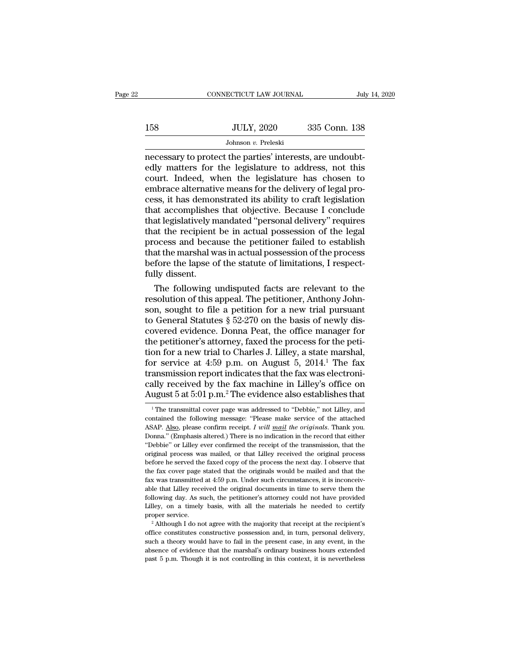|     | CONNECTICUT LAW JOURNAL                                                                                                                                               | July 14, 2020 |
|-----|-----------------------------------------------------------------------------------------------------------------------------------------------------------------------|---------------|
| 158 | <b>JULY, 2020</b>                                                                                                                                                     | 335 Conn. 138 |
|     | Johnson v. Preleski                                                                                                                                                   |               |
|     | necessary to protect the parties' interests, are undoubt-<br>edly matters for the legislature to address, not this<br>court Indeed when the legislature has chosen to |               |

158 JULY, 2020 335 Conn. 138<br>Johnson v. Preleski<br>necessary to protect the parties' interests, are undoubtedly matters for the legislature to address, not this<br>court. Indeed, when the legislature has chosen to<br>embrace alter  $\frac{JULY, 2020}{Johnson \, v. \,\text{Preleski}}$ <br>  $\frac{Johnson \, v. \,\text{Preleski}}{Johnson \, v. \,\text{Preleski}}$ <br>  $\frac{Johnson \, v. \,\text{Preleski}}{Jenchedly \,\text{matter}}$ <br>  $\frac{Johnson \, v. \,\text{Preleski}}{Jethedly \,\text{matter}}$ <br>  $\frac{Johnson \, v. \,\text{Preleski}}{Jethedly \,\text{matter}}$ <br>  $\frac{JbmC}{Jethedly \,\text{inter}}$ <br>  $\frac{JbmC}{Jethedly \,\text{inter}}$ <br>  $\frac{JbmC}{Jeth$ JULY, 2020 335 Conn. 138<br>
Johnson *v*. Preleski<br>
necessary to protect the parties' interests, are undoubtedly matters for the legislature to address, not this<br>
court. Indeed, when the legislature has chosen to<br>
embrace alt Johnson v. Preleski<br>
necessary to protect the parties' interests, are undoubtedly matters for the legislature to address, not this<br>
court. Indeed, when the legislature has chosen to<br>
embrace alternative means for the deli Johnson v. Preleski<br>
necessary to protect the parties' interests, are undoubt-<br>
edly matters for the legislature to address, not this<br>
court. Indeed, when the legislature has chosen to<br>
embrace alternative means for the d necessary to protect the parties' interests, are undoubtedly matters for the legislature to address, not this court. Indeed, when the legislature has chosen to embrace alternative means for the delivery of legal process, i edly matters for the legislature to address, not this<br>court. Indeed, when the legislature has chosen to<br>embrace alternative means for the delivery of legal pro-<br>cess, it has demonstrated its ability to craft legislation<br>th court. Indeed, when the legislature has chosen to<br>embrace alternative means for the delivery of legal pro-<br>cess, it has demonstrated its ability to craft legislation<br>that accomplishes that objective. Because I conclude<br>tha embrace alternative means for the delivery of legal process, it has demonstrated its ability to craft legislation that accomplishes that objective. Because I conclude that legislatively mandated "personal delivery" require cess, it has demonstrated its ability to craft legislation<br>that accomplishes that objective. Because I conclude<br>that legislatively mandated "personal delivery" requires<br>that the recipient be in actual possession of the leg that accomplishes<br>that legislatively n<br>that the recipient<br>process and beca<br>that the marshal w<br>before the lapse o<br>fully dissent.<br>The following u at legislatively mandated "personal delivery" requires<br>at the recipient be in actual possession of the legal<br>ocess and because the petitioner failed to establish<br>at the marshal was in actual possession of the process<br>fore that the recipient be in actual possession of the legal<br>process and because the petitioner failed to establish<br>that the marshal was in actual possession of the process<br>before the lapse of the statute of limitations, I res

process and because the petitioner failed to establish<br>that the marshal was in actual possession of the process<br>before the lapse of the statute of limitations, I respect-<br>fully dissent.<br>The following undisputed facts are r that the marshal was in actual possession of the process<br>before the lapse of the statute of limitations, I respect-<br>fully dissent.<br>The following undisputed facts are relevant to the<br>resolution of this appeal. The petitione before the lapse of the statute of limitations, I respect-<br>fully dissent.<br>The following undisputed facts are relevant to the<br>resolution of this appeal. The petitioner, Anthony John-<br>son, sought to file a petition for a new fully dissent.<br>The following undisputed facts are relevant to the<br>resolution of this appeal. The petitioner, Anthony John-<br>son, sought to file a petition for a new trial pursuant<br>to General Statutes § 52-270 on the basis The following undisputed facts are relevant to the<br>resolution of this appeal. The petitioner, Anthony John-<br>son, sought to file a petition for a new trial pursuant<br>to General Statutes § 52-270 on the basis of newly dis-<br>c resolution of this appeal. The petitioner, Anthony Johnson, sought to file a petition for a new trial pursuant<br>to General Statutes  $\S~52-270$  on the basis of newly dis-<br>covered evidence. Donna Peat, the office manager for son, sought to file a petition for a new trial pursuant<br>to General Statutes § 52-270 on the basis of newly dis-<br>covered evidence. Donna Peat, the office manager for<br>the petitioner's attorney, faxed the process for the pet to General Statutes  $\S$  52-270 on the basis of newly discovered evidence. Donna Peat, the office manager for the petitioner's attorney, faxed the process for the petition for a new trial to Charles J. Lilley, a state mars covered evidence. Donna Peat, the office manager for<br>the petitioner's attorney, faxed the process for the peti-<br>tion for a new trial to Charles J. Lilley, a state marshal,<br>for service at 4:59 p.m. on August 5, 2014.<sup>1</sup> The For service at 4:59 p.m. on August 5, 2014.<sup>1</sup> The fax ansmission report indicates that the fax was electronially received by the fax machine in Lilley's office on ugust 5 at 5:01 p.m.<sup>2</sup> The evidence also establishes tha transmission report indicates that the fax was electronically received by the fax machine in Lilley's office on August 5 at 5:01 p.m.<sup>2</sup> The evidence also establishes that  $\frac{1}{1}$  The transmittal cover page was addresse

cally received by the fax machine in Lilley's office on<br>August 5 at 5:01 p.m.<sup>2</sup> The evidence also establishes that<br><sup>1</sup> The transmittal cover page was addressed to "Debbie," not Lilley, and<br>contained the following message: August 5 at 5:01 p.m.<sup>2</sup> The evidence also establishes that  $\frac{1}{1}$  The transmittal cover page was addressed to "Debbie," not Lilley, and contained the following message: "Please make service of the attached ASAP. Also, August 5 at 5:01 p.m. The evidence also establishes that<br>
<sup>1</sup> The transmittal cover page was addressed to "Debbie," not Lilley, and<br>
contained the following message: "Please make service of the attached<br>
ASAP. <u>Also</u>, plea <sup>1</sup> The transmittal cover page was addressed to "Debbie," not Lilley, and contained the following message: "Please make service of the attached ASAP. <u>Also</u>, please confirm receipt. *I will mail the originals*. Thank you. contained the following message: "Please make service of the attached ASAP. Also, please confirm receipt. *I will mail the originals*. Thank you. Donna." (Emphasis altered.) There is no indication in the record that eithe EXAP. Also, please confirm receipt. *I will mail the originals*. Thank you.<br>Donna." (Emphasis altered.) There is no indication in the record that either "Debbie" or Lilley ever confirmed the receipt of the transmission, t ASAP. Also, please confirm receipt. *I will mail the originals*. Thank you. Donna." (Emphasis altered.) There is no indication in the record that either "Debbie" or Lilley ever confirmed the receipt of the transmission, t "Debbie" or Lilley ever confirmed the receipt of the transmission, that the original process was mailed, or that Lilley received the original process before he served the faxed copy of the process the next day. I observe original process was mailed, or that Lilley received the original process before he served the faxed copy of the process the next day. I observe that the fax cover page stated that the originals would be mailed and that t before he served the faxed copy of the process the next day. I observe that the fax cover page stated that the originals would be mailed and that the fax was transmitted at 4:59 p.m. Under such circumstances, it is inconce the fax cover page stated that the originals would be mailed and that the fax was transmitted at 4:59 p.m. Under such circumstances, it is inconceivable that Lilley received the original documents in time to serve them th able that Lilley received the original documents in time to serve them the following day. As such, the petitioner's attorney could not have provided Lilley, on a timely basis, with all the materials he needed to certify p

such a theory is such, the petitioner's attorney could not have provided Lilley, on a timely basis, with all the materials he needed to certify proper service.<br>
<sup>2</sup> Although I do not agree with the majority that receipt at Lilley, on a timely basis, with all the materials he needed to certify proper service.<br>
<sup>2</sup> Although I do not agree with the majority that receipt at the recipient's office constitutes constructive possession and, in turn <sup>2</sup> Although I do not agree with the majority that receipt at the recipient's office constitutes constructive possession and, in turn, personal delivery, such a theory would have to fail in the present case, in any event,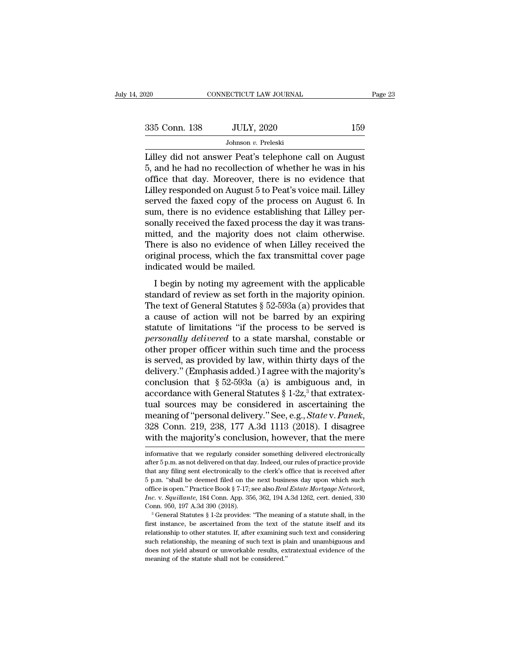| 2020          | CONNECTICUT LAW JOURNAL                                                                                                                                               | Page 23 |
|---------------|-----------------------------------------------------------------------------------------------------------------------------------------------------------------------|---------|
| 335 Conn. 138 | <b>JULY, 2020</b>                                                                                                                                                     | 159     |
|               | Johnson v. Preleski                                                                                                                                                   |         |
|               | Lilley did not answer Peat's telephone call on August<br>5, and he had no recollection of whether he was in his<br>office that day Moreover there is no evidence that |         |

335 Conn. 138 JULY, 2020 159<br>Johnson v. Preleski<br>Lilley did not answer Peat's telephone call on August<br>5, and he had no recollection of whether he was in his<br>office that day. Moreover, there is no evidence that<br>Lilley rec 335 Conn. 138 JULY, 2020 159<br>Johnson v. Preleski<br>Lilley did not answer Peat's telephone call on August<br>5, and he had no recollection of whether he was in his<br>office that day. Moreover, there is no evidence that<br>Lilley res 335 Conn. 138 JULY, 2020 159<br>Johnson v. Preleski<br>Lilley did not answer Peat's telephone call on August<br>5, and he had no recollection of whether he was in his<br>office that day. Moreover, there is no evidence that<br>Lilley res Johnson *v*. Preleski<br>Lilley did not answer Peat's telephone call on August<br>5, and he had no recollection of whether he was in his<br>office that day. Moreover, there is no evidence that<br>Lilley responded on August 5 to Peat' Johnson *v.* Preleski<br>Lilley did not answer Peat's telephone call on August<br>5, and he had no recollection of whether he was in his<br>office that day. Moreover, there is no evidence that<br>Lilley responded on August 5 to Peat's Lilley did not answer Peat's telephone call on August<br>5, and he had no recollection of whether he was in his<br>office that day. Moreover, there is no evidence that<br>Lilley responded on August 5 to Peat's voice mail. Lilley<br>se 5, and he had no recollection of whether he was in his<br>office that day. Moreover, there is no evidence that<br>Lilley responded on August 5 to Peat's voice mail. Lilley<br>served the faxed copy of the process on August 6. In<br>sum office that day. Moreover, there is no evidence that<br>Lilley responded on August 5 to Peat's voice mail. Lilley<br>served the faxed copy of the process on August 6. In<br>sum, there is no evidence establishing that Lilley per-<br>so Lilley responded on August 5 to Peat's voice mail. Lilley<br>served the faxed copy of the process on August 6. In<br>sum, there is no evidence establishing that Lilley per-<br>sonally received the faxed process the day it was trans served the faxed copy of the pr<br>sum, there is no evidence estably<br>sonally received the faxed proces<br>mitted, and the majority does<br>There is also no evidence of wh<br>original process, which the fax t<br>indicated would be mailed. In the given by the content of contents the day it was trans-<br>
itted, and the majority does not claim otherwise.<br>
I begin by noting my agreement with the applicable<br>
I begin by noting my agreement with the applicable<br>
and standard and the majority does not claim otherwise.<br>There is also no evidence of when Lilley received the<br>original process, which the fax transmittal cover page<br>indicated would be mailed.<br>I begin by noting my agreement wi

There is also no evidence of when Lilley received the original process, which the fax transmittal cover page indicated would be mailed.<br>
I begin by noting my agreement with the applicable standard of review as set forth i Friete is also no evaluated of which langt redeved are<br>original process, which the fax transmittal cover page<br>indicated would be mailed.<br>I begin by noting my agreement with the applicable<br>standard of review as set forth i indicated would be mailed.<br>
I begin by noting my agreement with the applicable<br>
standard of review as set forth in the majority opinion.<br>
The text of General Statutes  $\S 52-593a$  (a) provides that<br>
a cause of action will *personally delivered* to a state marshal, constandant of review as set forth in the majority opinion.<br>The text of General Statutes § 52-593a (a) provides that<br>a cause of action will not be barred by an expiring<br>statute of I begin by noting my agreement with the applicable<br>standard of review as set forth in the majority opinion.<br>The text of General Statutes  $\S 52-593a$  (a) provides that<br>a cause of action will not be barred by an expiring<br>st standard of review as set forth in the majority opinion.<br>The text of General Statutes  $\S$  52-593a (a) provides that<br>a cause of action will not be barred by an expiring<br>statute of limitations "if the process to be served i The text of General Statutes § 52-593a (a) provides that<br>a cause of action will not be barred by an expiring<br>statute of limitations "if the process to be served is<br>*personally delivered* to a state marshal, constable or<br>o a cause of action will not be barred by an expiring<br>statute of limitations "if the process to be served is<br>*personally delivered* to a state marshal, constable or<br>other proper officer within such time and the process<br>is s statute of limitations "if the process to be served is<br>*personally delivered* to a state marshal, constable or<br>other proper officer within such time and the process<br>is served, as provided by law, within thirty days of the personally delivered to a state marshal, constable or<br>other proper officer within such time and the process<br>is served, as provided by law, within thirty days of the<br>delivery." (Emphasis added.) I agree with the majority's other proper officer within such time and the process<br>is served, as provided by law, within thirty days of the<br>delivery." (Emphasis added.) I agree with the majority's<br>conclusion that § 52-593a (a) is ambiguous and, in<br>acc delivery." (Emphasis added.) I agree with the majority's conclusion that § 52-593a (a) is ambiguous and, in accordance with General Statutes § 1-2z,<sup>3</sup> that extratextual sources may be considered in ascertaining the meani tual sources may be considered in ascertaining the<br>meaning of "personal delivery." See, e.g., *State* v. *Panek*,<br>328 Conn. 219, 238, 177 A.3d 1113 (2018). I disagree<br>with the majority's conclusion, however, that the mere meaning of "personal delivery." See, e.g., *State v. Panek*,<br>328 Conn. 219, 238, 177 A.3d 1113 (2018). I disagree<br>with the majority's conclusion, however, that the mere<br>informative that we regularly consider something deli

<sup>328</sup> Conn. 219, 238, 177 A.3d 1113 (2018). I disagree with the majority's conclusion, however, that the mere informative that we regularly consider something delivered electronically after  $5 p.m.$  as not delivered on that d with the majority's conclusion, however, that the mere<br>informative that we regularly consider something delivered electronically<br>after 5 p.m. as not delivered on that day. Indeed, our rules of practice provide<br>that any fil that any filing sent electronically to the clerk's office that is received after 5 p.m. "shall be deemed filed on the next business day upon which such office is open." Practice Book § 7-17; see also *Real Estate Mortgage* Informative that we regularly consider something delivered electronically<br>after 5 p.m. as not delivered on that day. Indeed, our rules of practice provide<br>that any filing sent electronically to the clerk's office that is r rafter 5 p.m. as not delivered on that day. Indeed, our rules of practice provide that any filing sent electronically to the clerk's office that is received after 5 p.m. "shall be deemed filed on the next business day upo 5 p.m. "shall be deemed filed on the next business day upon which such office is open." Practice Book § 7-17; see also *Real Estate Mortgage Network*, *Inc.* v. *Squillante*, 184 Conn. App. 356, 362, 194 A.3d 1262, cert.

Fire is open." Practice Book § 7-17; see also *Real Estate Mortgage Network*, *Inc.* v. *Squillante*, 184 Conn. App. 356, 362, 194 A.3d 1262, cert. denied, 330 Conn. 950, 197 A.3d 390 (2018).<br><sup>3</sup> General Statutes § 1-2z p *Inc.* v. *Squillante*, 184 Conn. App. 356, 362, 194 A.3d 1262, cert. denied, 330 Conn. 950, 197 A.3d 390 (2018).<br><sup>3</sup> General Statutes § 1-2z provides: "The meaning of a statute shall, in the first instance, be ascertained Conn. 950, 197 A.3d 390 (2018).<br>
<sup>3</sup> General Statutes § 1-2z provides: "The meaning of a statute shall, in the first instance, be ascertained from the text of the statute itself and its relationship to other statutes. If,  $^3$  General Statutes  $\S$  1-2z provides: "The meaning of a statute shall, in the first instance, be ascertained from the text of the statute itself and its relationship to other statutes. If, after examining such text and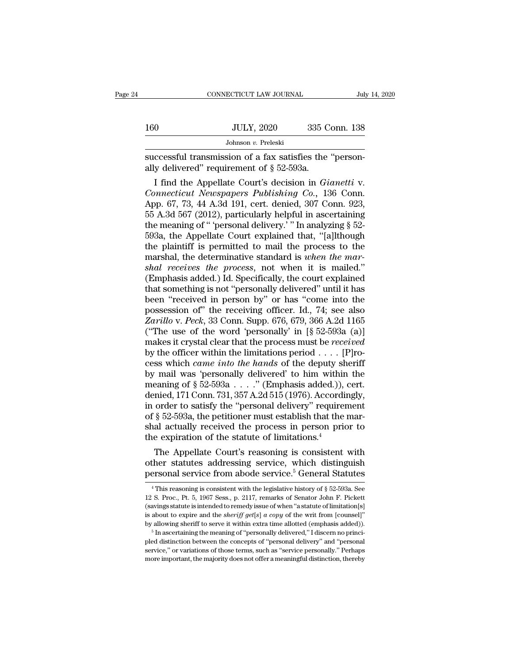|     | CONNECTICUT LAW JOURNAL                                                                                  |               | July 14, 2020 |
|-----|----------------------------------------------------------------------------------------------------------|---------------|---------------|
|     |                                                                                                          |               |               |
| 160 | <b>JULY, 2020</b>                                                                                        | 335 Conn. 138 |               |
|     | Johnson v. Preleski                                                                                      |               |               |
|     | successful transmission of a fax satisfies the "person-<br>ally delivered" requirement of $\S~52$ -593a. |               |               |
|     | I find the Appellate Court's decision in <i>Gianetti</i> v.                                              |               |               |

I Find the Appellate Court's decision in *Gianetti* v.<br>
I find the Appellate Court's decision in *Gianetti* v.<br>
I find the Appellate Court's decision in *Gianetti* v.<br>
I find the Appellate Court's decision in *Gianetti* v. *Connet 160 Connet Connet in the Sohnson v. Preleski*<br> *Cohnson v. Preleski*<br> *Connecticut Newspapers Publishing Co., 136 Conneticut Newspapers Publishing Co., 136 Conneticut Newspapers Publishing Co., 136 Conn.<br>
App. 67* Johnson v. Preleski<br>
successful transmission of a fax satisfies the "person-<br>
ally delivered" requirement of  $\S$  52-593a.<br>
I find the Appellate Court's decision in *Gianetti* v.<br>
Connecticut Newspapers Publishing Co., 136 successful transmission of a fax satisfies the "person-<br>ally delivered" requirement of § 52-593a.<br>I find the Appellate Court's decision in *Gianetti* v.<br>Connecticut Newspapers Publishing Co., 136 Conn.<br>App. 67, 73, 44 A.3d successful transmission of a fax satisfies the "person-<br>ally delivered" requirement of  $\S$  52-593a.<br>I find the Appellate Court's decision in *Gianetti* v.<br>*Connecticut Newspapers Publishing Co.*, 136 Conn.<br>App. 67, 73, 44 ally delivered" requirement of  $\S$  52-593a.<br>
I find the Appellate Court's decision in *Gianetti* v.<br> *Connecticut Newspapers Publishing Co.*, 136 Conn.<br>
App. 67, 73, 44 A.3d 191, cert. denied, 307 Conn. 923,<br>
55 A.3d 567 I find the Appellate Court's decision in *Gianetti* v.<br> *Connecticut Newspapers Publishing Co.*, 136 Conn.<br>
App. 67, 73, 44 A.3d 191, cert. denied, 307 Conn. 923,<br>
55 A.3d 567 (2012), particularly helpful in ascertaining<br> Connecticut Newspapers Publishing Co., 136 Conn.<br>App. 67, 73, 44 A.3d 191, cert. denied, 307 Conn. 923,<br>55 A.3d 567 (2012), particularly helpful in ascertaining<br>the meaning of " 'personal delivery.' " In analyzing § 52-<br>59 App. 67, 73, 44 A.3d 191, cert. denied, 307 Conn. 923,<br>55 A.3d 567 (2012), particularly helpful in ascertaining<br>the meaning of " 'personal delivery.' " In analyzing § 52-<br>593a, the Appellate Court explained that, "[a]lthou 55 A.3d 567 (2012), particularly helpful in ascertaining<br>the meaning of " 'personal delivery.' " In analyzing § 52-<br>593a, the Appellate Court explained that, "[a]lthough<br>the plaintiff is permitted to mail the process to t the meaning of "'personal delivery.'" In analyzing  $\S$  52-593a, the Appellate Court explained that, "[a]lthough<br>the plaintiff is permitted to mail the process to the<br>marshal, the determinative standard is *when the mar-*<br> 593a, the Appellate Court explained that, "[a]lthough<br>the plaintiff is permitted to mail the process to the<br>marshal, the determinative standard is *when the mar-<br>shal receives the process*, not when it is mailed."<br>(Emphas the plaintiff is permitted to mail the process to the<br>marshal, the determinative standard is *when the mar-*<br>shal receives the process, not when it is mailed."<br>(Emphasis added.) Id. Specifically, the court explained<br>that marshal, the determinative standard is *when the marshal receives the process*, not when it is mailed."<br>(Emphasis added.) Id. Specifically, the court explained<br>that something is not "personally delivered" until it has<br>been shal receives the process, not when it is mailed."<br>(Emphasis added.) Id. Specifically, the court explained<br>that something is not "personally delivered" until it has<br>been "received in person by" or has "come into the<br>posse (Emphasis added.) Id. Specifically, the court explained<br>that something is not "personally delivered" until it has<br>been "received in person by" or has "come into the<br>possession of" the receiving officer. Id., 74; see also<br> that something is not "personally delivered" until it has<br>been "received in person by" or has "come into the<br>possession of" the receiving officer. Id., 74; see also<br>Zarillo v. Peck, 33 Conn. Supp. 676, 679, 366 A.2d 1165<br> been "received in person by" or has "come into the possession of" the receiving officer. Id., 74; see also *Zarillo v. Peck*, 33 Conn. Supp. 676, 679, 366 A.2d 1165 ("The use of the word 'personally' in [§ 52-593a (a)] mak possession of" the receiving officer. Id., 74; see also<br>
Zarillo v. Peck, 33 Conn. Supp. 676, 679, 366 A.2d 1165<br>
("The use of the word 'personally' in [§ 52-593a (a)]<br>
makes it crystal clear that the process must be *rec* Zarillo v. Peck, 33 Conn. Supp. 676, 679, 366 A.2d 1165<br>("The use of the word 'personally' in  $[\S 52-593a (a)]$  makes it crystal clear that the process must be *received*<br>by the officer within the limitations period . . . . ("The use of the word 'personally' in  $[\S 52-593a (a)]$ <br>makes it crystal clear that the process must be *received*<br>by the officer within the limitations period . . . . [P]ro-<br>cess which *came into the hands* of the deputy s makes it crystal clear that the process must be *received*<br>by the officer within the limitations period . . . . [P]ro-<br>cess which *came into the hands* of the deputy sheriff<br>by mail was 'personally delivered' to him withi by the officer within the limitations period . . . . [P]rocess which *came into the hands* of the deputy sheriff<br>by mail was 'personally delivered' to him within the<br>meaning of § 52-593a . . . . " (Emphasis added.)), cert cess which *came into the hands* of the deputy sheriff<br>by mail was 'personally delivered' to him within the<br>meaning of  $\S 52-593a$ ...." (Emphasis added.)), cert.<br>denied, 171 Conn. 731, 357 A.2d 515 (1976). Accordingly,<br>in by mail was 'personally delivered' to him within<br>meaning of  $\S$  52-593a . . . ." (Emphasis added.)),<br>denied, 171 Conn. 731, 357 A.2d 515 (1976). Accordi<br>in order to satisfy the "personal delivery" requirer<br>of  $\S$  52-593a, eaning of § 52-593a . . . . " (Emphasis added.)), cert.<br>
mied, 171 Conn. 731, 357 A.2d 515 (1976). Accordingly,<br>
order to satisfy the "personal delivery" requirement<br>
§ 52-593a, the petitioner must establish that the mardenied, 171 Conn. 731, 357 A.2d 515 (1976). Accordingly,<br>in order to satisfy the "personal delivery" requirement<br>of § 52-593a, the petitioner must establish that the mar-<br>shal actually received the process in person prior in order to satisfy the "personal delivery" requirement<br>of § 52-593a, the petitioner must establish that the mar-<br>shal actually received the process in person prior to<br>the expiration of the statute of limitations.<sup>4</sup><br>The

The Appellate Court's reasoning is consistent with<br>ther statutes addressing service, which distinguish<br>ersonal service from abode service.<sup>5</sup> General Statutes<br> $^{4}$ This reasoning is consistent with the legislative history The Appellate Court's reasoning is consistent with<br>other statutes addressing service, which distinguish<br>personal service from abode service.<sup>5</sup> General Statutes<br> $\frac{4}{1}$ This reasoning is consistent with the legislative h

other statutes addressing service, which distinguish<br>personal service from abode service.<sup>5</sup> General Statutes<br> $\overline{ }$ <sup>4</sup>This reasoning is consistent with the legislative history of § 52-593a. See<br>12 S. Proc., Pt. 5, 1967 **is about to expire and the** *service*.<sup>5</sup> General Statutes  $\frac{1}{4}$  This reasoning is consistent with the legislative history of § 52-593a. See 12 S. Proc., Pt. 5, 1967 Sess., p. 2117, remarks of Senator John F. Pickett **PETSONIAT SETVICE ITOINT ADOUE SETVICE.** CHELFERI STATURES<br>
<sup>4</sup> This reasoning is consistent with the legislative history of § 52-593a. See<br>
12 S. Proc., Pt. 5, 1967 Sess., p. 2117, remarks of Senator John F. Pickett<br>
(s 12 S. Proc., Pt. 5, 1967 Sess., p. 2117, remarks of Senator John F. Pickett (savings statute is intended to remedy issue of when "a statute of limitation[s] is about to expire and the *sheriff get*[s] *a copy* of the writ (savings statute is intended to remedy issue of when "a statute of limitation[s] is about to expire and the sheriff get[s]  $a copy$  of the writ from [counsel]"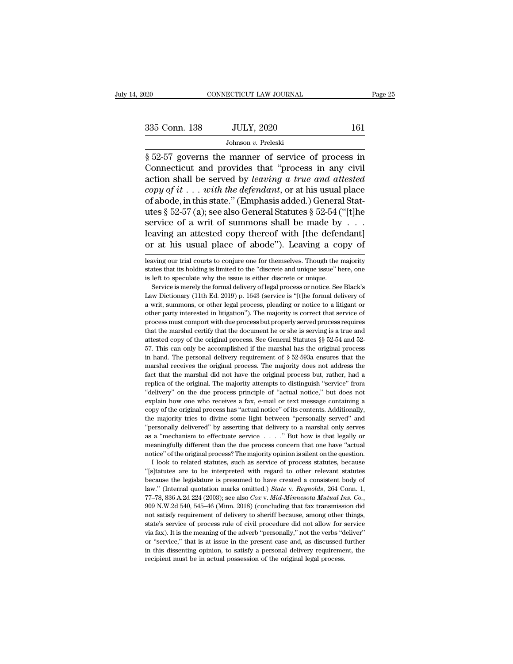Fage 25<br>
Sand Connecticut LAW JOURNAL Page 25<br>
Sand Connecticut and provides that "process in any civil<br>
Sand Connecticut and provides that "process in any civil<br>
Sand Connecticut and provides that "process in any civil<br>
S 335 Conn. 138 JULY, 2020 161<br>Johnson v. Preleski<br> $\frac{161}{100}$ <br> $\frac{162}{100}$ <br> $\frac{163}{100}$ <br>S 52-57 governs the manner of service of process in<br>Connecticut and provides that "process in any civil<br>action shall be served by 335 Conn. 138 JULY, 2020 161<br>Johnson v. Preleski<br>
§ 52-57 governs the manner of service of process in<br>
Connecticut and provides that "process in any civil<br>
action shall be served by *leaving a true and attested*<br> *copy of* **235 Conn. 138** JULY, 2020 161<br>
Johnson *v.* Preleski<br>
§ 52-57 governs the manner of service of process in<br>
Connecticut and provides that "process in any civil<br>
action shall be served by *leaving a true and attested*<br> *c* Johnson v. Preleski<br>
Society and the manner of service of process in<br>
Connecticut and provides that "process in any civil<br>
action shall be served by *leaving a true and attested*<br>
copy of it . . . with the defendant, or a Johnson v. Preleski<br>
§ 52-57 governs the manner of service of process in<br>
Connecticut and provides that "process in any civil<br>
action shall be served by *leaving a true and attested*<br> *copy of it* . . . with the defendant § 52-57 governs the manner of service of process in Connecticut and provides that "process in any civil action shall be served by *leaving a true and attested copy of it* . . . *with the defendant*, or at his usual plac Connecticut and provides that "process in any civil<br>action shall be served by *leaving a true and attested*<br>copy of it . . . with the defendant, or at his usual place<br>of abode, in this state." (Emphasis added.) General St action shall be served by *leaving* a *true and attested*<br>copy of it . . . with the defendant, or at his usual place<br>of abode, in this state." (Emphasis added.) General Stat-<br>utes § 52-57 (a); see also General Statutes § utes  $\S$  52-57 (a); see also General Statutes  $\S$  52-54 ("[t]ne<br>service of a writ of summons shall be made by . . .<br>leaving an attested copy thereof with [the defendant]<br>or at his usual place of abode"). Leaving a copy of service of a writ of summons shall be made by  $\ldots$ <br>leaving an attested copy thereof with [the defendant]<br>or at his usual place of abode"). Leaving a copy of<br>leaving our trial courts to conjure one for themselves. Though

leaving an attested copy thereof with [the defer<br>or at his usual place of abode"). Leaving a co<br>leaving our trial courts to conjure one for themselves. Though the r<br>states that its holding is limited to the "discrete and u The formal process of the formal correlation of the formal process or notice. The majority ates that its holding is limited to the "discrete and unique issue" here, one left to speculate why the issue is either discrete or

Law Dictionary (11th Ed. 2019) p. 1643 (service is "[t]he formal delivery of a writ, summons, or other legal process, pleading or notice to a litigant or a writ, summons, or other legal process, pleading or notice to a lit leaving our trial courts to conjure one for themselves. Though the majority states that its holding is limited to the "discrete and unique issue" here, one is left to speculate why the issue is either discrete or unique. S states that its holding is limited to the "discrete and unique issue" here, one is left to speculate why the issue is either discrete or unique. Service is merely the formal delivery of legal process or notice. See Black's is left to speculate why the issue is either discrete or unique.<br>
Service is merely the formal delivery of legal process or notice. See Black's<br>
Law Dictionary (11th Ed. 2019) p. 1643 (service is "[t]he formal delivery of<br> Service is merely the formal delivery of legal process or notic. See Black's Law Dictionary (11th Ed. 2019) p. 1643 (service is "[t]he formal delivery of a writ, summons, or other legal process, pleading or notice to a lit Law Dictionary (11th Ed. 2019) p. 1643 (service is "[t]he formal delivery of a writ, summons, or other legal process, pleading or notice to a litigant or other party interested in litigation"). The majority is correct tha Fractionary contracts are a verify process, pleading or notice to a litigant or other party interested in litigation"). The majority is correct that service of process must comport with due process but properly served pro in the personal delivery requirement of § 52-593a ensures that the marshal receives must comport with due process but properly served process requires that the marshal certify that the document he or she is serving is a tr process must comport with due process but properly served process requires that the marshal certify that the document he or she is serving is a true and attested copy of the original process. See General Statutes  $\S$  52-5 froces marshal certify that the document he or she is serving is a true and attested copy of the original process. See General Statutes  $\S$  52-54 and 52-57. This can only be accomplished if the marshal has the original pr attested copy of the original process. See General Statutes §§ 52-54 and 52-57. This can only be accomplished if the marshal has the original process in hand. The personal delivery requirement of § 52-593a ensures that th <sup>57</sup>. This can only be accomplished if the marshal has the original process in hand. The personal delivery requirement of  $\S$  52-593a ensures that the marshal receives the original process. The majority does not address t in hand. The personal delivery requirement of § 52-593a ensures that the marshal receives the original process. The majority does not address the fact that the marshal did not have the original process but, rather, had a marshal receives the original process. The majority does not address the fact that the marshal did not have the original process but, rather, had a replica of the original. The majority attempts to distinguish "service" fr fact that the marshal did not have the original process but, rather, had a replica of the original. The majority attempts to distinguish "service" from "delivery" on the due process principle of "actual notice," but does n The method of the original. The majority attempts to distinguish "service" from "delivery" on the due process principle of "actual notice," but does not explain how one who receives a fax, e-mail or text message containin as a ''mechanism to effectuate service . . . .'' But how is that legally or explain how one who receives a fax, e-mail or text message containing a copy of the original process has "actual notice" of its contents. Additionally, the majority tries to divine some light between "personally served" an notice'' of the original process has "actual notice" of its contents. Additionally, the majority tries to divine some light between "personally served" and "personally delivered" by asserting that delivery to a marshal onl For a majority tries to divine some light between "personally served" and ersonally delivered" by asserting that delivery to a marshal only serves a "mechanism to effectuate service  $\ldots$ ." But how is that legally or earn "'eresonally delivered" by asserting that delivery to a marshal only serves as a "mechanism to effectuate service  $\ldots$ ." But how is that legally or meaningfully different than the due process concern that one have "actua

because the legislature is presumed to have created a consistent of law." But how is that legally or meaningfully different than the due process concern that one have "actual notice" of the original process? The majority meaningfully different than the due process concern that one have "actual<br>notice" of the original process? The majority opinion is silent on the question.<br>I look to related statutes, such as service of process statutes, be motice" of the original process? The majority opinion is silent on the question.<br>
I look to related statutes, such as service of process statutes, because<br>
"[s]tatutes are to be interpreted with regard to other relevant st "[s] tattues are to be interpreted with regard to other relevant statutes because the legislature is presumed to have created a consistent body of law." (Internal quotation marks omitted.) *State v. Reynolds*, 264 Conn. 1 For the legislature is presumed to have created a consistent body of black is a consistent body of law." (Internal quotation marks omitted.) *State v. Reynolds*, 264 Conn. 1, 77–78, 836 A.2d 224 (2003); see also *Cox v. M* law." (Internal quotation marks omitted.) *State v. Reynolds*, 264 Com. 1, 77–78, 836 A.2d 224 (2003); see also *Cox v. Mid-Minnesota Mutual Ins. Co.*, 909 N.W.2d 540, 545–46 (Minn. 2018) (concluding that fax transmission 77–78, 836 A.2d 224 (2003); see also  $Cox$  v. *Mid-Minnesota Mutual Ins.*  $Co$ , 909 N.W.2d 540, 545–46 (Minn. 2018) (concluding that fax transmission did not satisfy requirement of delivery to sheriff because, among other t  $\frac{1}{200}$   $\frac{1}{200}$   $\frac{1}{200}$   $\frac{1}{200}$   $\frac{1}{200}$   $\frac{1}{200}$   $\frac{1}{200}$   $\frac{1}{200}$   $\frac{1}{200}$   $\frac{1}{200}$   $\frac{1}{200}$   $\frac{1}{200}$   $\frac{1}{200}$   $\frac{1}{200}$   $\frac{1}{200}$   $\frac{1}{200}$   $\frac{1}{200}$   $\frac{1}{200}$   $\frac{1$ not satisfy requirement of delivery to sheriff because, among other things,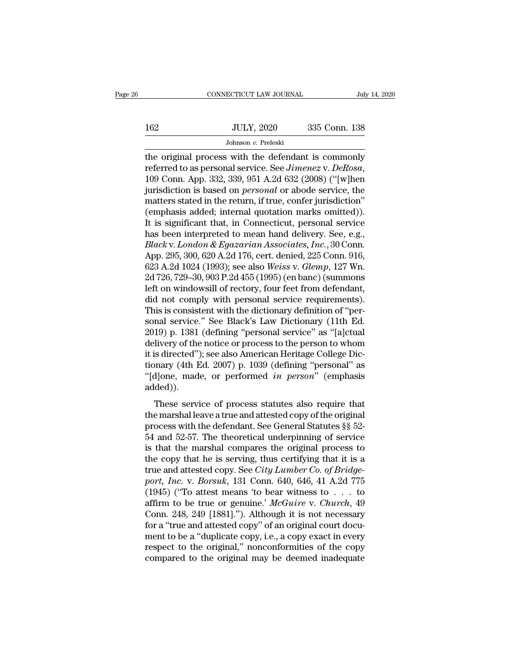|     | CONNECTICUT LAW JOURNAL | July 14, 2020 |  |
|-----|-------------------------|---------------|--|
|     |                         |               |  |
| 162 | <b>JULY, 2020</b>       | 335 Conn. 138 |  |
|     | Johnson v. Preleski     |               |  |

CONNECTICUT LAW JOURNAL July 14, 2020<br>162 JULY, 2020 335 Conn. 138<br>Johnson v. Preleski<br>the original process with the defendant is commonly<br>referred to as personal service. See *Jimenez* v. *DeRosa*,<br>100 Conn. App. 322, 230 The service of a summary service. See *Jimenez* v. *DeRosa*, 109 Conn. App. 332, 339, 951 A.2d 632 (2008) ("[w]hen jurisdiction is based on *personal* or abode service, the matters stated in the return if true confor juris JULY, 2020 335 Conn. 138<br>
Johnson *v.* Preleski<br>
the original process with the defendant is commonly<br>
referred to as personal service. See *Jimenez* v. *DeRosa*,<br>
109 Conn. App. 332, 339, 951 A.2d 632 (2008) ("[w]hen<br>
juri Johnson v. Preleski<br>the original process with the defendant is commonly<br>referred to as personal service. See *Jimenez* v. DeRosa,<br>109 Conn. App. 332, 339, 951 A.2d 632 (2008) ("[w]hen<br>jurisdiction is based on *personal* o Johnson *v.* Preleski<br>
the original process with the defendant is commonly<br>
referred to as personal service. See *Jimenez* v. DeRosa,<br>
109 Conn. App. 332, 339, 951 A.2d 632 (2008) ("[w]hen<br>
jurisdiction is based on *perso* the original process with the defendant is commonly<br>referred to as personal service. See *Jimenez* v. DeRosa,<br>109 Conn. App. 332, 339, 951 A.2d 632 (2008) ("[w]hen<br>jurisdiction is based on *personal* or abode service, the<br> referred to as personal service. See *Jimenez* v. DeRosa,<br>109 Conn. App. 332, 339, 951 A.2d 632 (2008) ("[w]hen<br>jurisdiction is based on *personal* or abode service, the<br>matters stated in the return, if true, confer juris 109 Conn. App. 332, 339, 951 A.2d 632 (2008) ("[w]hen<br>jurisdiction is based on *personal* or abode service, the<br>matters stated in the return, if true, confer jurisdiction"<br>(emphasis added; internal quotation marks omitted) jurisdiction is based on *personal* or abode service, the<br>matters stated in the return, if true, confer jurisdiction"<br>(emphasis added; internal quotation marks omitted)).<br>It is significant that, in Connecticut, personal se matters stated in the return, if true, confer jurisdiction"<br>(emphasis added; internal quotation marks omitted)).<br>It is significant that, in Connecticut, personal service<br>has been interpreted to mean hand delivery. See, e.g (emphasis added; internal quotation marks omitted)).<br>It is significant that, in Connecticut, personal service<br>has been interpreted to mean hand delivery. See, e.g.,<br>Black v. London & Egazarian Associates, Inc., 30 Conn.<br>Ap It is significant that, in Connecticut, personal service<br>has been interpreted to mean hand delivery. See, e.g.,<br>*Black v. London & Egazarian Associates, Inc.*, 30 Conn.<br>App. 295, 300, 620 A.2d 176, cert. denied, 225 Conn. has been interpreted to mean hand delivery. See, e.g.,<br>Black v. London & Egazarian Associates, Inc., 30 Conn.<br>App. 295, 300, 620 A.2d 176, cert. denied, 225 Conn. 916,<br>623 A.2d 1024 (1993); see also Weiss v. Glemp, 127 Wn. *Black* v. *London & Egazarian Associates, Inc.*, 30 Conn.<br>App. 295, 300, 620 A.2d 176, cert. denied, 225 Conn. 916,<br>623 A.2d 1024 (1993); see also *Weiss* v. *Glemp*, 127 Wn.<br>2d 726, 729–30, 903 P.2d 455 (1995) (en banc) App. 295, 300, 620 A.2d 176, cert. denied, 225 Conn. 916, 623 A.2d 1024 (1993); see also *Weiss v. Glemp*, 127 Wn.<br>2d 726, 729–30, 903 P.2d 455 (1995) (en banc) (summons left on windowsill of rectory, four feet from defend 623 A.2d 1024 (1993); see also *Weiss* v. *Glemp*, 127 Wn.<br>2d 726, 729–30, 903 P.2d 455 (1995) (en banc) (summons<br>left on windowsill of rectory, four feet from defendant,<br>did not comply with personal service requirements) 2d 726, 729–30, 903 P.2d 455 (1995) (en banc) (summons<br>left on windowsill of rectory, four feet from defendant,<br>did not comply with personal service requirements).<br>This is consistent with the dictionary definition of "perleft on windowsill of rectory, four feet from defendant,<br>did not comply with personal service requirements).<br>This is consistent with the dictionary definition of "per-<br>sonal service." See Black's Law Dictionary (11th Ed.<br>2 did not comply with personal service requirements).<br>This is consistent with the dictionary definition of "per-<br>sonal service." See Black's Law Dictionary (11th Ed.<br>2019) p. 1381 (defining "personal service" as "[a]ctual<br>de This is consistent with the dictionary definition of "per-<br>sonal service." See Black's Law Dictionary (11th Ed.<br>2019) p. 1381 (defining "personal service" as "[a]ctual<br>delivery of the notice or process to the person to who added)). They p. 1301 (defining personal service due papeladar livery of the notice or process to the person to whom<br>is directed"); see also American Heritage College Dic-<br>phary (4th Ed. 2007) p. 1039 (defining "personal" as<br>aljon it is directed"); see also American Heritage College Dictionary (4th Ed. 2007) p. 1039 (defining "personal" as<br>"[d]one, made, or performed *in person*" (emphasis added)).<br>These service of process statutes also require tha

process with Ed. 2007) p. 1039 (defining "personal" as<br>
"[d]one, made, or performed *in person*" (emphasis<br>
added)).<br>
These service of process statutes also require that<br>
the marshal leave a true and attested copy of the "[d]one, made, or performed *in person*" (emphasis added)).<br>"[d]one, made, or performed *in person*" (emphasis added)).<br>These service of process statutes also require that<br>the marshal leave a true and attested copy of the Fujore, mate, or performed *in person* (emphasis added)).<br>
These service of process statutes also require that<br>
the marshal leave a true and attested copy of the original<br>
process with the defendant. See General Statutes These service of process statutes also require that<br>the marshal leave a true and attested copy of the original<br>process with the defendant. See General Statutes §§ 52-<br>54 and 52-57. The theoretical underpinning of service<br> These service of process statutes also require that<br>the marshal leave a true and attested copy of the original<br>process with the defendant. See General Statutes §§ 52-<br>54 and 52-57. The theoretical underpinning of service<br>i the marshal leave a true and attested copy of the original<br>process with the defendant. See General Statutes §§ 52-<br>54 and 52-57. The theoretical underpinning of service<br>is that the marshal compares the original process to<br> process with the defendant. See General Statutes  $\S$ § 52-<br>54 and 52-57. The theoretical underpinning of service<br>is that the marshal compares the original process to<br>the copy that he is serving, thus certifying that it is 54 and 52-57. The theoretical underpinning of service<br>is that the marshal compares the original process to<br>the copy that he is serving, thus certifying that it is a<br>true and attested copy. See *City Lumber Co. of Bridge-<br>p* is that the marshal compares the original process to<br>the copy that he is serving, thus certifying that it is a<br>true and attested copy. See *City Lumber Co. of Bridge-*<br>port, *Inc.* v. *Borsuk*, 131 Conn. 640, 646, 41 A.2d the copy that he is serving, thus certifying that it is a<br>true and attested copy. See *City Lumber Co. of Bridge-*<br>port, *Inc.* v. *Borsuk*, 131 Conn. 640, 646, 41 A.2d 775<br>(1945) ("To attest means 'to bear witness to . . true and attested copy. See *City Lumber Co. of Bridge-*<br>port, *Inc.* v. *Borsuk*, 131 Conn. 640, 646, 41 A.2d 775<br>(1945) ("To attest means 'to bear witness to . . . to<br>affirm to be true or genuine.' *McGuire* v. *Church* port, Inc. v. Borsuk, 131 Conn. 640, 646, 41 A.2d 775 (1945) ("To attest means 'to bear witness to . . . to affirm to be true or genuine.' McGuire v. Church, 49 Conn. 248, 249 [1881]."). Although it is not necessary for a (1945) ("To attest means 'to bear witness to  $\ldots$  to affirm to be true or genuine.' McGuire v. Church, 49 Conn. 248, 249 [1881]."). Although it is not necessary for a "true and attested copy" of an original court documen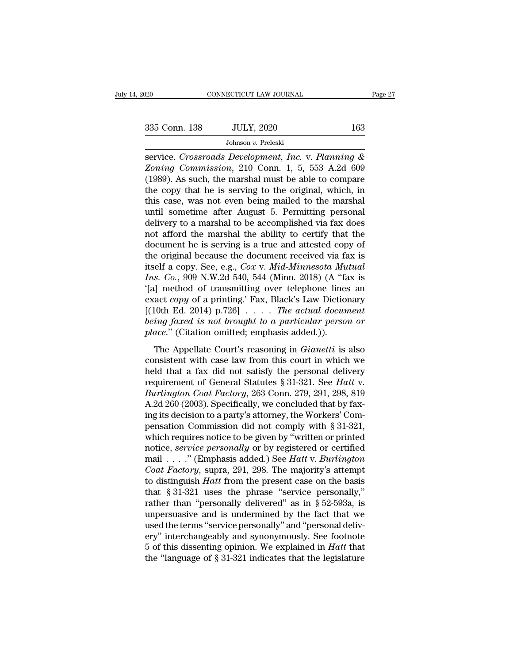Figure 27<br>
Samment Connecticut LAW JOURNAL Page 27<br>
Samment 2020<br> *Sohnson v. Preleski*<br>
Service. *Crossroads Development, Inc.* v. *Planning &*<br> *Zoning Commission*, 210 Conn. 1, 5, 553 A.2d 609<br>
(1090) As such the marsha *Zoning Commission*, 2020 *163*<br>*Johnson v. Preleski*<br>*Zoning Commission, 210 Conn. 1, 5, 553 A.2d 609*<br>*Zoning Commission, 210 Conn. 1, 5, 553 A.2d 609*<br>(1989). As such, the marshal must be able to compare the convention (1989). As such, the marshal must be able to compare 335 Conn. 138 JULY, 2020 163<br>Johnson v. Preleski<br>service. Crossroads Development, Inc. v. Planning &<br>Zoning Commission, 210 Conn. 1, 5, 553 A.2d 609<br>(1989). As such, the marshal must be able to compare<br>the copy that he is Johnson v. Preleski<br>
service. Crossroads Development, Inc. v. Planning &<br>
Zoning Commission, 210 Conn. 1, 5, 553 A.2d 609<br>
(1989). As such, the marshal must be able to compare<br>
the copy that he is serving to the original, Johnson v. Preleski<br>
service. Crossroads Development, Inc. v. Planning &<br>
Zoning Commission, 210 Conn. 1, 5, 553 A.2d 609<br>
(1989). As such, the marshal must be able to compare<br>
the copy that he is serving to the original, service. Crossroads Development, Inc. v. Planning &<br>Zoning Commission, 210 Conn. 1, 5, 553 A.2d 609<br>(1989). As such, the marshal must be able to compare<br>the copy that he is serving to the original, which, in<br>this case, was Zoning Commission, 210 Conn. 1, 5, 553 A.2d 609 (1989). As such, the marshal must be able to compare the copy that he is serving to the original, which, in this case, was not even being mailed to the marshal until sometime (1989). As such, the marshal must be able to compare<br>the copy that he is serving to the original, which, in<br>this case, was not even being mailed to the marshal<br>until sometime after August 5. Permitting personal<br>delivery t the copy that he is serving to the original, which, in<br>this case, was not even being mailed to the marshal<br>until sometime after August 5. Permitting personal<br>delivery to a marshal to be accomplished via fax does<br>not affor this case, was not even being mailed to the marshal<br>until sometime after August 5. Permitting personal<br>delivery to a marshal to be accomplished via fax does<br>not afford the marshal the ability to certify that the<br>document h until sometime after August 5. Permitting personal<br>delivery to a marshal to be accomplished via fax does<br>not afford the marshal the ability to certify that the<br>document he is serving is a true and attested copy of<br>the orig delivery to a marshal to be accomplished via fax does<br>
not afford the marshal the ability to certify that the<br>
document he is serving is a true and attested copy of<br>
the original because the document received via fax is<br> not afford the marshal the ability to certify that the<br>document he is serving is a true and attested copy of<br>the original because the document received via fax is<br>itself a copy. See, e.g., *Cox v. Mid-Minnesota Mutual*<br>*I* document he is serving is a true and attested copy of<br>the original because the document received via fax is<br>itself a copy. See, e.g., *Cox v. Mid-Minnesota Mutual*<br>Ins. *Co.*, 909 N.W.2d 540, 544 (Minn. 2018) (A "fax is<br>'[ the original because the document received via fax is<br>itself a copy. See, e.g., *Cox v. Mid-Minnesota Mutual*<br>*Ins. Co.*, 909 N.W.2d 540, 544 (Minn. 2018) (A "fax is<br>'[a] method of transmitting over telephone lines an<br>exac itself a copy. See, e.g., *Cox v. Mid-Minnesota Mu*<br>*Ins. Co.*, 909 N.W.2d 540, 544 (Minn. 2018) (A "fa"<br>
[a] method of transmitting over telephone lines<br>
exact *copy* of a printing.' Fax, Black's Law Diction<br>
[(10th Ed. 2 The Appellate Court's reasoning in *Gianetti* is also<br>
and *copy* of a printing.' Fax, Black's Law Dictionary<br>
10th Ed. 2014)  $p.726$ ]  $\ldots$  *The actual document*<br> *ing faxed is not brought to a particular person or*<br> *ac* exact copy of a printing.' Fax, Black's Law Dictionary<br>
[(10th Ed. 2014) p.726] . . . . The actual document<br>
being faxed is not brought to a particular person or<br>
place." (Citation omitted; emphasis added.)).<br>
The Appella

[(10th Ed. 2014) p.726] .... The actual document<br>being faxed is not brought to a particular person or<br>place." (Citation omitted; emphasis added.)).<br>The Appellate Court's reasoning in *Gianetti* is also<br>consistent with cas being faxed is not brought to a particular person or<br>place." (Citation omitted; emphasis added.)).<br>The Appellate Court's reasoning in *Gianetti* is also<br>consistent with case law from this court in which we<br>held that a fax *Burlington Coat Factory*, 263 Conn. 279, 291, 298, 819<br> *Burlington Coat Factory*, 263 Conn. 279, 291, 298, 819<br>
A. 2d 260 (2003). Specifically, we concluded that by fax-<br>
individuals a party's strengy, 263 Conn. 279, 291 The Appellate Court's reasoning in *Gianetti* is also<br>consistent with case law from this court in which we<br>held that a fax did not satisfy the personal delivery<br>requirement of General Statutes § 31-321. See *Hatt* v.<br>*Bur* The Appellate Court's reasoning in *Gianetti* is also consistent with case law from this court in which we held that a fax did not satisfy the personal delivery requirement of General Statutes  $\S 31-321$ . See *Hatt* v. *B* consistent with case law from this court in which we<br>held that a fax did not satisfy the personal delivery<br>requirement of General Statutes § 31-321. See *Hatt v.*<br>Burlington Coat Factory, 263 Conn. 279, 291, 298, 819<br>A.2d held that a fax did not satisfy the personal delivery<br>requirement of General Statutes § 31-321. See *Hatt* v.<br>*Burlington Coat Factory*, 263 Conn. 279, 291, 298, 819<br>A.2d 260 (2003). Specifically, we concluded that by fax requirement of General Statutes § 31-321. See *Hatt* v.<br> *Burlington Coat Factory*, 263 Conn. 279, 291, 298, 819<br>
A.2d 260 (2003). Specifically, we concluded that by fax-<br>
ing its decision to a party's attorney, the Worker Burlington Coat Factory, 263 Conn. 279, 291, 298, 819<br>A.2d 260 (2003). Specifically, we concluded that by fax-<br>ing its decision to a party's attorney, the Workers' Com-<br>pensation Commission did not comply with § 31-321,<br>wh A.2d 260 (2003). Specifically, we concluded that by faxing its decision to a party's attorney, the Workers' Compensation Commission did not comply with § 31-321, which requires notice to be given by "written or printed not ing its decision to a party's attorney, the Workers' Compensation Commission did not comply with § 31-321, which requires notice to be given by "written or printed notice, *service personally* or by registered or certified pensation Commission did not comply with § 31-321,<br>which requires notice to be given by "written or printed<br>notice, *service personally* or by registered or certified<br>mail . . . ." (Emphasis added.) See *Hatt* v. *Burling* which requires notice to be given by "written or printed<br>notice, *service personally* or by registered or certified<br>mail . . . ." (Emphasis added.) See *Hatt* v. *Burlington*<br>Coat *Factory*, supra, 291, 298. The majority' notice, *service personally* or by registered or certified<br>mail . . . ." (Emphasis added.) See *Hatt* v. *Burlington*<br>Coat Factory, supra, 291, 298. The majority's attempt<br>to distinguish *Hatt* from the present case on th mail . . . ." (Emphasis added.) See *Hatt* v. *Burlington*<br>Coat *Factory*, supra, 291, 298. The majority's attempt<br>to distinguish *Hatt* from the present case on the basis<br>that § 31-321 uses the phrase "service personally Coat Factory, supra, 291, 298. The majority's attempt<br>to distinguish *Hatt* from the present case on the basis<br>that § 31-321 uses the phrase "service personally,"<br>rather than "personally delivered" as in § 52-593a, is<br>unp to distinguish *Hatt* from the present case on the basis<br>that  $\S 31-321$  uses the phrase "service personally,"<br>rather than "personally delivered" as in  $\S 52-593a$ , is<br>unpersuasive and is undermined by the fact that we<br>us that  $\S 31-321$  uses the phrase "service personally,"<br>rather than "personally delivered" as in  $\S 52-593a$ , is<br>unpersuasive and is undermined by the fact that we<br>used the terms "service personally" and "personal deliv-<br>er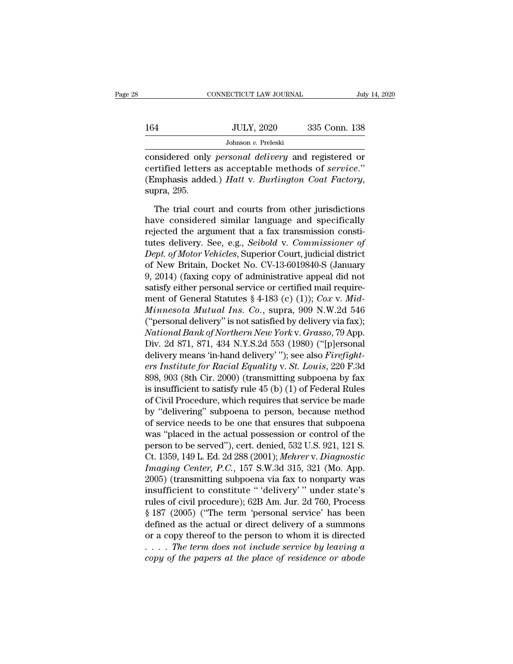|     | CONNECTICUT LAW JOURNAL | July 14, 2020 |  |
|-----|-------------------------|---------------|--|
|     |                         |               |  |
| 164 | <b>JULY, 2020</b>       | 335 Conn. 138 |  |
|     | Johnson v. Preleski     |               |  |

CONNECTICUT LAW JOURNAL July 14, 2020<br>
164 JULY, 2020 335 Conn. 138<br>
Johnson *v.* Preleski<br>
considered only *personal delivery* and registered or<br>
certified letters as acceptable methods of *service*."<br>
(Emphasia added) *H* 164 JULY, 2020 335 Conn. 138<br>
Johnson v. Preleski<br>
considered only *personal delivery* and registered or<br>
certified letters as acceptable methods of *service*."<br>
(Emphasis added.) *Hatt* v. *Burlington Coat Factory*, (Emphasis added.) *Hatt* v. *Burlington Coat Factory*, supra, 295.<br>
The trial court and courts from other jurisdictions<br>
The trial court and courts from other jurisdictions Johnson *v*. Preleski<br>
msidered only *personal delivery* and registered or<br>
rtified letters as acceptable methods of *service*."<br>
mphasis added.) *Hatt* v. *Burlington Coat Factory*,<br>
pra, 295.<br>
The trial court and courts considered only *personal delivery* and registered or<br>certified letters as acceptable methods of *service*."<br>(Emphasis added.) *Hatt* v. *Burlington Coat Factory*,<br>supra, 295.<br>The trial court and courts from other jurisdic

certified letters as acceptable methods of *service.*"<br>(Emphasis added.) *Hatt* v. *Burlington Coat Factory*,<br>supra, 295.<br>The trial court and courts from other jurisdictions<br>have considered similar language and specificall (Emphasis added.) *Hatt* v. *Burlington Coat Factory*,<br>supra, 295.<br>The trial court and courts from other jurisdictions<br>have considered similar language and specifically<br>rejected the argument that a fax transmission constisupra, 295.<br>
The trial court and courts from other jurisdictions<br>
have considered similar language and specifically<br>
rejected the argument that a fax transmission consti-<br>
tutes delivery. See, e.g., *Seibold v. Commissione* The trial court and courts from other jurisdictions<br>have considered similar language and specifically<br>rejected the argument that a fax transmission consti-<br>tutes delivery. See, e.g., *Seibold v. Commissioner of*<br>*Dept. of* The trial court and courts from other jurisdictions<br>have considered similar language and specifically<br>rejected the argument that a fax transmission consti-<br>tutes delivery. See, e.g., *Seibold* v. *Commissioner of*<br>*Dept.* have considered similar language and specifically<br>rejected the argument that a fax transmission consti-<br>tutes delivery. See, e.g., *Seibold* v. *Commissioner of*<br>*Dept. of Motor Vehicles*, Superior Court, judicial distric rejected the argument that a fax transmission constitutes delivery. See, e.g., *Seibold v. Commissioner of Dept. of Motor Vehicles*, Superior Court, judicial district of New Britain, Docket No. CV-13-6019840-S (January 9 tutes delivery. See, e.g., *Seibold v. Commissioner of*<br>*Dept. of Motor Vehicles*, Superior Court, judicial district<br>of New Britain, Docket No. CV-13-6019840-S (January<br>9, 2014) (faxing copy of administrative appeal did no Dept. of Motor Vehicles, Superior Court, judicial district<br>of New Britain, Docket No. CV-13-6019840-S (January<br>9, 2014) (faxing copy of administrative appeal did not<br>satisfy either personal service or certified mail requi of New Britain, Docket No. CV-13-6019840-S (January<br>9, 2014) (faxing copy of administrative appeal did not<br>satisfy either personal service or certified mail require-<br>ment of General Statutes § 4-183 (c) (1)); *Cox v. Mid-<br>* 9, 2014) (faxing copy of administrative appeal did not<br>satisfy either personal service or certified mail require-<br>ment of General Statutes § 4-183 (c) (1)); *Cox v. Mid-*<br>*Minnesota Mutual Ins. Co.*, supra, 909 N.W.2d 546 satisfy either personal service or certified mail require-<br>ment of General Statutes § 4-183 (c) (1)); *Cox v. Mid-*<br>*Minnesota Mutual Ins. Co.*, supra, 909 N.W.2d 546<br>("personal delivery" is not satisfied by delivery via f ment of General Statutes § 4-183 (c) (1)); *Cox v. Mid-*<br>*Minnesota Mutual Ins. Co.*, supra, 909 N.W.2d 546<br>("personal delivery" is not satisfied by delivery via fax);<br>*National Bank of Northern New York v. Grasso*, 79 App *Munnesota Mutual Ins. Co.*, supra, 909 N.W.2d 546<br>("personal delivery" is not satisfied by delivery via fax);<br>*National Bank of Northern New York v. Grasso*, 79 App.<br>Div. 2d 871, 871, 434 N.Y.S.2d 553 (1980) ("[p]ersonal<br> ("personal delivery" is not satisfied by delivery via fax);<br>National Bank of Northern New York v. Grasso, 79 App.<br>Div. 2d 871, 871, 434 N.Y.S.2d 553 (1980) ("[p]ersonal<br>delivery means 'in-hand delivery' "); see also Firef National Bank of Northern New York v. Grasso, 79 App.<br>Div. 2d 871, 871, 434 N.Y.S.2d 553 (1980) ("[p]ersonal<br>delivery means 'in-hand delivery' "); see also Firefight-<br>ers Institute for Racial Equality v. St. Louis, 220 F.3 Div. 2d 871, 871, 434 N.Y.S.2d 553 (1980) ("[p]ersonal<br>delivery means 'in-hand delivery' "); see also *Firefight-*<br>ers Institute for Racial Equality v. St. Louis, 220 F.3d<br>898, 903 (8th Cir. 2000) (transmitting subpoena by delivery means 'in-hand delivery'"); see also *Firefight-*<br>ers Institute for Racial Equality v. St. Louis, 220 F.3d<br>898, 903 (8th Cir. 2000) (transmitting subpoena by fax<br>is insufficient to satisfy rule 45 (b) (1) of Fede ers Institute for Racial Equality v. St. Louis, 220 F.3d<br>898, 903 (8th Cir. 2000) (transmitting subpoena by fax<br>is insufficient to satisfy rule 45 (b) (1) of Federal Rules<br>of Civil Procedure, which requires that service b 898, 903 (8th Cir. 2000) (transmitting subpoena by fax<br>is insufficient to satisfy rule 45 (b) (1) of Federal Rules<br>of Civil Procedure, which requires that service be made<br>by "delivering" subpoena to person, because method is insufficient to satisfy rule 45 (b) (1) of Federal Rules<br>of Civil Procedure, which requires that service be made<br>by "delivering" subpoena to person, because method<br>of service needs to be one that ensures that subpoena<br>w of Civil Procedure, which requires that service be made<br>by "delivering" subpoena to person, because method<br>of service needs to be one that ensures that subpoena<br>was "placed in the actual possession or control of the<br>person by "delivering" subpoena to person, because method<br>of service needs to be one that ensures that subpoena<br>was "placed in the actual possession or control of the<br>person to be served"), cert. denied, 532 U.S. 921, 121 S.<br>Ct. of service needs to be one that ensures that subpoena<br>was "placed in the actual possession or control of the<br>person to be served"), cert. denied, 532 U.S. 921, 121 S.<br>Ct. 1359, 149 L. Ed. 2d 288 (2001); *Mehrer v. Diagnost* was "placed in the actual possession or control of the<br>person to be served"), cert. denied, 532 U.S. 921, 121 S.<br>Ct. 1359, 149 L. Ed. 2d 288 (2001); *Mehrer v. Diagnostic<br>Imaging Center*, *P.C.*, 157 S.W.3d 315, 321 (Mo. A person to be served"), cert. denied, 532 U.S. 921, 121 S.<br>Ct. 1359, 149 L. Ed. 2d 288 (2001); *Mehrer v. Diagnostic*<br>*Imaging Center*, *P.C.*, 157 S.W.3d 315, 321 (Mo. App.<br>2005) (transmitting subpoena via fax to nonparty Ct. 1359, 149 L. Ed. 2d 288 (2001); Mehrer v. Dragnostic<br>Imaging Center, P.C., 157 S.W.3d 315, 321 (Mo. App.<br>2005) (transmitting subpoena via fax to nonparty was<br>insufficient to constitute "delivery" under state's<br>rules o *Imaging Center, P.C., 157 S.W.3d 315, 321 (Mo. App.* 2005) (transmitting subpoena via fax to nonparty was insufficient to constitute "'delivery'" under state's rules of civil procedure); 62B Am. Jur. 2d 760, Process § 18 2005) (transmitting subpoena via fax to nonparty was<br>insufficient to constitute "'delivery'" under state's<br>rules of civil procedure); 62B Am. Jur. 2d 760, Process<br>§ 187 (2005) ("The term 'personal service' has been<br>defined insufficient to constitute "delivery" under state's<br>rules of civil procedure); 62B Am. Jur. 2d 760, Process<br>§ 187 (2005) ("The term 'personal service' has been<br>defined as the actual or direct delivery of a summons<br>or a cop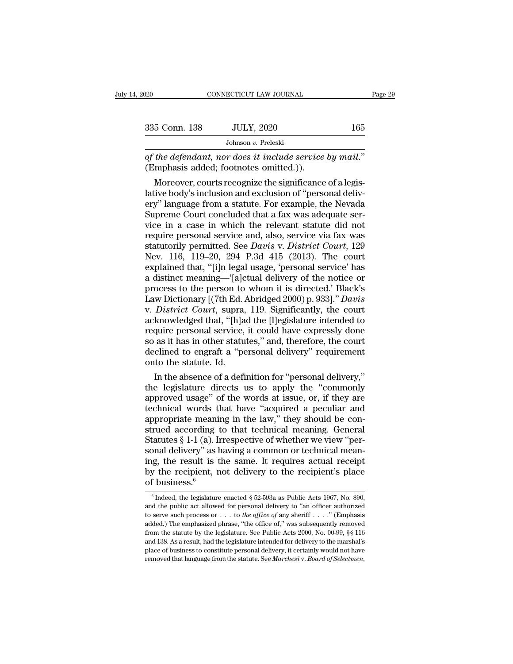| 2020          | CONNECTICUT LAW JOURNAL                                                                                                                                                       | Page 29 |
|---------------|-------------------------------------------------------------------------------------------------------------------------------------------------------------------------------|---------|
|               |                                                                                                                                                                               |         |
| 335 Conn. 138 | <b>JULY, 2020</b>                                                                                                                                                             | 165     |
|               | Johnson v. Preleski                                                                                                                                                           |         |
|               | of the defendant, nor does it include service by mail."<br>(Emphasis added; footnotes omitted.)).                                                                             |         |
|               | Moreover, courts recognize the significance of a legis-<br>lative body's inclusion and exclusion of "personal deliv-<br>ery" language from a statute. For example, the Nevada |         |

335 Conn. 138 JULY, 2020 165<br>Johnson v. Preleski<br>of the defendant, nor does it include service by mail."<br>(Emphasis added; footnotes omitted.)).<br>Moreover, courts recognize the significance of a legis-<br>lative body's inclusi Johnson v. Preleski<br>
of the defendant, nor does it include service by mail."<br>
(Emphasis added; footnotes omitted.)).<br>
Moreover, courts recognize the significance of a legis-<br>
lative body's inclusion and exclusion of "pers of the defendant, nor does it include service by mail."<br>(Emphasis added; footnotes omitted.)).<br>Moreover, courts recognize the significance of a legis-<br>lative body's inclusion and exclusion of "personal deliv-<br>ery" language of the defendant, nor does it include service by mail."<br>(Emphasis added; footnotes omitted.)).<br>Moreover, courts recognize the significance of a legis-<br>lative body's inclusion and exclusion of "personal deliv-<br>ery" language (Emphasis added; footnotes omitted.)).<br>
Moreover, courts recognize the significance of a legis-<br>
lative body's inclusion and exclusion of "personal deliv-<br>
ery" language from a statute. For example, the Nevada<br>
Supreme Co Moreover, courts recognize the significance of a legis-<br>lative body's inclusion and exclusion of "personal deliv-<br>ery" language from a statute. For example, the Nevada<br>Supreme Court concluded that a fax was adequate ser-<br>v lative body's inclusion and exclusion of "personal delivery" language from a statute. For example, the Nevada<br>Supreme Court concluded that a fax was adequate service in a case in which the relevant statute did not<br>require ery" language from a statute. For example, the Nevada<br>Supreme Court concluded that a fax was adequate service in a case in which the relevant statute did not<br>require personal service and, also, service via fax was<br>statutor Supreme Court concluded that a fax was adequate service in a case in which the relevant statute did not require personal service and, also, service via fax was statutorily permitted. See *Davis v. District Court*, 129 Nev vice in a case in which the relevant statute did not<br>require personal service and, also, service via fax was<br>statutorily permitted. See *Davis* v. *District Court*, 129<br>Nev. 116, 119–20, 294 P.3d 415 (2013). The court<br>expl require personal service and, also, service via fax was<br>statutorily permitted. See *Davis* v. *District Court*, 129<br>Nev. 116, 119–20, 294 P.3d 415 (2013). The court<br>explained that, "[i]n legal usage, 'personal service' has statutorily permitted. See *Davis v. District Court*, 129<br>Nev. 116, 119–20, 294 P.3d 415 (2013). The court<br>explained that, "[i]n legal usage, 'personal service' has<br>a distinct meaning—"[a]ctual delivery of the notice or<br>pr Nev. 116, 119–20, 294 P.3d 415 (2013). The court<br>explained that, "[i]n legal usage, 'personal service' has<br>a distinct meaning—'[a]ctual delivery of the notice or<br>process to the person to whom it is directed.' Black's<br>Law D explained that, "[i]n legal usage, 'personal service' has<br>a distinct meaning—'[a]ctual delivery of the notice or<br>process to the person to whom it is directed.' Black's<br>Law Dictionary [(7th Ed. Abridged 2000) p. 933]." *Dav* a distinct meaning—'[a]ctual delivery of the notice or<br>process to the person to whom it is directed.' Black's<br>Law Dictionary [(7th Ed. Abridged 2000) p. 933]." *Davis*<br>v. *District Court*, supra, 119. Significantly, the co process to the person to whom it is directed.' Black's Law Dictionary [(7th Ed. Abridged 2000) p. 933]." *Davis* v. *District Court*, supra, 119. Significantly, the court acknowledged that, "[h]ad the [l]egislature intende Law Dictionary [(7th Ed. 1)<br>v. *District Court*, supra,<br>acknowledged that, "[h]a<br>require personal service,<br>so as it has in other statu<br>declined to engraft a "pe<br>onto the statute. Id.<br>In the absence of a defi District Court, supra, 119. Significantly, the court<br>knowledged that, "[h]ad the [l]egislature intended to<br>quire personal service, it could have expressly done<br>as it has in other statutes," and, therefore, the court<br>clined acknowledged that, "[h]ad the [l]egislature intended to<br>require personal service, it could have expressly done<br>so as it has in other statutes," and, therefore, the court<br>declined to engraft a "personal delivery" requiremen

require personal service, it could have expressly done<br>so as it has in other statutes," and, therefore, the court<br>declined to engraft a "personal delivery" requirement<br>onto the statute. Id.<br>In the absence of a definition f so as it has in other statutes," and, therefore, the court<br>declined to engraft a "personal delivery" requirement<br>onto the statute. Id.<br>In the absence of a definition for "personal delivery,"<br>the legislature directs us to a declined to engraft a "personal delivery" requirement<br>onto the statute. Id.<br>In the absence of a definition for "personal delivery,"<br>the legislature directs us to apply the "commonly<br>approved usage" of the words at issue, o onto the statute. Id.<br>
In the absence of a definition for "personal delivery,"<br>
the legislature directs us to apply the "commonly<br>
approved usage" of the words at issue, or, if they are<br>
technical words that have "acquired In the absence of a definition for "personal delivery,"<br>the legislature directs us to apply the "commonly<br>approved usage" of the words at issue, or, if they are<br>technical words that have "acquired a peculiar and<br>appropriat the legislature directs us to apply the "commonly approved usage" of the words at issue, or, if they are technical words that have "acquired a peculiar and appropriate meaning in the law," they should be construed accordin approved usage" of the words at issue, or, if they are technical words that have "acquired a peculiar and appropriate meaning in the law," they should be construed according to that technical meaning. General Statutes § 1 technical words that have "acquired a peculiar and appropriate meaning in the law," they should be construed according to that technical meaning. General Statutes  $§ 1-1$  (a). Irrespective of whether we view "personal del appropriate meanii<br>strued according t<br>Statutes § 1-1 (a). In<br>sonal delivery" as hing, the result is t<br>by the recipient, n<br>of business.<sup>6</sup> being, the result is the same. It requires actual receipt<br>g, the result is the same. It requires actual receipt<br>g the recipient, not delivery to the recipient's place<br> $\frac{6 \text{ business}}{6}$ <br> $\frac{6 \text{ Indeed, the legislature enacted § } 52-593a \text{ as Public} Acts 1967, No.$ ing, the result is the same. It requires actual receipt<br>by the recipient, not delivery to the recipient's place<br>of business.<sup>6</sup><br> $\sqrt[6]{\text{Indeed, the legislature enacted § 52-593a as Public Acts 1967, No. 890}}$ , and the public act allowed for personal delivery t

by the recipient, not delivery to the recipient's place<br>of business.<sup>6</sup><br> $\frac{1}{6}$  Indeed, the legislature enacted § 52-593a as Public Acts 1967, No. 890,<br>and the public act allowed for personal delivery to "an officer aut by the Techperic, not derivery to the Techperic 5 prace<br>of business.<sup>6</sup><br> $\sqrt[6]{\text{Indeed, the legislature enacted § } 52-593a}$  as Public Acts 1967, No. 890,<br>and the public act allowed for personal delivery to "an officer authorized<br>to serve such pro The statute by the legislature interest of  $\frac{1}{6}$  findeed, the legislature enacted  $\frac{1}{6}$  52-593a as Public Acts 1967, No. 890, and the public act allowed for personal delivery to "an officer authorized to serve suc and the public act allowed for personal delivery to "an officer authorized to serve such process or . . . to the office of any sheriff . . . ." (Emphasis added.) The emphasized phrase, "the office of," was subsequently re and the public act allowed for personal delivery to "an officer authorized to serve such process or . . . to *the office of* any sheriff . . . ." (Emphasis added.) The emphasized phrase, "the office of," was subsequently to serve such process or . . . to the office of any sheriff . . . ." (Emphasis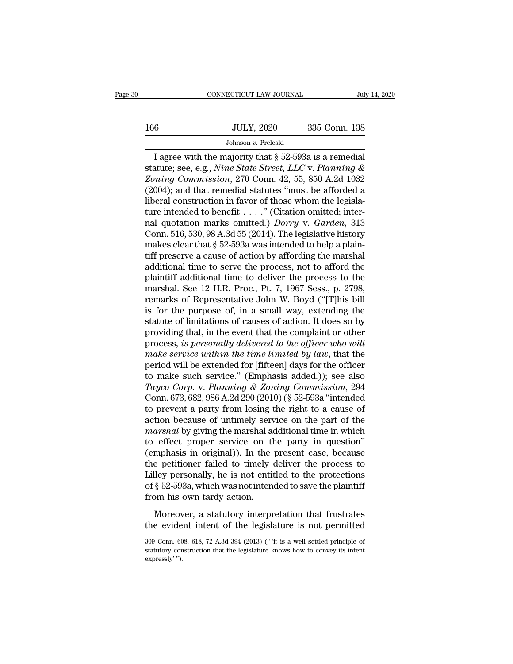# $\begin{tabular}{c} \multicolumn{1}{c|}{\text{COMNECTICUT LAW JOURNAL}} & July 14, 2020 \\ \hline \end{tabular}$   $\begin{tabular}{c} \multicolumn{1}{c|}{\text{JULY, 2020}}\\ \multicolumn{1}{c|}{\text{JOLX, 2020}}\\ \multicolumn{1}{c|}{\text{Johnson $v$. Preleski}} \end{tabular}$ Johnson *v.* Preleski

CONNECTICUT LAW JOURNAL July 14, 20<br>  $\begin{array}{r}\n 335 \text{ Conn. } 138 \\
 \hline\n \text{Johnson } v. \text{ Preleski}\n \end{array}$ <br>
I agree with the majority that § 52-593a is a remedial<br>
atute; see, e.g., *Nine State Street, LLC* v. *Planning &*<br>
major Commission Statute; see, e.g., *Nine State Street, LLC* v. *Planning &*<br> *Sohnson v. Preleski*<br> *Statute*; see, e.g., *Nine State Street, LLC* v. *Planning &*<br> *Zoning Commission,* 270 Conn. 42, 55, 850 A.2d 1032<br>
(2004): and that re *JOUX, 2020* 335 Conn. 138<br>*Johnson v. Preleski*<br>*Zoning Commission, 270 Conn. 42, 55, 850 A.2d 1032*<br>*Zoning Commission, 270 Conn. 42, 55, 850 A.2d 1032*<br>*(2004); and that remedial statutes "must be afforded a* 166 JULY, 2020 335 Conn. 138<br>Johnson v. Preleski<br>I agree with the majority that § 52-593a is a remedial<br>statute; see, e.g., *Nine State Street*, *LLC* v. *Planning &*<br>*Zoning Commission*, 270 Conn. 42, 55, 850 A.2d 1032<br>( Johnson v. Preleski<br>Jagree with the majority that § 52-593a is a remedial<br>statute; see, e.g., *Nine State Street, LLC v. Planning &*<br>Zoning Commission, 270 Conn. 42, 55, 850 A.2d 1032<br>(2004); and that remedial statutes "m Johnson *v.* Preleski<br>
I agree with the majority that § 52-593a is a remedial<br>
statute; see, e.g., *Nine State Street, LLC v. Planning &*<br>
Zoning Commission, 270 Conn. 42, 55, 850 A.2d 1032<br>
(2004); and that remedial stat I agree with the majority that  $\S$  52-593a is a remedial<br>statute; see, e.g., *Nine State Street*, *LLC* v. *Planning* &<br>*Zoning Commission*, 270 Conn. 42, 55, 850 A.2d 1032<br>(2004); and that remedial statutes "must be affo statute; see, e.g., *Nine State Street*, *LLC* v. *Planning &*<br> *Zoning Commission*, 270 Conn. 42, 55, 850 A.2d 1032<br>
(2004); and that remedial statutes "must be afforded a<br>
liberal construction in favor of those whom the Zoning Commission, 270 Conn. 42, 55, 850 A.2d 1032 (2004); and that remedial statutes "must be afforded a liberal construction in favor of those whom the legislature intended to benefit . . . . " (Citation omitted; intern (2004); and that remedial statutes "must be afforded a<br>liberal construction in favor of those whom the legisla-<br>ture intended to benefit . . . . " (Citation omitted; inter-<br>nal quotation marks omitted.) *Dorry* v. *Garden* liberal construction in favor of those whom the legislature intended to benefit . . . ." (Citation omitted; internal quotation marks omitted.) *Dorry* v. *Garden*, 313 Conn. 516, 530, 98 A.3d 55 (2014). The legislative hi ture intended to benefit . . . ." (Citation omitted; inter-<br>nal quotation marks omitted.) *Dorry* v. *Garden*, 313<br>Conn. 516, 530, 98 A.3d 55 (2014). The legislative history<br>makes clear that § 52-593a was intended to help mal quotation marks omitted.) *Dorry* v. *Garden*, 313<br>Conn. 516, 530, 98 A.3d 55 (2014). The legislative history<br>makes clear that § 52-593a was intended to help a plain-<br>tiff preserve a cause of action by affording the m Conn. 516, 530, 98 A.3d 55 (2014). The legislative history<br>makes clear that § 52-593a was intended to help a plain-<br>tiff preserve a cause of action by affording the marshal<br>additional time to serve the process, not to aff makes clear that  $\S$  52-593a was intended to help a plain-<br>tiff preserve a cause of action by affording the marshal<br>additional time to serve the process, not to afford the<br>plaintiff additional time to deliver the process tiff preserve a cause of action by affording the marshal<br>additional time to serve the process, not to afford the<br>plaintiff additional time to deliver the process to the<br>marshal. See 12 H.R. Proc., Pt. 7, 1967 Sess., p. 279 additional time to serve the process, not to afford the plaintiff additional time to deliver the process to the marshal. See 12 H.R. Proc., Pt. 7, 1967 Sess., p. 2798, remarks of Representative John W. Boyd ("[T]his bill i plaintiff additional time to deliver the process to the<br>marshal. See 12 H.R. Proc., Pt. 7, 1967 Sess., p. 2798,<br>remarks of Representative John W. Boyd ("[T]his bill<br>is for the purpose of, in a small way, extending the<br>stat marshal. See 12 H.R. Proc., Pt. 7, 1967 Sess., p. 2798,<br>remarks of Representative John W. Boyd ("[T]his bill<br>is for the purpose of, in a small way, extending the<br>statute of limitations of causes of action. It does so by<br>pr remarks of Representative John W. Boyd ("[T]his bill<br>is for the purpose of, in a small way, extending the<br>statute of limitations of causes of action. It does so by<br>providing that, in the event that the complaint or other<br> is for the purpose of, in a small way, extending the<br>statute of limitations of causes of action. It does so by<br>providing that, in the event that the complaint or other<br>process, *is personally delivered to the officer who Tayco Corp.* It does so by<br>providing that, in the event that the complaint or other<br>process, *is personally delivered to the officer who will*<br>*make service within the time limited by law*, that the<br>period will be extende providing that, in the event that the complaint or other<br>process, *is personally delivered to the officer who will*<br>make service within the time limited by law, that the<br>period will be extended for [fifteen] days for the o process, *is personally delivered to the officer who will*<br>make service within the time limited by law, that the<br>period will be extended for [fifteen] days for the officer<br>to make such service." (Emphasis added.)); see als make service within the time limited by law, that the<br>period will be extended for [fifteen] days for the officer<br>to make such service." (Emphasis added.)); see also<br>Tayco Corp. v. Planning & Zoning Commission, 294<br>Conn. 6 period will be extended for [fifteen] days for the officer<br>to make such service." (Emphasis added.)); see also<br>Tayco Corp. v. Planning & Zoning Commission, 294<br>Conn. 673, 682, 986 A.2d 290 (2010) (§ 52-593a "intended<br>to pr to make such service." (Emphasis added.)); see also  $Tayco \; Corp.$  v. Planning & Zoning Commission, 294 Conn. 673, 682, 986 A.2d 290 (2010) (§ 52-593a "intended to prevent a party from losing the right to a cause of action bec Tayco Corp. v. Planning & Zoning Commission, 294<br>
Conn. 673, 682, 986 A.2d 290 (2010) (§ 52-593a "intended<br>
to prevent a party from losing the right to a cause of<br>
action because of untimely service on the part of the<br>
ma Conn. 673, 682, 986 A.2d 290 (2010) (§ 52-593a "intended<br>to prevent a party from losing the right to a cause of<br>action because of untimely service on the part of the<br>*marshal* by giving the marshal additional time in whic to prevent a party from losing the right to a cause of<br>action because of untimely service on the part of the<br>*marshal* by giving the marshal additional time in which<br>to effect proper service on the party in question"<br>(emp action because of untimely service on the part of the *marshal* by giving the marshal additional time in which to effect proper service on the party in question" (emphasis in original)). In the present case, because the pe marshal by giving the marshal acto effect proper service on the (emphasis in original)). In the the petitioner failed to timely dilley personally, he is not entited of § 52-593a, which was not intendent from his own tardy mphasis in original)). In the present case, because<br>e petitioner failed to timely deliver the process to<br>lley personally, he is not entitled to the protections<br>§ 52-593a, which was not intended to save the plaintiff<br>pm his the petitioner failed to timely deliver the process to<br>Lilley personally, he is not entitled to the protections<br>of § 52-593a, which was not intended to save the plaintiff<br>from his own tardy action.<br>Moreover, a statutory i

from his own tardy action.<br>
Moreover, a statutory interpretation that frustrates<br>
the evident intent of the legislature is not permitted<br>  $\frac{309 \text{ Conn. }608, \text{ }618, \text{ }72 \text{ A.3d }394 \text{ (}2013) \text{ ("''it is a well settled principle of  
statatory construction that the legislature knows how to convey its intent$ 

Moreover, a statutory interpretation that frustrates<br>the evident intent of the legislature is not permitted<br>309 Conn. 608, 618, 72 A.3d 394 (2013) (" "it is a well settled principle of<br>statutory construction that the legis Moreov<br>the evide<br>309 Conn. 60<br>statutory con<br>expressly' ").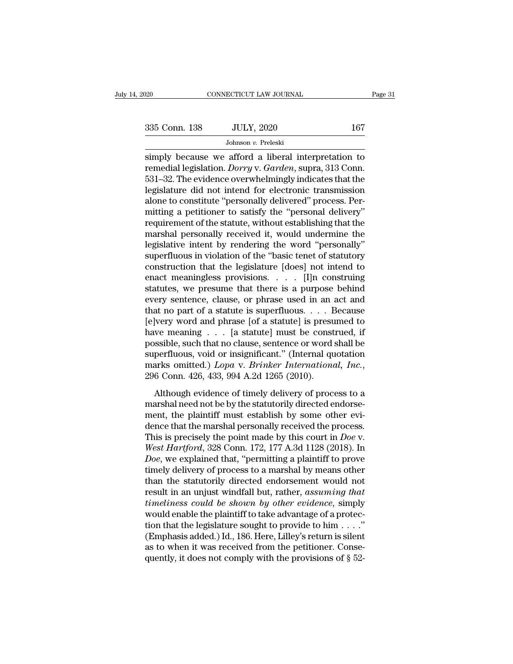Fage 31<br>
Simply because we afford a liberal interpretation to<br>
simply because we afford a liberal interpretation to<br>
remedial legislation. *Dorry* v. *Garden*, supra, 313 Conn.<br>
531-32. The evidence everythelmingly indicat 138 JULY, 2020 167<br>
Johnson v. Preleski<br>
5 Simply because we afford a liberal interpretation to<br>
167<br>
531–32. The evidence overwhelmingly indicates that the<br>
16 Sidelpture did not intend for electronic transmission 335 Conn. 138 JULY, 2020 167<br>Johnson v. Preleski<br>simply because we afford a liberal interpretation to<br>remedial legislation. *Dorry* v. *Garden*, supra, 313 Conn.<br>531–32. The evidence overwhelmingly indicates that the<br>legi 335 Conn. 138 JULY, 2020 167<br>Johnson v. Preleski<br>simply because we afford a liberal interpretation to<br>remedial legislation. *Dorry* v. *Garden*, supra, 313 Conn.<br>531–32. The evidence overwhelmingly indicates that the<br>legi Johnson v. Preleski<br>
simply because we afford a liberal interpretation to<br>
remedial legislation. *Dorry* v. *Garden*, supra, 313 Conn.<br>
531–32. The evidence overwhelmingly indicates that the<br>
legislature did not intend fo Johnson *v.* Preleski<br>
simply because we afford a liberal interpretation to<br>
remedial legislation. *Dorry* v. *Garden*, supra, 313 Conn.<br>
531–32. The evidence overwhelmingly indicates that the<br>
legislature did not intend simply because we afford a liberal interpretation to<br>remedial legislation. *Dorry* v. *Garden*, supra, 313 Conn.<br>531–32. The evidence overwhelmingly indicates that the<br>legislature did not intend for electronic transmission remedial legislation. *Dorry* v. *Garden*, supra, 313 Conn.<br>531–32. The evidence overwhelmingly indicates that the<br>legislature did not intend for electronic transmission<br>alone to constitute "personally delivered" process. 531–32. The evidence overwhelmingly indicates that the legislature did not intend for electronic transmission<br>alone to constitute "personally delivered" process. Per-<br>mitting a petitioner to satisfy the "personal delivery" legislature did not intend for electronic transmission<br>alone to constitute "personally delivered" process. Per-<br>mitting a petitioner to satisfy the "personal delivery"<br>requirement of the statute, without establishing that alone to constitute "personally delivered" process. Permitting a petitioner to satisfy the "personal delivery"<br>requirement of the statute, without establishing that the<br>marshal personally received it, would undermine the<br>l mitting a petitioner to satisfy the "personal delivery"<br>requirement of the statute, without establishing that the<br>marshal personally received it, would undermine the<br>legislative intent by rendering the word "personally"<br>su requirement of the statute, without establishing that the<br>marshal personally received it, would undermine the<br>legislative intent by rendering the word "personally"<br>superfluous in violation of the "basic tenet of statutory<br> marshal personally received it, would undermine the<br>legislative intent by rendering the word "personally"<br>superfluous in violation of the "basic tenet of statutory<br>construction that the legislature [does] not intend to<br>ena legislative intent by rendering the word "personally"<br>superfluous in violation of the "basic tenet of statutory<br>construction that the legislature [does] not intend to<br>enact meaningless provisions. . . . . [I]n construing<br> superfluous in violation of the "basic tenet of statutory<br>construction that the legislature [does] not intend to<br>enact meaningless provisions. . . . [I]n construing<br>statutes, we presume that there is a purpose behind<br>every construction that the legislature [does] not intend to<br>enact meaningless provisions. . . . [I]n construing<br>statutes, we presume that there is a purpose behind<br>every sentence, clause, or phrase used in an act and<br>that no p enact meaningless provisions. . . . . [I]n construing<br>statutes, we presume that there is a purpose behind<br>every sentence, clause, or phrase used in an act and<br>that no part of a statute is superfluous. . . . Because<br>[e]ver statutes, we presume that there is a purpose behind<br>every sentence, clause, or phrase used in an act and<br>that no part of a statute is superfluous.... Because<br>[e]very word and phrase [of a statute] is presumed to<br>have mean every sentence, clause, or phrase used in an act and<br>that no part of a statute is superfluous. . . . Because<br>[e]very word and phrase [of a statute] is presumed to<br>have meaning . . . [a statute] must be construed, if<br>possib Although evidence of timely delivery of process to a<br>arisible, such that no clause, sentence or word shall be<br>perfluous, void or insignificant." (Internal quotation<br>arks omitted.)  $Lopa$  v. Brinker International, Inc.,<br>6 Co mare meaning  $\therefore$   $\therefore$  [a statute] mast be constraint, if possible, such that no clause, sentence or word shall be superfluous, void or insignificant." (International, Inc., 296 Conn. 426, 433, 994 A.2d 1265 (2010).<br>Alt

superfluous, void or insignificant." (Internal quotation<br>marks omitted.) *Lopa* v. *Brinker International, Inc.*,<br>296 Conn. 426, 433, 994 A.2d 1265 (2010).<br>Although evidence of timely delivery of process to a<br>marshal need marks omitted.) *Lopa* v. *Brinker International, Inc.*, 296 Conn. 426, 433, 994 A.2d 1265 (2010).<br>Although evidence of timely delivery of process to a marshal need not be by the statutorily directed endorsement, the plai The points of this court of the points of the points of the points of the points of the point of the statutorily directed endorsement, the plaintiff must establish by some other evidence that the marshal personally receive *Although evidence of timely delivery of process to a*<br>*marshal need not be by the statutorily directed endorse-*<br>ment, the plaintiff must establish by some other evi-<br>dence that the marshal personally received the process Although evidence of timely delivery of process to a<br>marshal need not be by the statutorily directed endorse-<br>ment, the plaintiff must establish by some other evi-<br>dence that the marshal personally received the process.<br>Th marshal need not be by the statutorily directed endorsement, the plaintiff must establish by some other evidence that the marshal personally received the process.<br>This is precisely the point made by this court in *Doe* v.<br> ment, the plaintiff must establish by some other evi-<br>dence that the marshal personally received the process.<br>This is precisely the point made by this court in *Doe* v.<br>West Hartford, 328 Conn. 172, 177 A.3d 1128 (2018). I dence that the marshal personally received the process.<br>This is precisely the point made by this court in *Doe* v.<br>West Hartford, 328 Conn. 172, 177 A.3d 1128 (2018). In<br>*Doe*, we explained that, "permitting a plaintiff to This is precisely the point made by this court in *Doe v.*<br>*West Hartford*, 328 Conn. 172, 177 A.3d 1128 (2018). In<br>*Doe*, we explained that, "permitting a plaintiff to prove<br>timely delivery of process to a marshal by mean West Hartford, 328 Conn. 172, 177 A.3d 1128 (2018). In *Doe*, we explained that, "permitting a plaintiff to prove timely delivery of process to a marshal by means other than the statutorily directed endorsement would not Doe, we explained that, "permitting a plaintiff to prove<br>timely delivery of process to a marshal by means other<br>than the statutorily directed endorsement would not<br>result in an unjust windfall but, rather, assuming that<br>t timely delivery of process to a marshal by means other<br>than the statutorily directed endorsement would not<br>result in an unjust windfall but, rather, *assuming that*<br>timeliness could be shown by other evidence, simply<br>woul than the statutorily directed endorsement would not<br>result in an unjust windfall but, rather, assuming that<br>timeliness could be shown by other evidence, simply<br>would enable the plaintiff to take advantage of a protec-<br>tio result in an unjust windfall but, rather, assuming that<br>timeliness could be shown by other evidence, simply<br>would enable the plaintiff to take advantage of a protec-<br>tion that the legislature sought to provide to him  $\dots$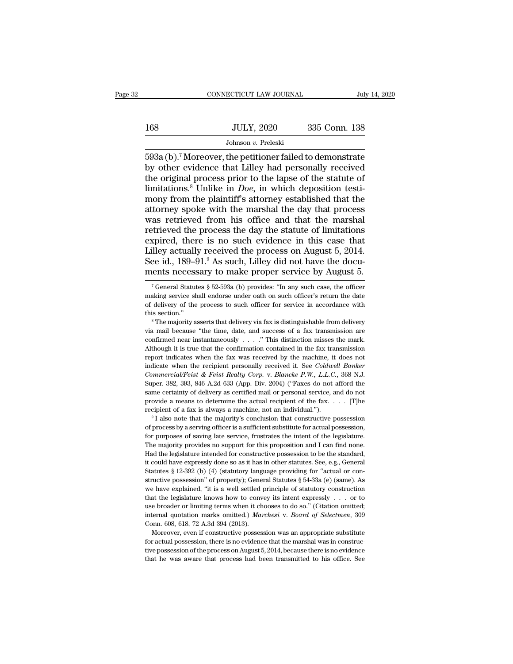|     | CONNECTICUT LAW JOURNAL | July 14, 2020 |
|-----|-------------------------|---------------|
|     |                         |               |
| 168 | <b>JULY, 2020</b>       | 335 Conn. 138 |
|     | Johnson v. Preleski     |               |

 $\begin{array}{r|l} \text{CONPECTICUT LAW JOURNAL} & \text{July 14, 2020} \ \text{168} & \text{JULY, 2020} & \text{335 Conn. 138} \ \hline \text{Johnson } v. \text{ Preleski} \ \hline \text{593a (b).}^7 \text{ Moreover, the performance failed to demonstrate by other evidence that Lilley had personally received the original process prior to the lapse of the statue of the data.} \end{array}$  $\frac{JULY, 2020}{Johnson v. Preleski}$ <br>  $\frac{Johnson v. Preleski}{593a (b).7}$  Moreover, the petitioner failed to demonstrate<br>
by other evidence that Lilley had personally received<br>
the original process prior to the lapse of the statute of<br>
limitat 168 JULY, 2020 335 Conn. 138<br>Johnson v. Preleski<br>593a (b).<sup>7</sup> Moreover, the petitioner failed to demonstrate<br>by other evidence that Lilley had personally received<br>the original process prior to the lapse of the statute of<br> JULY, 2020 335 Conn. 138<br>
Johnson *v.* Preleski<br>
593a (b).<sup>7</sup> Moreover, the petitioner failed to demonstrate<br>
by other evidence that Lilley had personally received<br>
the original process prior to the lapse of the statute of Johnson v. Preleski<br>Johnson v. Preleski<br>593a (b).<sup>7</sup> Moreover, the petitioner failed to demonstrate<br>by other evidence that Lilley had personally received<br>the original process prior to the lapse of the statute of<br>limitatio Johnson *v*. Preleski<br>593a (b).<sup>7</sup> Moreover, the petitioner failed to demonstrate<br>by other evidence that Lilley had personally received<br>the original process prior to the lapse of the statute of<br>limitations.<sup>8</sup> Unlike in 593a (b).<sup>7</sup> Moreover, the petitioner failed to demonstrate<br>by other evidence that Lilley had personally received<br>the original process prior to the lapse of the statute of<br>limitations.<sup>8</sup> Unlike in *Doe*, in which deposit by other evidence that Lilley had personally received<br>the original process prior to the lapse of the statute of<br>limitations.<sup>8</sup> Unlike in *Doe*, in which deposition testi-<br>mony from the plaintiff's attorney established th the original process prior to the lapse of the statute of limitations.<sup>8</sup> Unlike in *Doe*, in which deposition testimony from the plaintiff's attorney established that the attorney spoke with the marshal the day that proc limitations.<sup>8</sup> Unlike in *Doe*, in which deposition testi-<br>mony from the plaintiff's attorney established that the<br>attorney spoke with the marshal the day that process<br>was retrieved from his office and that the marshal<br>r limitations.<sup>8</sup> Unlike in *Doe*, in which deposition testi-<br>mony from the plaintiff's attorney established that the<br>attorney spoke with the marshal the day that process<br>was retrieved from his office and that the marshal<br>r mental process was retrieved from his office and that the marshal retrieved the process the day the statute of limitations expired, there is no such evidence in this case that Lilley actually received the process on Augus xpired, there is no such evidence in this case that<br>illey actually received the process on August 5, 2014.<br>ee id., 189–91.<sup>9</sup> As such, Lilley did not have the docu-<br>eents necessary to make proper service by August 5.<br><sup>7</sup> Lilley actually received the process on August 5, 2014.<br>See id., 189–91.<sup>9</sup> As such, Lilley did not have the documents necessary to make proper service by August 5.<br><sup>7</sup> General Statutes § 52-593a (b) provides: "In any suc

making service shall endorse under oath on such officer's return the date of delivery of the process to such officer for service in accordance with this section."<br>
<sup>8</sup> The majority asserts that delivery via fax is disting of delivery of the process to such officer for service in accordance with<br>this section."<br><sup>8</sup> The majority asserts that delivery via fax is distinguishable from delivery<br>via mail because "the time, date, and success of a fa this section."<br>
<sup>8</sup> The majority asserts that delivery via fax is distinguishable from delivery<br>
via mail because "the time, date, and success of a fax transmission are<br>
confirmed near instantaneously . . . . " This disti <sup>8</sup> The majority asserts that delivery via fax is distinguishable from delivery<br>via mail because "the time, date, and success of a fax transmission are<br>confirmed near instantaneously  $\ldots$ ." This distinction misses the ma *Commercial/Feist & Feist Realty Corp.* v. *Blancke P.W., L.L.C.*, 368 N.J. Super. 382, 393, 846 A.2d 633 (App. Div. 2004) ("Faxes do not afford the last than the confirmed mean in the fax was received by the machine, it d Confirmed near instantaneously  $\ldots$ ." This distinction misses the mark.<br>Although it is true that the confirmation contained in the fax transmission<br>report indicates when the fax was received by the machine, it does not<br>i Although it is true that the confirmation contained in the fax transmission<br>report indicates when the fax was received by the machine, it does not<br>indicate when the recipient personally received it. See *Coldwell Banker*<br> report indicates when the fax was received by the machine, it does not indicate when the recipient personally received it. See *Coldwell Banker Commercial/Feist & Feist Realty Corp.* v. *Blancke P.W.*, *L.L.C.*, 368 N.J recipient of a fax is always a machine, not an individual.''). Bugadent of the same certainty of delivery as certified mail or personal service, and do not provide a means to determine the actual recipient of the fax. . . Super. 382, 393, 846 A.2d 633 (App. Div. 2004) ("Faxes do not afford the same certainty of delivery as certified mail or personal service, and do not provide a means to determine the actual recipient of the fax. . . . . [

same certainty of delivery as certified mail or personal service, and do not provide a means to determine the actual recipient of the fax. . . . . [T]he recipient of a fax is always a machine, not an individual."). <br><sup>9</sup> I provide a means to determine the actual recipient of the fax.  $\ldots$  [T] he recipient of a fax is always a machine, not an individual.").<br>
<sup>9</sup> I also note that the majority's conclusion that constructive possession of proc Frequient of a fax is always a machine, not an individual.").<br>
<sup>9</sup> I also note that the majority's conclusion that constructive possession<br>
of process by a serving officer is a sufficient substitute for actual possession, <sup>1</sup> I also note that the majority's conclusion that constructive possession of process by a serving officer is a sufficient substitute for actual possession, for purposes of saving late service, frustrates the intent of t <sup>9</sup> I also note that the majority's conclusion that constructive possession of process by a serving officer is a sufficient substitute for actual possession, for purposes of saving late service, frustrates the intent of t For purposes of saving late service, frustrates the intent of the legislature.<br>The majority provides no support for this proposition and I can find none.<br>Had the legislature intended for constructive possession to be the The majority provides no support for this proposition and I can find none.<br>Had the legislature intended for constructive possession to be the standard, it could have expressly done so as it has in other statutes. See, e.g Had the legislature intended for constructive possession to be the standard, it could have expressly done so as it has in other statutes. See, e.g., General Statutes § 12-392 (b) (4) (statutory language providing for "act it could have expressly done so as it has in other statutes. See, e.g., General Statutes § 12-392 (b) (4) (statutory language providing for "actual or constructive possession" of property); General Statutes § 54-33a (e) ( internal quotation marks omitted.) *Aarchesi* v. *Board* of Selectmen. Statutes § 12-392 (b) (4) (statutory language providing for "actual or constructive possession" of property); General Statutes § 54-33a (e) (same). As Structive possession" of property); Generative possession" of property); Generative have explained, "it is a well settled plant the legislature knows how to convuse broader or limiting terms when it chinder of limiting ter Fractive explained, "it is a well settled principle of statutory construction<br>at the legislature knows how to convey its intent expressly . . . or to<br>e broader or limiting terms when it chooses to do so." (Citation omitte that the legislature knows how to convey its intent expressly . . . . or to use broader or limiting terms when it chooses to do so." (Citation omitted; internal quotation marks omitted.) *Marchesi* v. *Board of Selectmen* internal quotation marks omitted.) Marchesi v. Board of Selectmen, 309

the possession of the process of the process of the production of the production of the pince of the process of the process of the process on August 5, 2014, because there is no evidence that the marshal was in constructi

See id., 189–91.<sup>9</sup> As such, Lilley did not have the documents necessary to make proper service by August 5.<br>
<sup>7</sup> General Statutes § 52-593a (b) provides: "In any such case, the officer making service shall endorse under the majority section.'' The state of the majority and the majority and the majority of the making service shall endorse under oath on such officer's return the date of delivery of the process to such officer for service i <sup>7</sup> General Statutes § 52-593a (b) provides: "In any such case, the officer making service shall endorse under oath on such officer's return the date of delivery of the process to such officer for service in accordance wi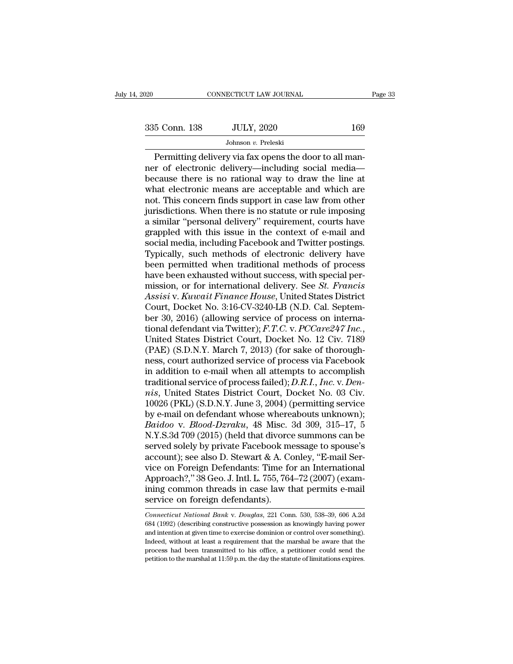| 2020          | CONNECTICUT LAW JOURNAL                                                                                                                                              | Page 33 |
|---------------|----------------------------------------------------------------------------------------------------------------------------------------------------------------------|---------|
|               |                                                                                                                                                                      |         |
| 335 Conn. 138 | <b>JULY, 2020</b>                                                                                                                                                    | 169     |
|               | Johnson $v$ . Preleski                                                                                                                                               |         |
|               | Permitting delivery via fax opens the door to all man-<br>ner of electronic delivery—including social media—<br>bocauso there is no rational way to draw the line at |         |

335 Conn. 138 JULY, 2020 169<br>Johnson v. Preleski<br>Permitting delivery via fax opens the door to all man-<br>ner of electronic delivery—including social media—<br>because there is no rational way to draw the line at<br>what electron  $\begin{array}{c|c} \text{335} \text{ Conn. } 138 & \text{JULY, } 2020 & 169 \\ \hline \text{Johnson } v. \text{ Preleski} \\ \hline \text{Permitting delivery via fax opens the door to all manner of electronic delivery—including social media—because there is no rational way to draw the line at what electronic means are acceptable and which are not. This concern finds support in case law from other.} \end{array}$  $335$  Conn. 138 JULY, 2020 169<br>Johnson v. Preleski<br>Permitting delivery via fax opens the door to all man-<br>ner of electronic delivery—including social media—<br>because there is no rational way to draw the line at<br>what electr Johnson v. Preleski<br>Johnson v. Preleski<br>Permitting delivery via fax opens the door to all man-<br>ner of electronic delivery—including social media—<br>because there is no rational way to draw the line at<br>what electronic means Johnson v. Preleski<br>
Permitting delivery via fax opens the door to all man-<br>
ner of electronic delivery—including social media—<br>
because there is no rational way to draw the line at<br>
what electronic means are acceptable a Permitting delivery via fax opens the door to all man-<br>ner of electronic delivery—including social media—<br>because there is no rational way to draw the line at<br>what electronic means are acceptable and which are<br>not. This co ner of electronic delivery—including social media—<br>because there is no rational way to draw the line at<br>what electronic means are acceptable and which are<br>not. This concern finds support in case law from other<br>jurisdiction because there is no rational way to draw the line at<br>what electronic means are acceptable and which are<br>not. This concern finds support in case law from other<br>jurisdictions. When there is no statute or rule imposing<br>a simi what electronic means are acceptable and which are<br>not. This concern finds support in case law from other<br>jurisdictions. When there is no statute or rule imposing<br>a similar "personal delivery" requirement, courts have<br>grap not. This concern finds support in case law from other<br>jurisdictions. When there is no statute or rule imposing<br>a similar "personal delivery" requirement, courts have<br>grappled with this issue in the context of e-mail and<br>s jurisdictions. When there is no statute or rule imposing<br>a similar "personal delivery" requirement, courts have<br>grappled with this issue in the context of e-mail and<br>social media, including Facebook and Twitter postings.<br>T a similar "personal delivery" requirement, courts have<br>grappled with this issue in the context of e-mail and<br>social media, including Facebook and Twitter postings.<br>Typically, such methods of electronic delivery have<br>been p grappled with this issue in the context of e-mail and<br>social media, including Facebook and Twitter postings.<br>Typically, such methods of electronic delivery have<br>been permitted when traditional methods of process<br>have been social media, including Facebook and Twitter postings.<br>Typically, such methods of electronic delivery have<br>been permitted when traditional methods of process<br>have been exhausted without success, with special per-<br>mission, Typically, such methods of electronic delivery have<br>been permitted when traditional methods of process<br>have been exhausted without success, with special per-<br>mission, or for international delivery. See *St. Francis*<br>Assisi been permitted when traditional methods of process<br>have been exhausted without success, with special per-<br>mission, or for international delivery. See *St. Francis*<br>Assisi v. *Kuwait Finance House*, United States District<br>C mission, or for international delivery. See *St. Francis*<br>Assisi v. Kuwait Finance House, United States District<br>Court, Docket No. 3:16-CV-3240-LB (N.D. Cal. Septem-<br>ber 30, 2016) (allowing service of process on interna-<br>t Assisi v. Kuwait Finance House, United States District<br>Court, Docket No. 3:16-CV-3240-LB (N.D. Cal. Septem-<br>ber 30, 2016) (allowing service of process on interna-<br>tional defendant via Twitter); F.T.C. v. PCCare247 Inc.,<br>Un Court, Docket No. 3:16-CV-3240-LB (N.D. Cal. Septem-<br>ber 30, 2016) (allowing service of process on interna-<br>tional defendant via Twitter); *F.T.C.* v. *PCCare247 Inc.*,<br>United States District Court, Docket No. 12 Civ. 7189 ber 30, 2016) (allowing service of process on international defendant via Twitter); *F.T.C.* v. *PCCare247 Inc.*, United States District Court, Docket No. 12 Civ. 7189 (PAE) (S.D.N.Y. March 7, 2013) (for sake of thoroughne tional defendant via Twitter); *F.T.C.* v. *PCCare247 Inc.*,<br>United States District Court, Docket No. 12 Civ. 7189<br>(PAE) (S.D.N.Y. March 7, 2013) (for sake of thorough-<br>ness, court authorized service of process via Faceboo United States District Court, Docket No. 12 Civ. 7189<br>(PAE) (S.D.N.Y. March 7, 2013) (for sake of thorough-<br>ness, court authorized service of process via Facebook<br>in addition to e-mail when all attempts to accomplish<br>tradi (PAE) (S.D.N.Y. March 7, 2013) (for sake of thoroughness, court authorized service of process via Facebook<br>in addition to e-mail when all attempts to accomplish<br>traditional service of process failed); *D.R.I., Inc. v. Den* ress, court authorized service of process via Facebook<br>in addition to e-mail when all attempts to accomplish<br>traditional service of process failed); *D.R.I.*, *Inc.* v. *Den-<br>nis*, United States District Court, Docket No. in addition to e-mail when all attempts to accomplish<br>traditional service of process failed); *D.R.I., Inc.* v. *Dennis*, United States District Court, Docket No. 03 Civ.<br>10026 (PKL) (S.D.N.Y. June 3, 2004) (permitting se traditional service of process failed); *D.R.I., Inc.* v. *Dennis*, United States District Court, Docket No. 03 Civ.<br>10026 (PKL) (S.D.N.Y. June 3, 2004) (permitting service<br>by e-mail on defendant whose whereabouts unknown) mis, United States District Court, Docket No. 03 Civ.<br>10026 (PKL) (S.D.N.Y. June 3, 2004) (permitting service<br>by e-mail on defendant whose whereabouts unknown);<br>Baidoo v. Blood-Dzraku, 48 Misc. 3d 309, 315–17, 5<br>N.Y.S.3d 7 10026 (PKL) (S.D.N.Y. June 3, 2004) (permitting service<br>by e-mail on defendant whose whereabouts unknown);<br>Baidoo v. Blood-Dzraku, 48 Misc. 3d 309, 315–17, 5<br>N.Y.S.3d 709 (2015) (held that divorce summons can be<br>served sol by e-mail on defendant whose whereabouts unknown);<br>Baidoo v. Blood-Dzraku, 48 Misc. 3d 309, 315–17, 5<br>N.Y.S.3d 709 (2015) (held that divorce summons can be<br>served solely by private Facebook message to spouse's<br>account); se Baidoo v. Blood-Dzraku, 48 Misc. 3d 309, 315–17, 5<br>N.Y.S.3d 709 (2015) (held that divorce summons can be<br>served solely by private Facebook message to spouse's<br>account); see also D. Stewart & A. Conley, "E-mail Ser-<br>vice on N.Y.S.3d 709 (2015) (held that divorce<br>served solely by private Facebook m<br>account); see also D. Stewart & A. Co<br>vice on Foreign Defendants: Time for<br>Approach?," 38 Geo. J. Intl. L. 755, 764<br>ining common threads in case la vice on Foreign Defendants: Time for an International<br>Approach?," 38 Geo. J. Intl. L. 755, 764–72 (2007) (exam-<br>ining common threads in case law that permits e-mail<br>service on foreign defendants).<br>*Connecticut National Ban* Approach?," 38 Geo. J. Intl. L. 755, 764–72 (2007) (examining common threads in case law that permits e-mail<br>service on foreign defendants).<br>Connecticut National Bank v. Douglas, 221 Conn. 530, 538–39, 606 A.2d<br>684 (1992)

intention at given threads in case law that permits e-mail service on foreign defendants).<br> *Connecticut National Bank v. Douglas*, 221 Conn. 530, 538–39, 606 A.2d 684 (1992) (describing constructive possession as knowing Service on foreign defendants).<br>
Connecticut National Bank v. Douglas, 221 Conn. 530, 538–39, 606 A.2d<br>
684 (1992) (describing constructive possession as knowingly having power<br>
and intention at given time to exercise domi **Connecticut National Bank v. Douglas, 221 Conn.** 530, 538–39, 606 A.2d 684 (1992) (describing constructive possession as knowingly having power and intention at given time to exercise dominion or control over something). Connecticut National Bank v. Douglas, 221 Conn. 530, 538–39, 606 A.2d 684 (1992) (describing constructive possession as knowingly having power and intention at given time to exercise dominion or control over something). I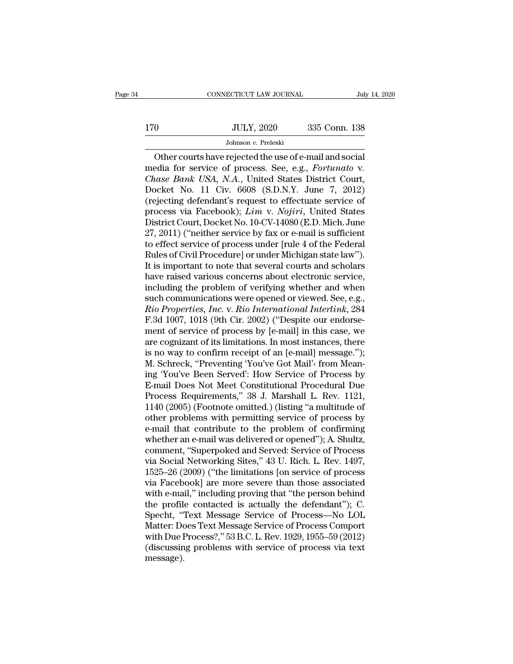# $\begin{tabular}{c} \multicolumn{1}{c|}{\text{CONNECTICUT LAW JOURNAL}} & July 14, 2020 \\ \hline \end{tabular}$  170 JULY, 2020 335 Conn. 138<br>Johnson v. Preleski Johnson *v.* Preleski

CONNECTICUT LAW JOURNAL July 14, 20<br>
Other courts have rejected the use of e-mail and social<br>
other courts have rejected the use of e-mail and social<br>
edia for service of process. See, e.g., *Fortunato* v. media for service of process. See, e.g., *Fortunato* v.<br>
The courts have rejected the use of e-mail and social<br>
media for service of process. See, e.g., *Fortunato* v.<br>
Chase Bank USA, N.A., United States District Court,<br> JULY, 2020 335 Conn. 138<br>Johnson v. Preleski<br>Other courts have rejected the use of e-mail and social<br>media for service of process. See, e.g., *Fortunato* v.<br>Chase Bank USA, N.A., United States District Court,<br>Docket No. 11 Johnson v. Preleski<br>Johnson v. Preleski<br>media for service of process. See, e.g., *Fortunato* v.<br>*Chase Bank USA*, *N.A.*, United States District Court,<br>Docket No. 11 Civ. 6608 (S.D.N.Y. June 7, 2012)<br>(rejecting defendant' Johnson *v.* Preleski<br>
Other courts have rejected the use of e-mail and social<br>
media for service of process. See, e.g., *Fortunato* v.<br>
Chase Bank USA, N.A., United States District Court,<br>
Docket No. 11 Civ. 6608 (S.D.N.Y Other courts have rejected the use of e-mail and social<br>media for service of process. See, e.g., *Fortunato* v.<br>*Chase Bank USA*, *N.A.*, United States District Court,<br>Docket No. 11 Civ. 6608 (S.D.N.Y. June 7, 2012)<br>(rejec media for service of process. See, e.g., *Fortunato* v.<br>Chase Bank USA, N.A., United States District Court,<br>Docket No. 11 Civ. 6608 (S.D.N.Y. June 7, 2012)<br>(rejecting defendant's request to effectuate service of<br>process vi Chase Bank USA, N.A., United States District Court,<br>Docket No. 11 Civ. 6608 (S.D.N.Y. June 7, 2012)<br>(rejecting defendant's request to effectuate service of<br>process via Facebook); *Lim* v. No*jiri*, United States<br>District C Docket No. 11 Civ. 6608 (S.D.N.Y. June 7, 2012)<br>(rejecting defendant's request to effectuate service of<br>process via Facebook); *Lim* v. *Nojiri*, United States<br>District Court, Docket No. 10-CV-14080 (E.D. Mich. June<br>27, 20 (rejecting defendant's request to effectuate service of<br>process via Facebook); *Lim* v. *Nojiri*, United States<br>District Court, Docket No. 10-CV-14080 (E.D. Mich. June<br>27, 2011) ("neither service by fax or e-mail is suffic process via Facebook);  $Lim$  v. Nojiri, United States<br>District Court, Docket No. 10-CV-14080 (E.D. Mich. June<br>27, 2011) ("neither service by fax or e-mail is sufficient<br>to effect service of process under [rule 4 of the Fede District Court, Docket No. 10-CV-14080 (E.D. Mich. June<br>27, 2011) ("neither service by fax or e-mail is sufficient<br>to effect service of process under [rule 4 of the Federal<br>Rules of Civil Procedure] or under Michigan state 27, 2011) ("neither service by fax or e-mail is sufficient<br>to effect service of process under [rule 4 of the Federal<br>Rules of Civil Procedure] or under Michigan state law").<br>It is important to note that several courts and to effect service of process under [rule 4 of the Federal<br>*Rules of Civil Procedure] or under Michigan state law")*.<br>*It is important to note that several courts and scholars*<br>*have raised various concerns about electronic* Rules of Civil Procedure] or under Michigan state law").<br>It is important to note that several courts and scholars<br>have raised various concerns about electronic service,<br>including the problem of verifying whether and when<br>s It is important to note that several courts and scholars<br>have raised various concerns about electronic service,<br>including the problem of verifying whether and when<br>such communications were opened or viewed. See, e.g.,<br>*Rio* have raised various concerns about electronic service,<br>including the problem of verifying whether and when<br>such communications were opened or viewed. See, e.g.,<br>*Rio Properties, Inc.* v. *Rio International Interlink*, 284<br> including the problem of verifying whether and when<br>such communications were opened or viewed. See, e.g.,<br>*Rio Properties, Inc.* v. *Rio International Interlink*, 284<br>F.3d 1007, 1018 (9th Cir. 2002) ("Despite our endorse-<br> such communications were opened or viewed. See, e.g.,<br> *Rio Properties, Inc.* v. *Rio International Interlink*, 284<br>
F.3d 1007, 1018 (9th Cir. 2002) ("Despite our endorse-<br>
ment of service of process by [e-mail] in this ca Rio Properties, Inc. v. Rio International Interlink, 284<br>F.3d 1007, 1018 (9th Cir. 2002) ("Despite our endorse-<br>ment of service of process by [e-mail] in this case, we<br>are cognizant of its limitations. In most instances, t F.3d 1007, 1018 (9th Cir. 2002) ("Despite our endorse-<br>ment of service of process by [e-mail] in this case, we<br>are cognizant of its limitations. In most instances, there<br>is no way to confirm receipt of an [e-mail] message. ment of service of process by [e-mail] in this case, we<br>are cognizant of its limitations. In most instances, there<br>is no way to confirm receipt of an [e-mail] message.");<br>M. Schreck, "Preventing 'You've Got Mail'< from Mea are cognizant of its limitations. In most instances, there<br>is no way to confirm receipt of an [e-mail] message.");<br>M. Schreck, "Preventing 'You've Got Mail'<sup>,</sup> from Mean-<br>ing 'You've Been Served': How Service of Process by is no way to confirm receipt of an [e-mail] message.");<br>M. Schreck, "Preventing 'You've Got Mail'< from Mean-<br>ing 'You've Been Served': How Service of Process by<br>E-mail Does Not Meet Constitutional Procedural Due<br>Process R M. Schreck, "Preventing 'You've Got Mail'<sub>'</sub> from Meaning 'You've Been Served': How Service of Process by E-mail Does Not Meet Constitutional Procedural Due<br>Process Requirements," 38 J. Marshall L. Rev. 1121,<br>1140 (2005) ( ing 'You've Been Served': How Service of Process by<br>E-mail Does Not Meet Constitutional Procedural Due<br>Process Requirements," 38 J. Marshall L. Rev. 1121,<br>1140 (2005) (Footnote omitted.) (listing "a multitude of<br>other prob E-mail Does Not Meet Constitutional Procedural Due<br>Process Requirements," 38 J. Marshall L. Rev. 1121,<br>1140 (2005) (Footnote omitted.) (listing "a multitude of<br>other problems with permitting service of process by<br>e-mail th Process Requirements," 38 J. Marshall L. Rev. 1121,<br>1140 (2005) (Footnote omitted.) (listing "a multitude of<br>other problems with permitting service of process by<br>e-mail that contribute to the problem of confirming<br>whether 1140 (2005) (Footnote omitted.) (listing "a multitude of<br>other problems with permitting service of process by<br>e-mail that contribute to the problem of confirming<br>whether an e-mail was delivered or opened"); A. Shultz,<br>comm other problems with permitting service of process by<br>e-mail that contribute to the problem of confirming<br>whether an e-mail was delivered or opened"); A. Shultz,<br>comment, "Superpoked and Served: Service of Process<br>via Socia e-mail that contribute to the problem of confirming<br>whether an e-mail was delivered or opened"); A. Shultz,<br>comment, "Superpoked and Served: Service of Process<br>via Social Networking Sites," 43 U. Rich. L. Rev. 1497,<br>1525–2 whether an e-mail was delivered or opened"); A. Shultz,<br>comment, "Superpoked and Served: Service of Process<br>via Social Networking Sites," 43 U. Rich. L. Rev. 1497,<br>1525–26 (2009) ("the limitations [on service of process<br>vi comment, "Superpoked and Served: Service of Process<br>via Social Networking Sites," 43 U. Rich. L. Rev. 1497,<br>1525–26 (2009) ("the limitations [on service of process<br>via Facebook] are more severe than those associated<br>with e via Social Networking Sites," 43 U. Rich. L. Rev. 1497,<br>1525–26 (2009) ("the limitations [on service of process<br>via Facebook] are more severe than those associated<br>with e-mail," including proving that "the person behind<br>th 1525–26 (2009) ("the limitations [on service of process<br>via Facebook] are more severe than those associated<br>with e-mail," including proving that "the person behind<br>the profile contacted is actually the defendant"); C.<br>Spec via Facebook] are more severe than those associated<br>with e-mail," including proving that "the person behind<br>the profile contacted is actually the defendant"); C.<br>Specht, "Text Message Service of Process—No LOL<br>Matter: Does message).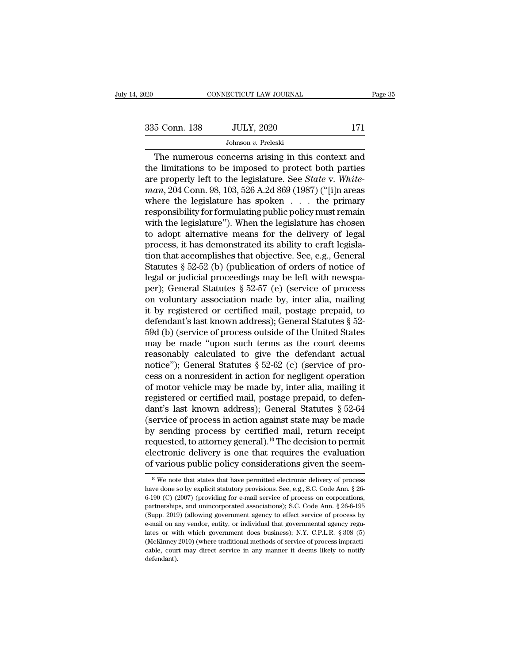CONNECTICUT LAW JOURNAL Page 35<br>
5 Conn. 138 JULY, 2020 171<br>
Johnson v. Preleski<br>
The numerous concerns arising in this context and<br>
e limitations to be imposed to protect both parties<br>
a properly left to the legislature. 335 Conn. 138 JULY, 2020 171<br>Johnson v. Preleski<br>The numerous concerns arising in this context and<br>the limitations to be imposed to protect both parties<br>are properly left to the legislature. See *State v. White-<br>man* 204 are properly left to the legislature. See *State* v. *White-<br>
The numerous concerns arising in this context and*<br>
the limitations to be imposed to protect both parties<br>
are properly left to the legislature. See *State* v. <sup>335</sup> Conn. 138 JULY, 2020 171<br>
Johnson v. Preleski<br>
The numerous concerns arising in this context and<br>
the limitations to be imposed to protect both parties<br>
are properly left to the legislature. See *State* v. White-<br> *m* The numerous concerns arising in this context and<br>the limitations to be imposed to protect both parties<br>are properly left to the legislature. See *State* v. White-<br>man, 204 Conn. 98, 103, 526 A.2d 869 (1987) ("[i]n areas<br> Johnson *v*. Preleski<br>The numerous concerns arising in this context and<br>the limitations to be imposed to protect both parties<br>are properly left to the legislature. See *State* v. White-<br>man, 204 Conn. 98, 103, 526 A.2d 86 The numerous concerns arising in this context and<br>the limitations to be imposed to protect both parties<br>are properly left to the legislature. See *State* v. White-<br> $man$ , 204 Conn. 98, 103, 526 A.2d 869 (1987) ("[i]n areas<br> the limitations to be imposed to protect both parties<br>are properly left to the legislature. See *State* v. White-<br>man, 204 Conn. 98, 103, 526 A.2d 869 (1987) ("[i]n areas<br>where the legislature has spoken  $\ldots$  the primary are properly left to the legislature. See *State* v. White-<br>man, 204 Conn. 98, 103, 526 A.2d 869 (1987) ("[i]n areas<br>where the legislature has spoken . . . the primary<br>responsibility for formulating public policy must rem man, 204 Conn. 98, 103, 526 A.2d 869 (1987) ("[i]n areas<br>where the legislature has spoken  $\ldots$  the primary<br>responsibility for formulating public policy must remain<br>with the legislature"). When the legislature has chosen<br> where the legislature has spoken  $\ldots$  the primary<br>responsibility for formulating public policy must remain<br>with the legislature"). When the legislature has chosen<br>to adopt alternative means for the delivery of legal<br>proc responsibility for formulating public policy must remain<br>with the legislature"). When the legislature has chosen<br>to adopt alternative means for the delivery of legal<br>process, it has demonstrated its ability to craft legisl with the legislature"). When the legislature has chosen<br>to adopt alternative means for the delivery of legal<br>process, it has demonstrated its ability to craft legisla-<br>tion that accomplishes that objective. See, e.g., Gene to adopt alternative means for the delivery of legal<br>process, it has demonstrated its ability to craft legisla-<br>tion that accomplishes that objective. See, e.g., General<br>Statutes § 52-52 (b) (publication of orders of noti process, it has demonstrated its ability to craft legislation that accomplishes that objective. See, e.g., General<br>Statutes § 52-52 (b) (publication of orders of notice of<br>legal or judicial proceedings may be left with new tion that accomplishes that objective. See, e.g., General<br>Statutes § 52-52 (b) (publication of orders of notice of<br>legal or judicial proceedings may be left with newspa-<br>per); General Statutes § 52-57 (e) (service of proce Statutes § 52-52 (b) (publication of orders of notice of<br>legal or judicial proceedings may be left with newspa-<br>per); General Statutes § 52-57 (e) (service of process<br>on voluntary association made by, inter alia, mailing<br>i legal or judicial proceedings may be left with newspa-<br>per); General Statutes § 52-57 (e) (service of process<br>on voluntary association made by, inter alia, mailing<br>it by registered or certified mail, postage prepaid, to<br>d per); General Statutes § 52-57 (e) (service of process<br>on voluntary association made by, inter alia, mailing<br>it by registered or certified mail, postage prepaid, to<br>defendant's last known address); General Statutes § 52-<br>5 on voluntary association made by, inter alia, mailing<br>it by registered or certified mail, postage prepaid, to<br>defendant's last known address); General Statutes § 52-<br>59d (b) (service of process outside of the United State it by registered or certified mail, postage prepaid, to<br>defendant's last known address); General Statutes § 52-<br>59d (b) (service of process outside of the United States<br>may be made "upon such terms as the court deems<br>reaso defendant's last known address); General Statutes § 52-<br>59d (b) (service of process outside of the United States<br>may be made "upon such terms as the court deems<br>reasonably calculated to give the defendant actual<br>notice"); 59d (b) (service of process outside of the United States<br>may be made "upon such terms as the court deems<br>reasonably calculated to give the defendant actual<br>notice"); General Statutes  $\S 52-62$  (c) (service of pro-<br>cess on may be made "upon such terms as the court deems<br>reasonably calculated to give the defendant actual<br>notice"); General Statutes  $\S 52-62$  (c) (service of pro-<br>cess on a nonresident in action for negligent operation<br>of motor reasonably calculated to give the defendant actual<br>notice"); General Statutes  $\S 52-62$  (c) (service of pro-<br>cess on a nonresident in action for negligent operation<br>of motor vehicle may be made by, inter alia, mailing it<br> notice"); General Statutes § 52-62 (c) (service of process on a nonresident in action for negligent operation<br>of motor vehicle may be made by, inter alia, mailing it<br>registered or certified mail, postage prepaid, to defen cess on a nonresident in action for negligent operation<br>of motor vehicle may be made by, inter alia, mailing it<br>registered or certified mail, postage prepaid, to defen-<br>dant's last known address); General Statutes § 52-64 of motor vehicle may be made by, inter alia, mailing it<br>registered or certified mail, postage prepaid, to defen-<br>dant's last known address); General Statutes  $\S$  52-64<br>(service of process in action against state may be ma registered or certified mail, postage prepaid, to defendant's last known address); General Statutes § 52-64 (service of process in action against state may be made by sending process by certified mail, return receipt requ by sending process by certified mail, return receipt<br>requested, to attorney general).<sup>10</sup> The decision to permit<br>electronic delivery is one that requires the evaluation<br>of various public policy considerations given the se requested, to attorney general).<sup>10</sup> The decision to permit<br>electronic delivery is one that requires the evaluation<br>of various public policy considerations given the seem-<br><sup>10</sup> We note that states that have permitted elec

electronic delivery is one that requires the evaluation<br>of various public policy considerations given the seem-<br><sup>10</sup>We note that states that have permitted electronic delivery of process<br>have done so by explicit statutory partnerships, and unincorporated associations); S.C. Code Ann. § 26-6-190 (C) (2007) (providing for e-mail service of process on corporations, partnerships, and unincorporated associations); S.C. Code Ann. § 26-6-195 (Sup (Supp. 2019) (allowing government agency to effect service of process have done so by explicit statutory provisions. See, e.g., S.C. Code Ann. § 26-6-190 (C) (2007) (providing for e-mail service of process on corporations <sup>10</sup> We note that states that have permitted electronic delivery of process have done so by explicit statutory provisions. See, e.g., S.C. Code Ann. § 26-6-190 (C) (2007) (providing for e-mail service of process on corpor have done so by explicit statutory provisions. See, e.g., S.C. Code Ann. § 26-6-190 (C) (2007) (providing for e-mail service of process on corporations, partnerships, and unincorporated associations); S.C. Code Ann. § 26-6 6-190 (C) (2007) (providing for e-mail service of process on corporations, partnerships, and unincorporated associations); S.C. Code Ann. § 26-6-195 (Supp. 2019) (allowing government agency to effect service of process by partnerships, and unincorporated associations); S.C. Code Ann. § 26-6-195 (Supp. 2019) (allowing government agency to effect service of process by e-mail on any vendor, entity, or individual that governmental agency regula defendant).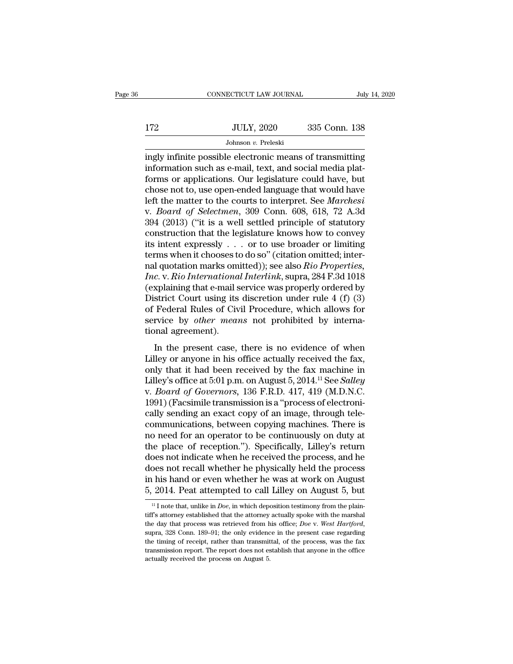|     | CONNECTICUT LAW JOURNAL | July 14, 2020 |  |
|-----|-------------------------|---------------|--|
|     |                         |               |  |
| 172 | <b>JULY, 2020</b>       | 335 Conn. 138 |  |
|     | Johnson v. Preleski     |               |  |

CONNECTICUT LAW JOURNAL July 14, 2020<br>
JULY, 2020 335 Conn. 138<br>
Johnson v. Preleski<br>
ingly infinite possible electronic means of transmitting<br>
information such as e-mail, text, and social media plat-<br>
forms or application IT2 JULY, 2020 335 Conn. 138<br>
Johnson v. Preleski<br>
ingly infinite possible electronic means of transmitting<br>
information such as e-mail, text, and social media plat-<br>
forms or applications. Our legislature could have, but<br>  $f(172)$  JULY, 2020 335 Conn. 138<br>Johnson v. Preleski<br>ingly infinite possible electronic means of transmitting<br>information such as e-mail, text, and social media plat-<br>forms or applications. Our legislature could have, bu 172 JULY, 2020 335 Conn. 138<br>Johnson v. Preleski<br>ingly infinite possible electronic means of transmitting<br>information such as e-mail, text, and social media plat-<br>forms or applications. Our legislature could have, but<br>cho Johnson *v*. Preleski<br>
ingly infinite possible electronic means of transmitting<br>
information such as e-mail, text, and social media plat-<br>
forms or applications. Our legislature could have, but<br>
chose not to, use open-ende Johnson *v*. Preleski<br>
ingly infinite possible electronic means of transmitting<br>
information such as e-mail, text, and social media plat-<br>
forms or applications. Our legislature could have, but<br>
chose not to, use open-ende ingly infinite possible electronic means of transmitting<br>information such as e-mail, text, and social media plat-<br>forms or applications. Our legislature could have, but<br>chose not to, use open-ended language that would have information such as e-mail, text, and social media plat-<br>forms or applications. Our legislature could have, but<br>chose not to, use open-ended language that would have<br>left the matter to the courts to interpret. See *Marche* forms or applications. Our legislature could have, but<br>chose not to, use open-ended language that would have<br>left the matter to the courts to interpret. See *Marchesi*<br>v. *Board of Selectmen*, 309 Conn. 608, 618, 72 A.3d<br> chose not to, use open-ended language that would have<br>left the matter to the courts to interpret. See *Marchesi*<br>v. *Board of Selectmen*, 309 Conn. 608, 618, 72 A.3d<br>394 (2013) ("it is a well settled principle of statutor left the matter to the courts to interpret. See *Marchesi*<br>v. *Board of Selectmen*, 309 Conn. 608, 618, 72 A.3d<br>394 (2013) ("it is a well settled principle of statutory<br>construction that the legislature knows how to convey *Inc. Board of Selectmen,* 309 Conn. 608, 618, 72 A.3d 394 (2013) ("it is a well settled principle of statutory construction that the legislature knows how to convey its intent expressly . . . or to use broader or limiting 394 (2013) ("it is a well settled principle of statutory<br>construction that the legislature knows how to convey<br>its intent expressly . . . or to use broader or limiting<br>terms when it chooses to do so" (citation omitted; in construction that the legislature knows how to convey<br>its intent expressly . . . or to use broader or limiting<br>terms when it chooses to do so" (citation omitted; inter-<br>nal quotation marks omitted)); see also *Rio Propert* its intent expressly  $\ldots$  or to use broader or limiting<br>terms when it chooses to do so" (citation omitted; inter-<br>nal quotation marks omitted)); see also *Rio Properties*,<br>*Inc.* v. *Rio International Interlink*, supra, terms when it chooses to do so" (citation omitted; internal quotation marks omitted)); see also *Rio Properties*, *Inc.* v. *Rio International Interlink*, supra, 284 F.3d 1018 (explaining that e-mail service was properly o nal quotation marks om<br> *Inc.* v. *Rio Internationa*<br>
(explaining that e-mail s<br>
District Court using its<br>
of Federal Rules of Civ<br>
service by *other mear*<br>
tional agreement).<br>
In the present case, E. V. He merhational merrim, sapid, 2041.50100<br>
splaining that e-mail service was properly ordered by<br>
strict Court using its discretion under rule 4 (f) (3)<br>
Federal Rules of Civil Procedure, which allows for<br>
rvice by *o* District Court using its discretion under rule 4 (f) (3)<br>of Federal Rules of Civil Procedure, which allows for<br>service by *other means* not prohibited by interna-<br>tional agreement).<br>In the present case, there is no eviden

bisinct court using its uiscretion under rule  $\pm$  (1) (o)<br>of Federal Rules of Civil Procedure, which allows for<br>service by *other means* not prohibited by interna-<br>tional agreement).<br>In the present case, there is no evid or Federal Rates of OWI Frocedare, which allows for<br>service by *other means* not prohibited by interna-<br>tional agreement).<br>In the present case, there is no evidence of when<br>Lilley or anyone in his office actually received service by oner means not promoted by interna-<br>tional agreement).<br>In the present case, there is no evidence of when<br>Lilley or anyone in his office actually received the fax,<br>only that it had been received by the fax machin In the present case, there is no evidence of when<br>Lilley or anyone in his office actually received the fax,<br>only that it had been received by the fax machine in<br>Lilley's office at 5:01 p.m. on August 5, 2014.<sup>11</sup> See *Sal* In the present case, there is no evidence of when<br>Lilley or anyone in his office actually received the fax,<br>only that it had been received by the fax machine in<br>Lilley's office at 5:01 p.m. on August 5, 2014.<sup>11</sup> See *Sal* Lilley or anyone in his office actually received the fax,<br>only that it had been received by the fax machine in<br>Lilley's office at 5:01 p.m. on August 5, 2014.<sup>11</sup> See *Salley*<br>v. *Board of Governors*, 136 F.R.D. 417, 419 only that it had been received by the fax machine in<br>Lilley's office at 5:01 p.m. on August 5, 2014.<sup>11</sup> See *Salley*<br>v. *Board of Governors*, 136 F.R.D. 417, 419 (M.D.N.C.<br>1991) (Facsimile transmission is a "process of el Lilley's office at 5:01 p.m. on August 5, 2014.<sup>11</sup> See *Salley*<br>v. *Board of Governors*, 136 F.R.D. 417, 419 (M.D.N.C.<br>1991) (Facsimile transmission is a "process of electroni-<br>cally sending an exact copy of an image, thr v. *Board of Governors*, 136 F.R.D. 417, 419 (M.D.N.C.<br>1991) (Facsimile transmission is a "process of electroni-<br>cally sending an exact copy of an image, through tele-<br>communications, between copying machines. There is<br>no 1991) (Facsimile transmission is a "process of electronically sending an exact copy of an image, through tele-<br>communications, between copying machines. There is<br>no need for an operator to be continuously on duty at<br>the p cally sending an exact copy of an image, through tele-<br>communications, between copying machines. There is<br>no need for an operator to be continuously on duty at<br>the place of reception."). Specifically, Lilley's return<br>does communications, between copying machines. There is<br>no need for an operator to be continuously on duty at<br>the place of reception."). Specifically, Lilley's return<br>does not indicate when he received the process, and he<br>does bes not malcate when he received the process, and he<br>poses not recall whether he physically held the process<br>his hand or even whether he was at work on August<br>2014. Peat attempted to call Lilley on August 5, but<br><sup>11</sup> I not does not recall whether he physically held the process<br>in his hand or even whether he was at work on August<br>5, 2014. Peat attempted to call Lilley on August 5, but<br> $\frac{11}{10}$  note that, unlike in *Doe*, in which depositi

in his hand or even whether he was at work on August  $5$ ,  $2014$ . Peat attempted to call Lilley on August  $5$ , but  $\frac{1}{1}$  I note that, unlike in *Doe*, in which deposition testimony from the plaintiff's attorney establ b, 2014. I eat attempted to Call Liftey Off August 5, Out<br>
<sup>11</sup> I note that, unlike in *Doe*, in which deposition testimony from the plain-<br>
tiff's attorney established that the attorney actually spoke with the marshal<br>
t <sup>11</sup> I note that, unlike in *Doe*, in which deposition testimony from the plaintiff's attorney established that the attorney actually spoke with the marshal the day that process was retrieved from his office; *Doe* v. *We* tiff's attorney established that the attorney actually spoke with the marshal<br>the day that process was retrieved from his office; *Doe* v. *West Hartford*,<br>supra, 328 Conn. 189–91; the only evidence in the present case re